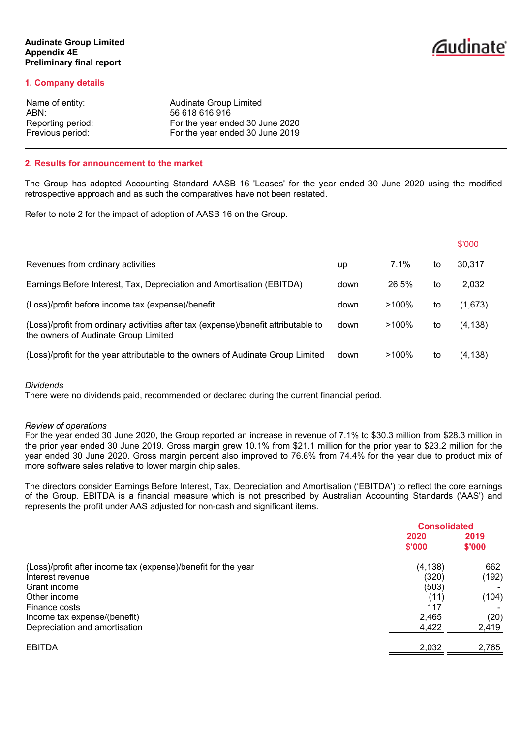# *<u>Caudinate</u>*

# **1. Company details**

| Audinate Group Limited          |
|---------------------------------|
| 56 618 616 916                  |
| For the year ended 30 June 2020 |
| For the year ended 30 June 2019 |
|                                 |

### **2. Results for announcement to the market**

The Group has adopted Accounting Standard AASB 16 'Leases' for the year ended 30 June 2020 using the modified retrospective approach and as such the comparatives have not been restated.

Refer to note 2 for the impact of adoption of AASB 16 on the Group.

|                                                                                                                            |      |          |    | \$'000   |
|----------------------------------------------------------------------------------------------------------------------------|------|----------|----|----------|
| Revenues from ordinary activities                                                                                          | up   | 7.1%     | to | 30,317   |
| Earnings Before Interest, Tax, Depreciation and Amortisation (EBITDA)                                                      | down | 26.5%    | to | 2,032    |
| (Loss)/profit before income tax (expense)/benefit                                                                          | down | $>100\%$ | to | (1,673)  |
| (Loss)/profit from ordinary activities after tax (expense)/benefit attributable to<br>the owners of Audinate Group Limited | down | $>100\%$ | to | (4, 138) |
| (Loss)/profit for the year attributable to the owners of Audinate Group Limited                                            | down | $>100\%$ | to | (4, 138) |

### *Dividends*

There were no dividends paid, recommended or declared during the current financial period.

### *Review of operations*

For the year ended 30 June 2020, the Group reported an increase in revenue of 7.1% to \$30.3 million from \$28.3 million in the prior year ended 30 June 2019. Gross margin grew 10.1% from \$21.1 million for the prior year to \$23.2 million for the year ended 30 June 2020. Gross margin percent also improved to 76.6% from 74.4% for the year due to product mix of more software sales relative to lower margin chip sales.

The directors consider Earnings Before Interest, Tax, Depreciation and Amortisation ('EBITDA') to reflect the core earnings of the Group. EBITDA is a financial measure which is not prescribed by Australian Accounting Standards ('AAS') and represents the profit under AAS adjusted for non-cash and significant items.

|                                                               | <b>Consolidated</b> |        |
|---------------------------------------------------------------|---------------------|--------|
|                                                               | 2020                | 2019   |
|                                                               | \$'000              | \$'000 |
| (Loss)/profit after income tax (expense)/benefit for the year | (4, 138)            | 662    |
| Interest revenue                                              | (320)               | (192)  |
| Grant income                                                  | (503)               |        |
| Other income                                                  | (11)                | (104)  |
| Finance costs                                                 | 117                 |        |
| Income tax expense/(benefit)                                  | 2,465               | (20)   |
| Depreciation and amortisation                                 | 4,422               | 2,419  |
| <b>EBITDA</b>                                                 | 2,032               | 2,765  |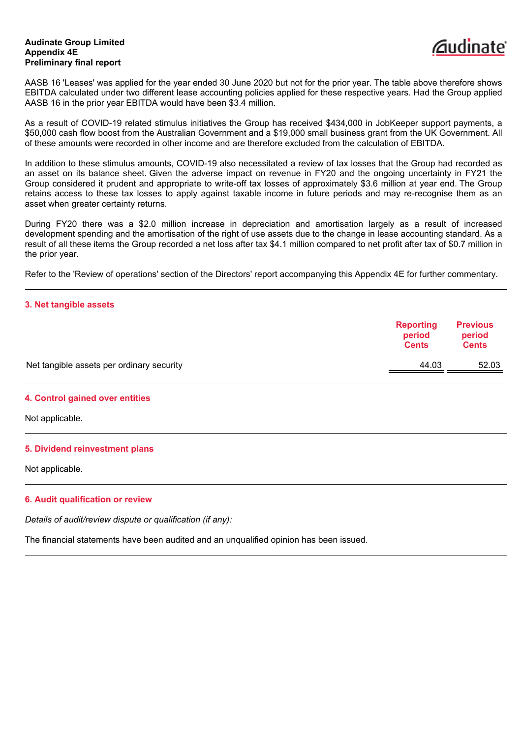

AASB 16 'Leases' was applied for the year ended 30 June 2020 but not for the prior year. The table above therefore shows EBITDA calculated under two different lease accounting policies applied for these respective years. Had the Group applied AASB 16 in the prior year EBITDA would have been \$3.4 million.

As a result of COVID-19 related stimulus initiatives the Group has received \$434,000 in JobKeeper support payments, a \$50,000 cash flow boost from the Australian Government and a \$19,000 small business grant from the UK Government. All of these amounts were recorded in other income and are therefore excluded from the calculation of EBITDA.

In addition to these stimulus amounts, COVID-19 also necessitated a review of tax losses that the Group had recorded as an asset on its balance sheet. Given the adverse impact on revenue in FY20 and the ongoing uncertainty in FY21 the Group considered it prudent and appropriate to write-off tax losses of approximately \$3.6 million at year end. The Group retains access to these tax losses to apply against taxable income in future periods and may re-recognise them as an asset when greater certainty returns.

During FY20 there was a \$2.0 million increase in depreciation and amortisation largely as a result of increased development spending and the amortisation of the right of use assets due to the change in lease accounting standard. As a result of all these items the Group recorded a net loss after tax \$4.1 million compared to net profit after tax of \$0.7 million in the prior year.

Refer to the 'Review of operations' section of the Directors' report accompanying this Appendix 4E for further commentary.

### **3. Net tangible assets**

| <b>Reporting</b><br>period<br><b>Cents</b> | <b>Previous</b><br>period<br><b>Cents</b> |
|--------------------------------------------|-------------------------------------------|
| 44.03                                      | 52.03                                     |
|                                            |                                           |

### **4. Control gained over entities**

Not applicable.

### **5. Dividend reinvestment plans**

Not applicable.

### **6. Audit qualification or review**

*Details of audit/review dispute or qualification (if any):*

The financial statements have been audited and an unqualified opinion has been issued.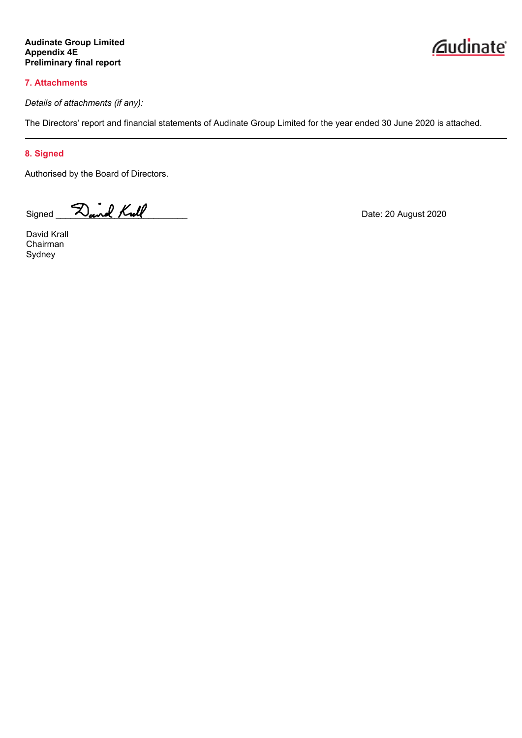# **7. Attachments**

*Details of attachments (if any):*

The Directors' report and financial statements of Audinate Group Limited for the year ended 30 June 2020 is attached.

# **8. Signed**

Authorised by the Board of Directors.

Signed **Dand Kull** Date: 20 August 2020

David Krall Chairman Sydney

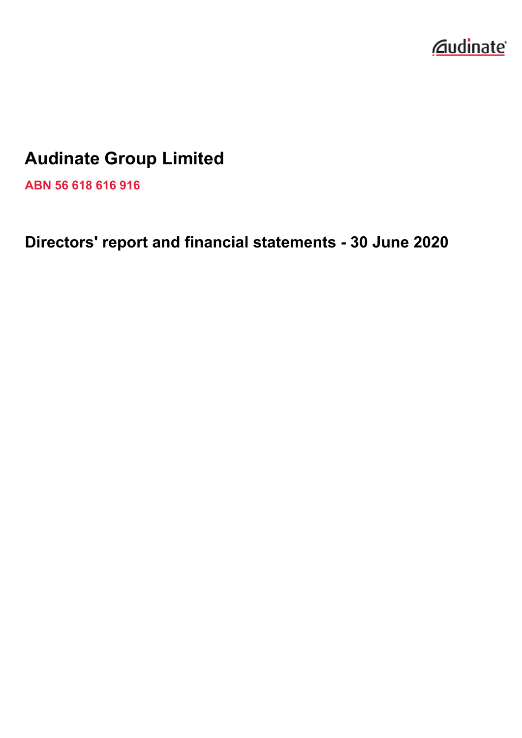

# **Audinate Group Limited**

**ABN 56 618 616 916**

**Directors' report and financial statements - 30 June 2020**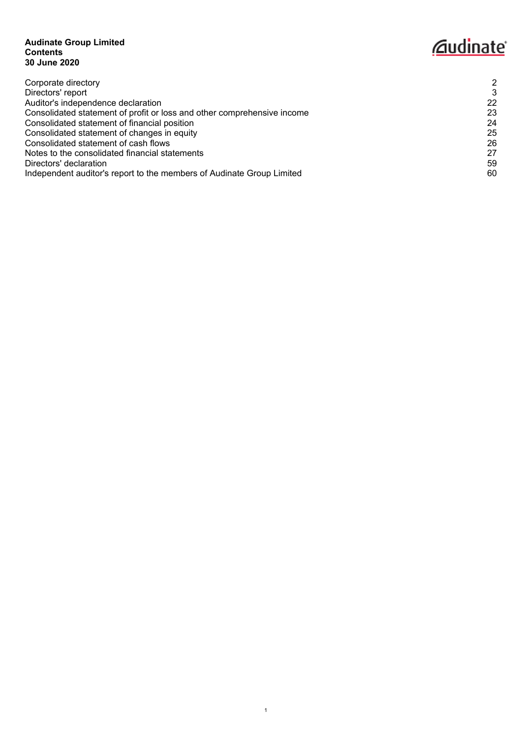# **Audinate Group Limited Contents 30 June 2020**

# *<u>Caudinate</u>*

| Corporate directory                                                     | 2  |
|-------------------------------------------------------------------------|----|
| Directors' report                                                       | 3  |
| Auditor's independence declaration                                      | 22 |
| Consolidated statement of profit or loss and other comprehensive income | 23 |
| Consolidated statement of financial position                            | 24 |
| Consolidated statement of changes in equity                             | 25 |
| Consolidated statement of cash flows                                    | 26 |
| Notes to the consolidated financial statements                          | 27 |
| Directors' declaration                                                  | 59 |
| Independent auditor's report to the members of Audinate Group Limited   | 60 |
|                                                                         |    |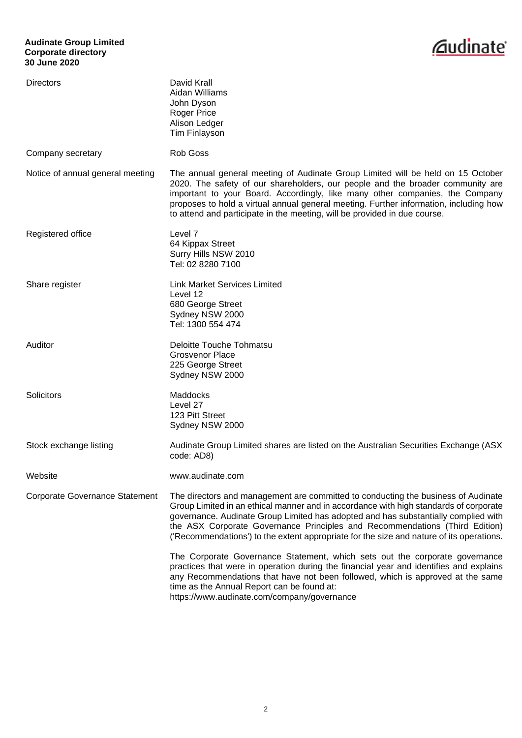# **Audinate Group Limited Corporate directory 30 June 2020**



<span id="page-5-0"></span>

| Directors                             | David Krall<br>Aidan Williams<br>John Dyson<br><b>Roger Price</b><br>Alison Ledger<br>Tim Finlayson                                                                                                                                                                                                                                                                                                                                         |
|---------------------------------------|---------------------------------------------------------------------------------------------------------------------------------------------------------------------------------------------------------------------------------------------------------------------------------------------------------------------------------------------------------------------------------------------------------------------------------------------|
| Company secretary                     | <b>Rob Goss</b>                                                                                                                                                                                                                                                                                                                                                                                                                             |
| Notice of annual general meeting      | The annual general meeting of Audinate Group Limited will be held on 15 October<br>2020. The safety of our shareholders, our people and the broader community are<br>important to your Board. Accordingly, like many other companies, the Company<br>proposes to hold a virtual annual general meeting. Further information, including how<br>to attend and participate in the meeting, will be provided in due course.                     |
| Registered office                     | Level <sub>7</sub><br>64 Kippax Street<br>Surry Hills NSW 2010<br>Tel: 02 8280 7100                                                                                                                                                                                                                                                                                                                                                         |
| Share register                        | <b>Link Market Services Limited</b><br>Level 12<br>680 George Street<br>Sydney NSW 2000<br>Tel: 1300 554 474                                                                                                                                                                                                                                                                                                                                |
| Auditor                               | <b>Deloitte Touche Tohmatsu</b><br><b>Grosvenor Place</b><br>225 George Street<br>Sydney NSW 2000                                                                                                                                                                                                                                                                                                                                           |
| Solicitors                            | Maddocks<br>Level 27<br>123 Pitt Street<br>Sydney NSW 2000                                                                                                                                                                                                                                                                                                                                                                                  |
| Stock exchange listing                | Audinate Group Limited shares are listed on the Australian Securities Exchange (ASX)<br>code: AD8)                                                                                                                                                                                                                                                                                                                                          |
| Website                               | www.audinate.com                                                                                                                                                                                                                                                                                                                                                                                                                            |
| <b>Corporate Governance Statement</b> | The directors and management are committed to conducting the business of Audinate<br>Group Limited in an ethical manner and in accordance with high standards of corporate<br>governance. Audinate Group Limited has adopted and has substantially complied with<br>the ASX Corporate Governance Principles and Recommendations (Third Edition)<br>('Recommendations') to the extent appropriate for the size and nature of its operations. |
|                                       | The Corporate Governance Statement, which sets out the corporate governance<br>practices that were in operation during the financial year and identifies and explains<br>any Recommendations that have not been followed, which is approved at the same<br>time as the Annual Report can be found at:<br>https://www.audinate.com/company/governance                                                                                        |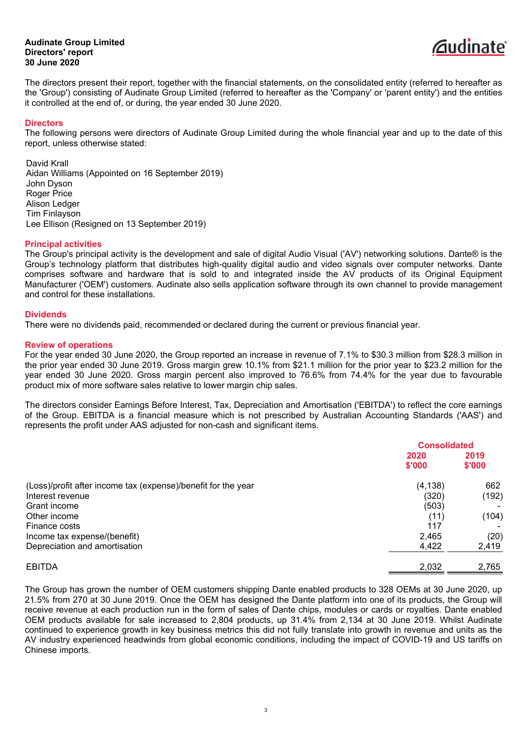

<span id="page-6-0"></span>The directors present their report, together with the financial statements, on the consolidated entity (referred to hereafter as the 'Group') consisting of Audinate Group Limited (referred to hereafter as the 'Company' or 'parent entity') and the entities it controlled at the end of, or during, the year ended 30 June 2020.

### **Directors**

The following persons were directors of Audinate Group Limited during the whole financial year and up to the date of this report, unless otherwise stated:

David Krall Aidan Williams (Appointed on 16 September 2019) John Dyson Roger Price Alison Ledger Tim Finlayson Lee Ellison (Resigned on 13 September 2019)

#### **Principal activities**

The Group's principal activity is the development and sale of digital Audio Visual ('AV') networking solutions. Dante® is the Group's technology platform that distributes high-quality digital audio and video signals over computer networks. Dante comprises software and hardware that is sold to and integrated inside the AV products of its Original Equipment Manufacturer ('OEM') customers. Audinate also sells application software through its own channel to provide management and control for these installations.

### **Dividends**

There were no dividends paid, recommended or declared during the current or previous financial year.

# **Review of operations**

For the year ended 30 June 2020, the Group reported an increase in revenue of 7.1% to \$30.3 million from \$28.3 million in the prior year ended 30 June 2019. Gross margin grew 10.1% from \$21.1 million for the prior year to \$23.2 million for the year ended 30 June 2020. Gross margin percent also improved to 76.6% from 74.4% for the year due to favourable product mix of more software sales relative to lower margin chip sales.

The directors consider Earnings Before Interest, Tax, Depreciation and Amortisation ('EBITDA') to reflect the core earnings of the Group. EBITDA is a financial measure which is not prescribed by Australian Accounting Standards ('AAS') and represents the profit under AAS adjusted for non-cash and significant items.

|                                                               | <b>Consolidated</b> |        |  |
|---------------------------------------------------------------|---------------------|--------|--|
|                                                               | 2020                | 2019   |  |
|                                                               | \$'000              | \$'000 |  |
| (Loss)/profit after income tax (expense)/benefit for the year | (4, 138)            | 662    |  |
| Interest revenue                                              | (320)               | (192)  |  |
| Grant income                                                  | (503)               |        |  |
| Other income                                                  | (11)                | (104)  |  |
| Finance costs                                                 | 117                 |        |  |
| Income tax expense/(benefit)                                  | 2,465               | (20)   |  |
| Depreciation and amortisation                                 | 4,422               | 2,419  |  |
| <b>EBITDA</b>                                                 | 2,032               | 2,765  |  |

The Group has grown the number of OEM customers shipping Dante enabled products to 328 OEMs at 30 June 2020, up 21.5% from 270 at 30 June 2019. Once the OEM has designed the Dante platform into one of its products, the Group will receive revenue at each production run in the form of sales of Dante chips, modules or cards or royalties. Dante enabled OEM products available for sale increased to 2,804 products, up 31.4% from 2,134 at 30 June 2019. Whilst Audinate continued to experience growth in key business metrics this did not fully translate into growth in revenue and units as the AV industry experienced headwinds from global economic conditions, including the impact of COVID-19 and US tariffs on Chinese imports.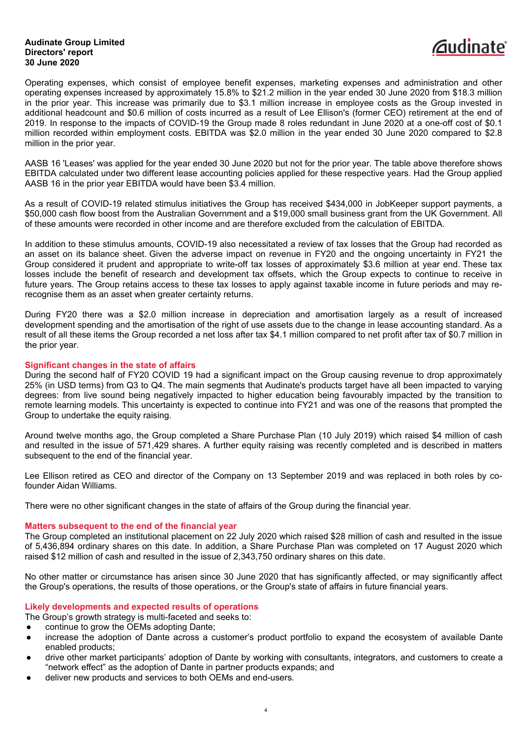

Operating expenses, which consist of employee benefit expenses, marketing expenses and administration and other operating expenses increased by approximately 15.8% to \$21.2 million in the year ended 30 June 2020 from \$18.3 million in the prior year. This increase was primarily due to \$3.1 million increase in employee costs as the Group invested in additional headcount and \$0.6 million of costs incurred as a result of Lee Ellison's (former CEO) retirement at the end of 2019. In response to the impacts of COVID-19 the Group made 8 roles redundant in June 2020 at a one-off cost of \$0.1 million recorded within employment costs. EBITDA was \$2.0 million in the year ended 30 June 2020 compared to \$2.8 million in the prior year.

AASB 16 'Leases' was applied for the year ended 30 June 2020 but not for the prior year. The table above therefore shows EBITDA calculated under two different lease accounting policies applied for these respective years. Had the Group applied AASB 16 in the prior year EBITDA would have been \$3.4 million.

As a result of COVID-19 related stimulus initiatives the Group has received \$434,000 in JobKeeper support payments, a \$50,000 cash flow boost from the Australian Government and a \$19,000 small business grant from the UK Government. All of these amounts were recorded in other income and are therefore excluded from the calculation of EBITDA.

In addition to these stimulus amounts, COVID-19 also necessitated a review of tax losses that the Group had recorded as an asset on its balance sheet. Given the adverse impact on revenue in FY20 and the ongoing uncertainty in FY21 the Group considered it prudent and appropriate to write-off tax losses of approximately \$3.6 million at year end. These tax losses include the benefit of research and development tax offsets, which the Group expects to continue to receive in future years. The Group retains access to these tax losses to apply against taxable income in future periods and may rerecognise them as an asset when greater certainty returns.

During FY20 there was a \$2.0 million increase in depreciation and amortisation largely as a result of increased development spending and the amortisation of the right of use assets due to the change in lease accounting standard. As a result of all these items the Group recorded a net loss after tax \$4.1 million compared to net profit after tax of \$0.7 million in the prior year.

# **Significant changes in the state of affairs**

During the second half of FY20 COVID 19 had a significant impact on the Group causing revenue to drop approximately 25% (in USD terms) from Q3 to Q4. The main segments that Audinate's products target have all been impacted to varying degrees: from live sound being negatively impacted to higher education being favourably impacted by the transition to remote learning models. This uncertainty is expected to continue into FY21 and was one of the reasons that prompted the Group to undertake the equity raising.

Around twelve months ago, the Group completed a Share Purchase Plan (10 July 2019) which raised \$4 million of cash and resulted in the issue of 571,429 shares. A further equity raising was recently completed and is described in matters subsequent to the end of the financial year.

Lee Ellison retired as CEO and director of the Company on 13 September 2019 and was replaced in both roles by cofounder Aidan Williams.

There were no other significant changes in the state of affairs of the Group during the financial year.

### **Matters subsequent to the end of the financial year**

The Group completed an institutional placement on 22 July 2020 which raised \$28 million of cash and resulted in the issue of 5,436,894 ordinary shares on this date. In addition, a Share Purchase Plan was completed on 17 August 2020 which raised \$12 million of cash and resulted in the issue of 2,343,750 ordinary shares on this date.

No other matter or circumstance has arisen since 30 June 2020 that has significantly affected, or may significantly affect the Group's operations, the results of those operations, or the Group's state of affairs in future financial years.

# **Likely developments and expected results of operations**

The Group's growth strategy is multi-faceted and seeks to:

- continue to grow the OEMs adopting Dante;
- increase the adoption of Dante across a customer's product portfolio to expand the ecosystem of available Dante enabled products;
- drive other market participants' adoption of Dante by working with consultants, integrators, and customers to create a "network effect" as the adoption of Dante in partner products expands; and
- deliver new products and services to both OEMs and end-users.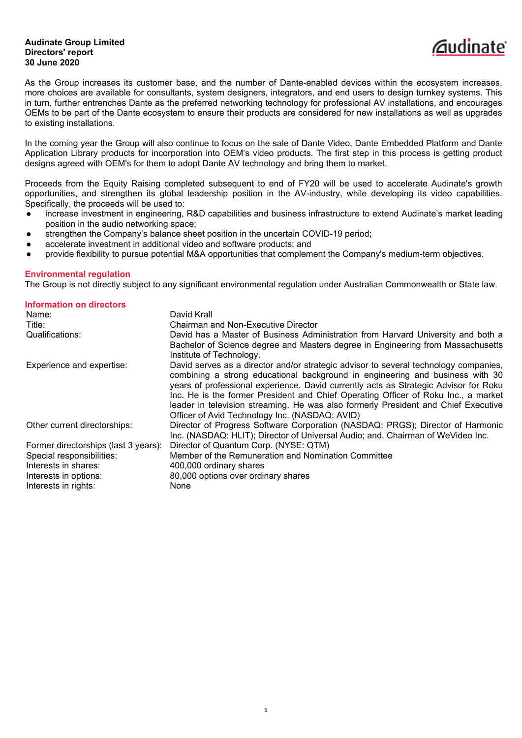

As the Group increases its customer base, and the number of Dante-enabled devices within the ecosystem increases, more choices are available for consultants, system designers, integrators, and end users to design turnkey systems. This in turn, further entrenches Dante as the preferred networking technology for professional AV installations, and encourages OEMs to be part of the Dante ecosystem to ensure their products are considered for new installations as well as upgrades to existing installations.

In the coming year the Group will also continue to focus on the sale of Dante Video, Dante Embedded Platform and Dante Application Library products for incorporation into OEM's video products. The first step in this process is getting product designs agreed with OEM's for them to adopt Dante AV technology and bring them to market.

Proceeds from the Equity Raising completed subsequent to end of FY20 will be used to accelerate Audinate's growth opportunities, and strengthen its global leadership position in the AV-industry, while developing its video capabilities. Specifically, the proceeds will be used to:

- increase investment in engineering, R&D capabilities and business infrastructure to extend Audinate's market leading position in the audio networking space;
- strengthen the Company's balance sheet position in the uncertain COVID-19 period;
- accelerate investment in additional video and software products; and
- provide flexibility to pursue potential M&A opportunities that complement the Company's medium-term objectives.

### **Environmental regulation**

The Group is not directly subject to any significant environmental regulation under Australian Commonwealth or State law.

| <b>Information on directors</b>      |                                                                                                                                                                                                                                                                                                                                                                                                                                                                                             |
|--------------------------------------|---------------------------------------------------------------------------------------------------------------------------------------------------------------------------------------------------------------------------------------------------------------------------------------------------------------------------------------------------------------------------------------------------------------------------------------------------------------------------------------------|
| Name:                                | David Krall                                                                                                                                                                                                                                                                                                                                                                                                                                                                                 |
| Title:                               | Chairman and Non-Executive Director                                                                                                                                                                                                                                                                                                                                                                                                                                                         |
| Qualifications:                      | David has a Master of Business Administration from Harvard University and both a                                                                                                                                                                                                                                                                                                                                                                                                            |
|                                      | Bachelor of Science degree and Masters degree in Engineering from Massachusetts                                                                                                                                                                                                                                                                                                                                                                                                             |
|                                      | Institute of Technology.                                                                                                                                                                                                                                                                                                                                                                                                                                                                    |
| Experience and expertise:            | David serves as a director and/or strategic advisor to several technology companies,<br>combining a strong educational background in engineering and business with 30<br>years of professional experience. David currently acts as Strategic Advisor for Roku<br>Inc. He is the former President and Chief Operating Officer of Roku Inc., a market<br>leader in television streaming. He was also formerly President and Chief Executive<br>Officer of Avid Technology Inc. (NASDAQ: AVID) |
| Other current directorships:         | Director of Progress Software Corporation (NASDAQ: PRGS); Director of Harmonic                                                                                                                                                                                                                                                                                                                                                                                                              |
|                                      | Inc. (NASDAQ: HLIT); Director of Universal Audio; and, Chairman of WeVideo Inc.                                                                                                                                                                                                                                                                                                                                                                                                             |
| Former directorships (last 3 years): | Director of Quantum Corp. (NYSE: QTM)                                                                                                                                                                                                                                                                                                                                                                                                                                                       |
| Special responsibilities:            | Member of the Remuneration and Nomination Committee                                                                                                                                                                                                                                                                                                                                                                                                                                         |
| Interests in shares:                 | 400,000 ordinary shares                                                                                                                                                                                                                                                                                                                                                                                                                                                                     |
| Interests in options:                | 80,000 options over ordinary shares                                                                                                                                                                                                                                                                                                                                                                                                                                                         |
| Interests in rights:                 | None                                                                                                                                                                                                                                                                                                                                                                                                                                                                                        |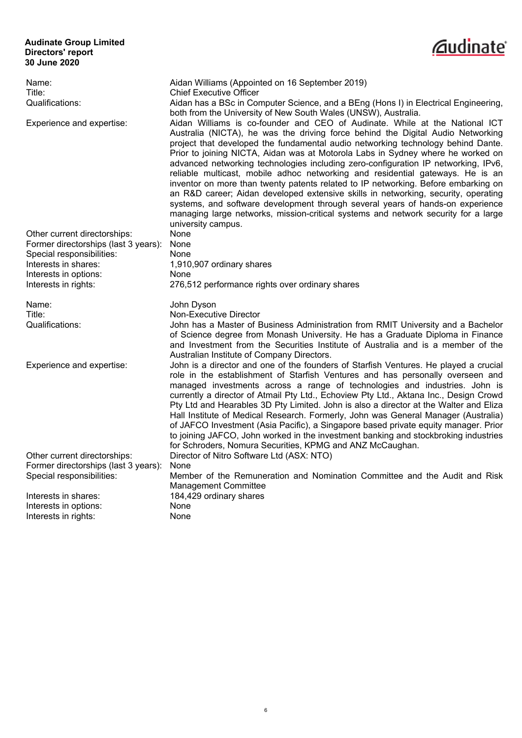

| Name:                                                             | Aidan Williams (Appointed on 16 September 2019)                                                                                                                        |
|-------------------------------------------------------------------|------------------------------------------------------------------------------------------------------------------------------------------------------------------------|
| Title:<br>Qualifications:                                         | <b>Chief Executive Officer</b><br>Aidan has a BSc in Computer Science, and a BEng (Hons I) in Electrical Engineering,                                                  |
|                                                                   | both from the University of New South Wales (UNSW), Australia.                                                                                                         |
| Experience and expertise:                                         | Aidan Williams is co-founder and CEO of Audinate. While at the National ICT                                                                                            |
|                                                                   | Australia (NICTA), he was the driving force behind the Digital Audio Networking                                                                                        |
|                                                                   | project that developed the fundamental audio networking technology behind Dante.                                                                                       |
|                                                                   | Prior to joining NICTA, Aidan was at Motorola Labs in Sydney where he worked on                                                                                        |
|                                                                   | advanced networking technologies including zero-configuration IP networking, IPv6,                                                                                     |
|                                                                   | reliable multicast, mobile adhoc networking and residential gateways. He is an                                                                                         |
|                                                                   | inventor on more than twenty patents related to IP networking. Before embarking on                                                                                     |
|                                                                   | an R&D career; Aidan developed extensive skills in networking, security, operating                                                                                     |
|                                                                   | systems, and software development through several years of hands-on experience                                                                                         |
|                                                                   | managing large networks, mission-critical systems and network security for a large                                                                                     |
|                                                                   | university campus.                                                                                                                                                     |
| Other current directorships:                                      | None                                                                                                                                                                   |
| Former directorships (last 3 years):<br>Special responsibilities: | None<br>None                                                                                                                                                           |
| Interests in shares:                                              | 1,910,907 ordinary shares                                                                                                                                              |
| Interests in options:                                             | None                                                                                                                                                                   |
| Interests in rights:                                              | 276,512 performance rights over ordinary shares                                                                                                                        |
|                                                                   |                                                                                                                                                                        |
|                                                                   |                                                                                                                                                                        |
| Name:                                                             | John Dyson                                                                                                                                                             |
| Title:                                                            | Non-Executive Director                                                                                                                                                 |
| Qualifications:                                                   | John has a Master of Business Administration from RMIT University and a Bachelor                                                                                       |
|                                                                   | of Science degree from Monash University. He has a Graduate Diploma in Finance                                                                                         |
|                                                                   | and Investment from the Securities Institute of Australia and is a member of the                                                                                       |
|                                                                   | Australian Institute of Company Directors.                                                                                                                             |
| Experience and expertise:                                         | John is a director and one of the founders of Starfish Ventures. He played a crucial<br>role in the establishment of Starfish Ventures and has personally overseen and |
|                                                                   | managed investments across a range of technologies and industries. John is                                                                                             |
|                                                                   | currently a director of Atmail Pty Ltd., Echoview Pty Ltd., Aktana Inc., Design Crowd                                                                                  |
|                                                                   | Pty Ltd and Hearables 3D Pty Limited. John is also a director at the Walter and Eliza                                                                                  |
|                                                                   | Hall Institute of Medical Research. Formerly, John was General Manager (Australia)                                                                                     |
|                                                                   | of JAFCO Investment (Asia Pacific), a Singapore based private equity manager. Prior                                                                                    |
|                                                                   | to joining JAFCO, John worked in the investment banking and stockbroking industries                                                                                    |
|                                                                   | for Schroders, Nomura Securities, KPMG and ANZ McCaughan.                                                                                                              |
| Other current directorships:                                      | Director of Nitro Software Ltd (ASX: NTO)                                                                                                                              |
| Former directorships (last 3 years):                              | None                                                                                                                                                                   |
| Special responsibilities:                                         | Member of the Remuneration and Nomination Committee and the Audit and Risk<br><b>Management Committee</b>                                                              |
| Interests in shares:                                              | 184,429 ordinary shares                                                                                                                                                |
| Interests in options:<br>Interests in rights:                     | None                                                                                                                                                                   |

6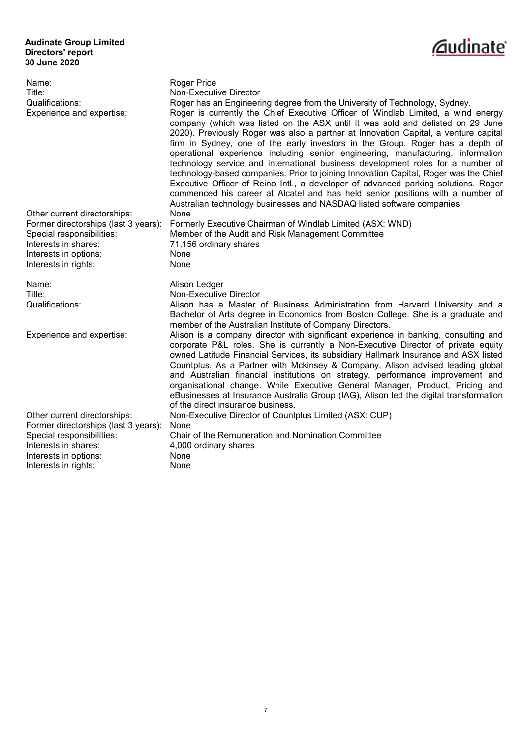

| Name:<br>Title:<br>Qualifications:<br>Experience and expertise:                                                                                                            | <b>Roger Price</b><br>Non-Executive Director<br>Roger has an Engineering degree from the University of Technology, Sydney.<br>Roger is currently the Chief Executive Officer of Windlab Limited, a wind energy<br>company (which was listed on the ASX until it was sold and delisted on 29 June<br>2020). Previously Roger was also a partner at Innovation Capital, a venture capital<br>firm in Sydney, one of the early investors in the Group. Roger has a depth of<br>operational experience including senior engineering, manufacturing, information<br>technology service and international business development roles for a number of<br>technology-based companies. Prior to joining Innovation Capital, Roger was the Chief<br>Executive Officer of Reino Intl., a developer of advanced parking solutions. Roger<br>commenced his career at Alcatel and has held senior positions with a number of<br>Australian technology businesses and NASDAQ listed software companies. |
|----------------------------------------------------------------------------------------------------------------------------------------------------------------------------|------------------------------------------------------------------------------------------------------------------------------------------------------------------------------------------------------------------------------------------------------------------------------------------------------------------------------------------------------------------------------------------------------------------------------------------------------------------------------------------------------------------------------------------------------------------------------------------------------------------------------------------------------------------------------------------------------------------------------------------------------------------------------------------------------------------------------------------------------------------------------------------------------------------------------------------------------------------------------------------|
| Other current directorships:<br>Former directorships (last 3 years):<br>Special responsibilities:<br>Interests in shares:<br>Interests in options:<br>Interests in rights: | None<br>Formerly Executive Chairman of Windlab Limited (ASX: WND)<br>Member of the Audit and Risk Management Committee<br>71,156 ordinary shares<br>None<br>None                                                                                                                                                                                                                                                                                                                                                                                                                                                                                                                                                                                                                                                                                                                                                                                                                         |
| Name:<br>Title:<br>Qualifications:                                                                                                                                         | Alison Ledger<br>Non-Executive Director<br>Alison has a Master of Business Administration from Harvard University and a<br>Bachelor of Arts degree in Economics from Boston College. She is a graduate and<br>member of the Australian Institute of Company Directors.                                                                                                                                                                                                                                                                                                                                                                                                                                                                                                                                                                                                                                                                                                                   |
| Experience and expertise:                                                                                                                                                  | Alison is a company director with significant experience in banking, consulting and<br>corporate P&L roles. She is currently a Non-Executive Director of private equity<br>owned Latitude Financial Services, its subsidiary Hallmark Insurance and ASX listed<br>Countplus. As a Partner with Mckinsey & Company, Alison advised leading global<br>and Australian financial institutions on strategy, performance improvement and<br>organisational change. While Executive General Manager, Product, Pricing and<br>eBusinesses at Insurance Australia Group (IAG), Alison led the digital transformation<br>of the direct insurance business.                                                                                                                                                                                                                                                                                                                                         |
| Other current directorships:<br>Former directorships (last 3 years):<br>Special responsibilities:<br>Interests in shares:<br>Interests in options:<br>Interests in rights: | Non-Executive Director of Countplus Limited (ASX: CUP)<br>None<br>Chair of the Remuneration and Nomination Committee<br>4,000 ordinary shares<br>None<br>None                                                                                                                                                                                                                                                                                                                                                                                                                                                                                                                                                                                                                                                                                                                                                                                                                            |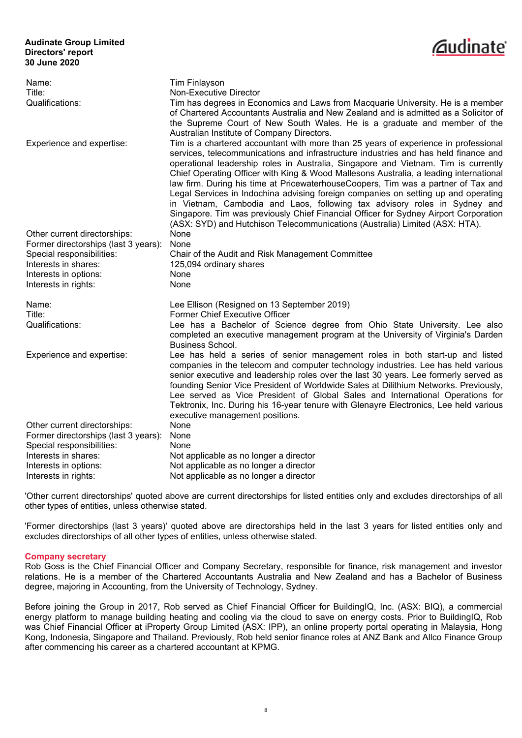

| Name:                                | <b>Tim Finlayson</b>                                                                                                                                                                                                                                                                                                                                                                                                                                                                                                                                                                                                                                                                                                                                                                     |
|--------------------------------------|------------------------------------------------------------------------------------------------------------------------------------------------------------------------------------------------------------------------------------------------------------------------------------------------------------------------------------------------------------------------------------------------------------------------------------------------------------------------------------------------------------------------------------------------------------------------------------------------------------------------------------------------------------------------------------------------------------------------------------------------------------------------------------------|
| Title:                               | Non-Executive Director                                                                                                                                                                                                                                                                                                                                                                                                                                                                                                                                                                                                                                                                                                                                                                   |
| Qualifications:                      | Tim has degrees in Economics and Laws from Macquarie University. He is a member<br>of Chartered Accountants Australia and New Zealand and is admitted as a Solicitor of<br>the Supreme Court of New South Wales. He is a graduate and member of the<br>Australian Institute of Company Directors.                                                                                                                                                                                                                                                                                                                                                                                                                                                                                        |
| Experience and expertise:            | Tim is a chartered accountant with more than 25 years of experience in professional<br>services, telecommunications and infrastructure industries and has held finance and<br>operational leadership roles in Australia, Singapore and Vietnam. Tim is currently<br>Chief Operating Officer with King & Wood Mallesons Australia, a leading international<br>law firm. During his time at PricewaterhouseCoopers, Tim was a partner of Tax and<br>Legal Services in Indochina advising foreign companies on setting up and operating<br>in Vietnam, Cambodia and Laos, following tax advisory roles in Sydney and<br>Singapore. Tim was previously Chief Financial Officer for Sydney Airport Corporation<br>(ASX: SYD) and Hutchison Telecommunications (Australia) Limited (ASX: HTA). |
| Other current directorships:         | None                                                                                                                                                                                                                                                                                                                                                                                                                                                                                                                                                                                                                                                                                                                                                                                     |
| Former directorships (last 3 years): | None                                                                                                                                                                                                                                                                                                                                                                                                                                                                                                                                                                                                                                                                                                                                                                                     |
| Special responsibilities:            | Chair of the Audit and Risk Management Committee                                                                                                                                                                                                                                                                                                                                                                                                                                                                                                                                                                                                                                                                                                                                         |
| Interests in shares:                 | 125,094 ordinary shares                                                                                                                                                                                                                                                                                                                                                                                                                                                                                                                                                                                                                                                                                                                                                                  |
| Interests in options:                | None                                                                                                                                                                                                                                                                                                                                                                                                                                                                                                                                                                                                                                                                                                                                                                                     |
| Interests in rights:                 | None                                                                                                                                                                                                                                                                                                                                                                                                                                                                                                                                                                                                                                                                                                                                                                                     |
| Name:                                | Lee Ellison (Resigned on 13 September 2019)                                                                                                                                                                                                                                                                                                                                                                                                                                                                                                                                                                                                                                                                                                                                              |
| Title:                               | Former Chief Executive Officer                                                                                                                                                                                                                                                                                                                                                                                                                                                                                                                                                                                                                                                                                                                                                           |
| Qualifications:                      | Lee has a Bachelor of Science degree from Ohio State University. Lee also<br>completed an executive management program at the University of Virginia's Darden                                                                                                                                                                                                                                                                                                                                                                                                                                                                                                                                                                                                                            |
| Experience and expertise:            | Business School.<br>Lee has held a series of senior management roles in both start-up and listed<br>companies in the telecom and computer technology industries. Lee has held various<br>senior executive and leadership roles over the last 30 years. Lee formerly served as<br>founding Senior Vice President of Worldwide Sales at Dilithium Networks. Previously,<br>Lee served as Vice President of Global Sales and International Operations for<br>Tektronix, Inc. During his 16-year tenure with Glenayre Electronics, Lee held various<br>executive management positions.                                                                                                                                                                                                       |
| Other current directorships:         | None                                                                                                                                                                                                                                                                                                                                                                                                                                                                                                                                                                                                                                                                                                                                                                                     |
| Former directorships (last 3 years): | None                                                                                                                                                                                                                                                                                                                                                                                                                                                                                                                                                                                                                                                                                                                                                                                     |
| Special responsibilities:            | None                                                                                                                                                                                                                                                                                                                                                                                                                                                                                                                                                                                                                                                                                                                                                                                     |
| Interests in shares:                 | Not applicable as no longer a director                                                                                                                                                                                                                                                                                                                                                                                                                                                                                                                                                                                                                                                                                                                                                   |
| Interests in options:                | Not applicable as no longer a director                                                                                                                                                                                                                                                                                                                                                                                                                                                                                                                                                                                                                                                                                                                                                   |
| Interests in rights:                 | Not applicable as no longer a director                                                                                                                                                                                                                                                                                                                                                                                                                                                                                                                                                                                                                                                                                                                                                   |

'Other current directorships' quoted above are current directorships for listed entities only and excludes directorships of all other types of entities, unless otherwise stated.

'Former directorships (last 3 years)' quoted above are directorships held in the last 3 years for listed entities only and excludes directorships of all other types of entities, unless otherwise stated.

### **Company secretary**

Rob Goss is the Chief Financial Officer and Company Secretary, responsible for finance, risk management and investor relations. He is a member of the Chartered Accountants Australia and New Zealand and has a Bachelor of Business degree, majoring in Accounting, from the University of Technology, Sydney.

Before joining the Group in 2017, Rob served as Chief Financial Officer for BuildingIQ, Inc. (ASX: BIQ), a commercial energy platform to manage building heating and cooling via the cloud to save on energy costs. Prior to BuildingIQ, Rob was Chief Financial Officer at iProperty Group Limited (ASX: IPP), an online property portal operating in Malaysia, Hong Kong, Indonesia, Singapore and Thailand. Previously, Rob held senior finance roles at ANZ Bank and Allco Finance Group after commencing his career as a chartered accountant at KPMG.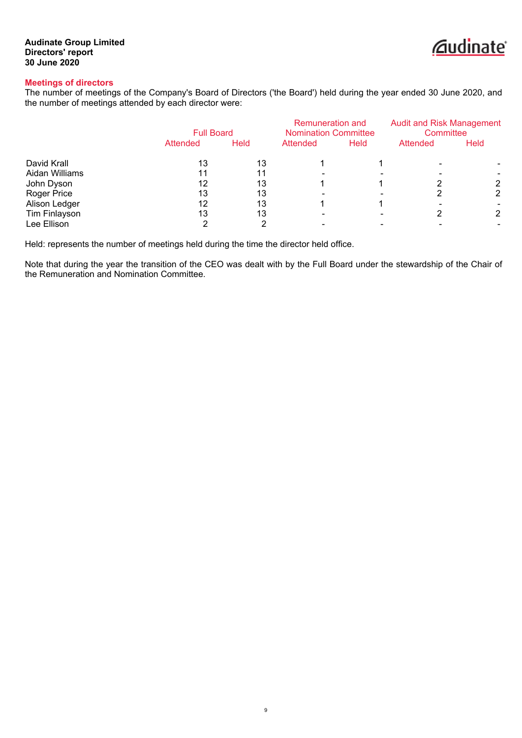

# **Meetings of directors**

The number of meetings of the Company's Board of Directors ('the Board') held during the year ended 30 June 2020, and the number of meetings attended by each director were:

|                | <b>Full Board</b> |             | Remuneration and<br><b>Nomination Committee</b> |             | <b>Audit and Risk Management</b><br>Committee |      |
|----------------|-------------------|-------------|-------------------------------------------------|-------------|-----------------------------------------------|------|
|                | Attended          | <b>Held</b> | Attended                                        | <b>Held</b> | Attended                                      | Held |
| David Krall    | 13                | 13          |                                                 |             |                                               |      |
| Aidan Williams |                   |             |                                                 |             |                                               |      |
| John Dyson     | 12                | 13          |                                                 |             |                                               |      |
| Roger Price    | 13                | 13          |                                                 |             |                                               | 2    |
| Alison Ledger  | 12                | 13          |                                                 |             |                                               |      |
| Tim Finlayson  | 13                | 13          |                                                 |             |                                               | 2    |
| Lee Ellison    |                   |             |                                                 |             |                                               |      |

Held: represents the number of meetings held during the time the director held office.

Note that during the year the transition of the CEO was dealt with by the Full Board under the stewardship of the Chair of the Remuneration and Nomination Committee.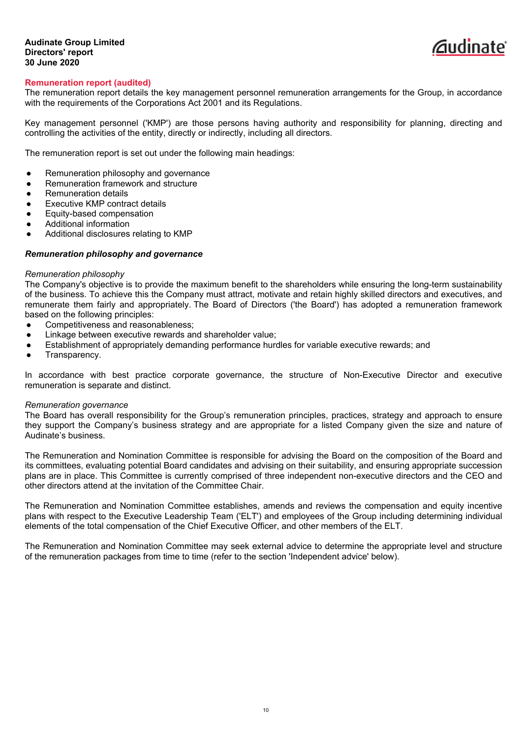

# **Remuneration report (audited)**

The remuneration report details the key management personnel remuneration arrangements for the Group, in accordance with the requirements of the Corporations Act 2001 and its Regulations.

Key management personnel ('KMP') are those persons having authority and responsibility for planning, directing and controlling the activities of the entity, directly or indirectly, including all directors.

The remuneration report is set out under the following main headings:

- Remuneration philosophy and governance
- Remuneration framework and structure
- Remuneration details
- Executive KMP contract details
- Equity-based compensation
- Additional information
- Additional disclosures relating to KMP

# *Remuneration philosophy and governance*

#### *Remuneration philosophy*

The Company's objective is to provide the maximum benefit to the shareholders while ensuring the long-term sustainability of the business. To achieve this the Company must attract, motivate and retain highly skilled directors and executives, and remunerate them fairly and appropriately. The Board of Directors ('the Board') has adopted a remuneration framework based on the following principles:

- Competitiveness and reasonableness:
- Linkage between executive rewards and shareholder value;
- Establishment of appropriately demanding performance hurdles for variable executive rewards; and
- Transparency.

In accordance with best practice corporate governance, the structure of Non-Executive Director and executive remuneration is separate and distinct.

#### *Remuneration governance*

The Board has overall responsibility for the Group's remuneration principles, practices, strategy and approach to ensure they support the Company's business strategy and are appropriate for a listed Company given the size and nature of Audinate's business.

The Remuneration and Nomination Committee is responsible for advising the Board on the composition of the Board and its committees, evaluating potential Board candidates and advising on their suitability, and ensuring appropriate succession plans are in place. This Committee is currently comprised of three independent non-executive directors and the CEO and other directors attend at the invitation of the Committee Chair.

The Remuneration and Nomination Committee establishes, amends and reviews the compensation and equity incentive plans with respect to the Executive Leadership Team ('ELT') and employees of the Group including determining individual elements of the total compensation of the Chief Executive Officer, and other members of the ELT.

The Remuneration and Nomination Committee may seek external advice to determine the appropriate level and structure of the remuneration packages from time to time (refer to the section 'Independent advice' below).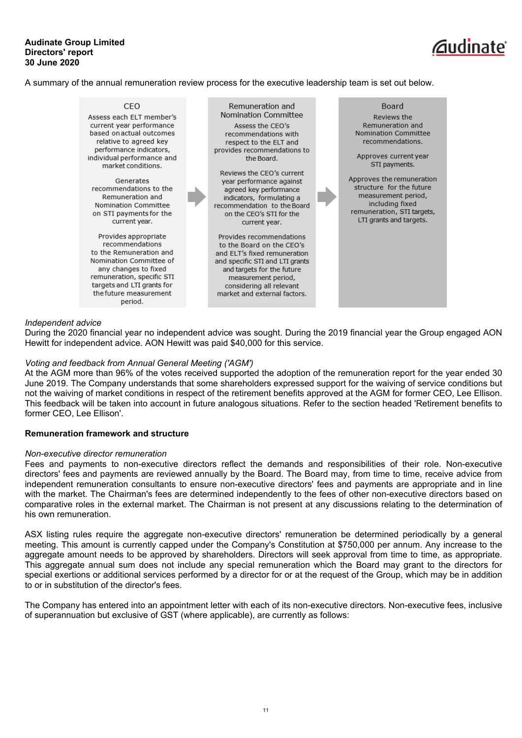# *C*udinate

A summary of the annual remuneration review process for the executive leadership team is set out below.



# *Independent advice*

During the 2020 financial year no independent advice was sought. During the 2019 financial year the Group engaged AON Hewitt for independent advice. AON Hewitt was paid \$40,000 for this service.

### *Voting and feedback from Annual General Meeting ('AGM')*

At the AGM more than 96% of the votes received supported the adoption of the remuneration report for the year ended 30 June 2019. The Company understands that some shareholders expressed support for the waiving of service conditions but not the waiving of market conditions in respect of the retirement benefits approved at the AGM for former CEO, Lee Ellison. This feedback will be taken into account in future analogous situations. Refer to the section headed 'Retirement benefits to former CEO, Lee Ellison'.

### **Remuneration framework and structure**

### *Non-executive director remuneration*

Fees and payments to non-executive directors reflect the demands and responsibilities of their role. Non-executive directors' fees and payments are reviewed annually by the Board. The Board may, from time to time, receive advice from independent remuneration consultants to ensure non-executive directors' fees and payments are appropriate and in line with the market. The Chairman's fees are determined independently to the fees of other non-executive directors based on comparative roles in the external market. The Chairman is not present at any discussions relating to the determination of his own remuneration.

ASX listing rules require the aggregate non-executive directors' remuneration be determined periodically by a general meeting. This amount is currently capped under the Company's Constitution at \$750,000 per annum. Any increase to the aggregate amount needs to be approved by shareholders. Directors will seek approval from time to time, as appropriate. This aggregate annual sum does not include any special remuneration which the Board may grant to the directors for special exertions or additional services performed by a director for or at the request of the Group, which may be in addition to or in substitution of the director's fees.

The Company has entered into an appointment letter with each of its non-executive directors. Non-executive fees, inclusive of superannuation but exclusive of GST (where applicable), are currently as follows: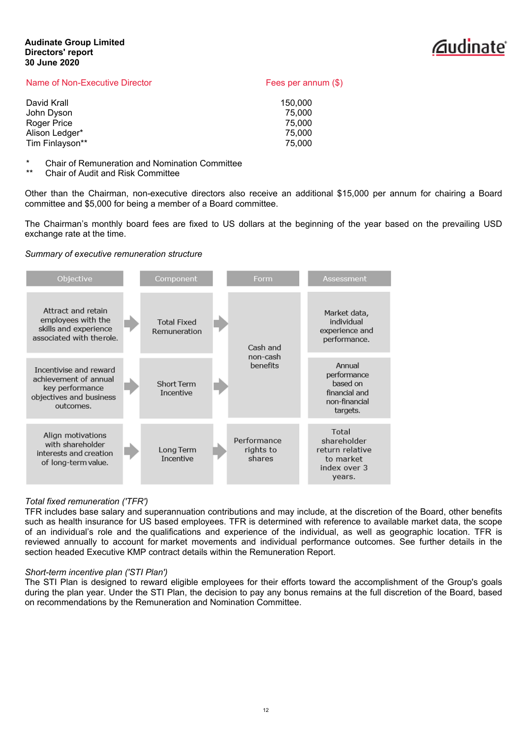

| Fees per annum $(\$)$ |
|-----------------------|
| 150,000               |
| 75.000                |
| 75,000                |
| 75,000                |
| 75,000                |
|                       |

\* Chair of Remuneration and Nomination Committee

Chair of Audit and Risk Committee

Other than the Chairman, non-executive directors also receive an additional \$15,000 per annum for chairing a Board committee and \$5,000 for being a member of a Board committee.

The Chairman's monthly board fees are fixed to US dollars at the beginning of the year based on the prevailing USD exchange rate at the time.

# *Summary of executive remuneration structure*



# *Total fixed remuneration ('TFR')*

TFR includes base salary and superannuation contributions and may include, at the discretion of the Board, other benefits such as health insurance for US based employees. TFR is determined with reference to available market data, the scope of an individual's role and the qualifications and experience of the individual, as well as geographic location. TFR is reviewed annually to account for market movements and individual performance outcomes. See further details in the section headed Executive KMP contract details within the Remuneration Report.

# *Short-term incentive plan ('STI Plan')*

The STI Plan is designed to reward eligible employees for their efforts toward the accomplishment of the Group's goals during the plan year. Under the STI Plan, the decision to pay any bonus remains at the full discretion of the Board, based on recommendations by the Remuneration and Nomination Committee.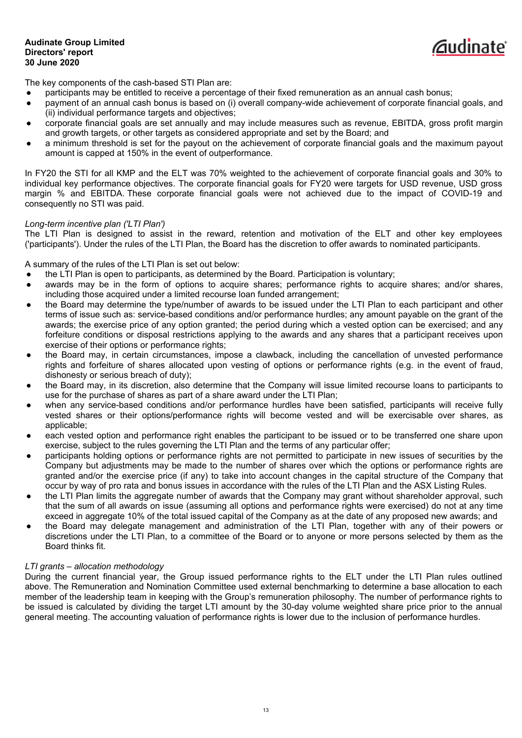The key components of the cash-based STI Plan are:

- participants may be entitled to receive a percentage of their fixed remuneration as an annual cash bonus;
- payment of an annual cash bonus is based on (i) overall company-wide achievement of corporate financial goals, and (ii) individual performance targets and objectives;

*C*udinate

- corporate financial goals are set annually and may include measures such as revenue, EBITDA, gross profit margin and growth targets, or other targets as considered appropriate and set by the Board; and
- a minimum threshold is set for the payout on the achievement of corporate financial goals and the maximum payout amount is capped at 150% in the event of outperformance.

In FY20 the STI for all KMP and the ELT was 70% weighted to the achievement of corporate financial goals and 30% to individual key performance objectives. The corporate financial goals for FY20 were targets for USD revenue, USD gross margin % and EBITDA. These corporate financial goals were not achieved due to the impact of COVID-19 and consequently no STI was paid.

# *Long-term incentive plan ('LTI Plan')*

The LTI Plan is designed to assist in the reward, retention and motivation of the ELT and other key employees ('participants'). Under the rules of the LTI Plan, the Board has the discretion to offer awards to nominated participants.

A summary of the rules of the LTI Plan is set out below:

- the LTI Plan is open to participants, as determined by the Board. Participation is voluntary;
- awards may be in the form of options to acquire shares; performance rights to acquire shares; and/or shares, including those acquired under a limited recourse loan funded arrangement;
- the Board may determine the type/number of awards to be issued under the LTI Plan to each participant and other terms of issue such as: service-based conditions and/or performance hurdles; any amount payable on the grant of the awards; the exercise price of any option granted; the period during which a vested option can be exercised; and any forfeiture conditions or disposal restrictions applying to the awards and any shares that a participant receives upon exercise of their options or performance rights;
- the Board may, in certain circumstances, impose a clawback, including the cancellation of unvested performance rights and forfeiture of shares allocated upon vesting of options or performance rights (e.g. in the event of fraud, dishonesty or serious breach of duty);
- the Board may, in its discretion, also determine that the Company will issue limited recourse loans to participants to use for the purchase of shares as part of a share award under the LTI Plan;
- when any service-based conditions and/or performance hurdles have been satisfied, participants will receive fully vested shares or their options/performance rights will become vested and will be exercisable over shares, as applicable;
- each vested option and performance right enables the participant to be issued or to be transferred one share upon exercise, subject to the rules governing the LTI Plan and the terms of any particular offer;
- participants holding options or performance rights are not permitted to participate in new issues of securities by the Company but adjustments may be made to the number of shares over which the options or performance rights are granted and/or the exercise price (if any) to take into account changes in the capital structure of the Company that occur by way of pro rata and bonus issues in accordance with the rules of the LTI Plan and the ASX Listing Rules.
- the LTI Plan limits the aggregate number of awards that the Company may grant without shareholder approval, such that the sum of all awards on issue (assuming all options and performance rights were exercised) do not at any time exceed in aggregate 10% of the total issued capital of the Company as at the date of any proposed new awards; and
- the Board may delegate management and administration of the LTI Plan, together with any of their powers or discretions under the LTI Plan, to a committee of the Board or to anyone or more persons selected by them as the Board thinks fit.

# *LTI grants – allocation methodology*

During the current financial year, the Group issued performance rights to the ELT under the LTI Plan rules outlined above. The Remuneration and Nomination Committee used external benchmarking to determine a base allocation to each member of the leadership team in keeping with the Group's remuneration philosophy. The number of performance rights to be issued is calculated by dividing the target LTI amount by the 30-day volume weighted share price prior to the annual general meeting. The accounting valuation of performance rights is lower due to the inclusion of performance hurdles.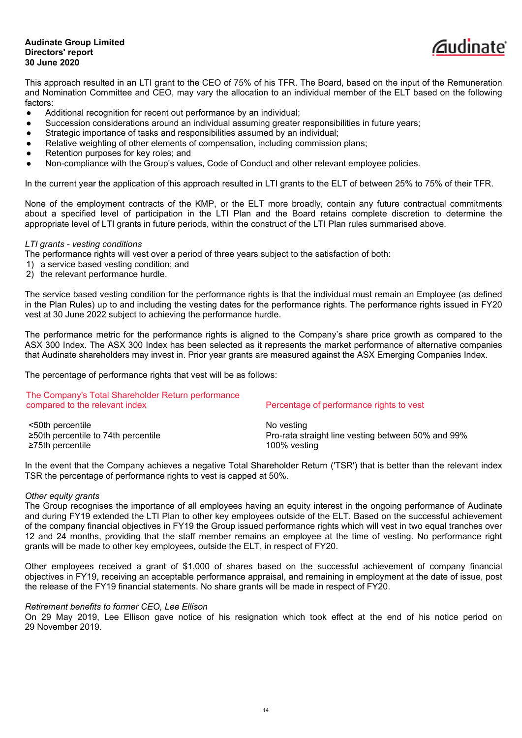

This approach resulted in an LTI grant to the CEO of 75% of his TFR. The Board, based on the input of the Remuneration and Nomination Committee and CEO, may vary the allocation to an individual member of the ELT based on the following factors:

- Additional recognition for recent out performance by an individual;
- Succession considerations around an individual assuming greater responsibilities in future vears;
- Strategic importance of tasks and responsibilities assumed by an individual;
- Relative weighting of other elements of compensation, including commission plans;
- Retention purposes for key roles; and
- Non-compliance with the Group's values, Code of Conduct and other relevant employee policies.

In the current year the application of this approach resulted in LTI grants to the ELT of between 25% to 75% of their TFR.

None of the employment contracts of the KMP, or the ELT more broadly, contain any future contractual commitments about a specified level of participation in the LTI Plan and the Board retains complete discretion to determine the appropriate level of LTI grants in future periods, within the construct of the LTI Plan rules summarised above.

#### *LTI grants - vesting conditions*

The performance rights will vest over a period of three years subject to the satisfaction of both:

- 1) a service based vesting condition; and
- 2) the relevant performance hurdle.

The service based vesting condition for the performance rights is that the individual must remain an Employee (as defined in the Plan Rules) up to and including the vesting dates for the performance rights. The performance rights issued in FY20 vest at 30 June 2022 subject to achieving the performance hurdle.

The performance metric for the performance rights is aligned to the Company's share price growth as compared to the ASX 300 Index. The ASX 300 Index has been selected as it represents the market performance of alternative companies that Audinate shareholders may invest in. Prior year grants are measured against the ASX Emerging Companies Index.

The percentage of performance rights that vest will be as follows:

# The Company's Total Shareholder Return performance compared to the relevant index Percentage of performance rights to vest <50th percentile No vesting ≥50th percentile to 74th percentile Pro-rata straight line vesting between 50% and 99% ≥75th percentile 100% vesting

In the event that the Company achieves a negative Total Shareholder Return ('TSR') that is better than the relevant index TSR the percentage of performance rights to vest is capped at 50%.

### *Other equity grants*

The Group recognises the importance of all employees having an equity interest in the ongoing performance of Audinate and during FY19 extended the LTI Plan to other key employees outside of the ELT. Based on the successful achievement of the company financial objectives in FY19 the Group issued performance rights which will vest in two equal tranches over 12 and 24 months, providing that the staff member remains an employee at the time of vesting. No performance right grants will be made to other key employees, outside the ELT, in respect of FY20.

Other employees received a grant of \$1,000 of shares based on the successful achievement of company financial objectives in FY19, receiving an acceptable performance appraisal, and remaining in employment at the date of issue, post the release of the FY19 financial statements. No share grants will be made in respect of FY20.

### *Retirement benefits to former CEO, Lee Ellison*

On 29 May 2019, Lee Ellison gave notice of his resignation which took effect at the end of his notice period on 29 November 2019.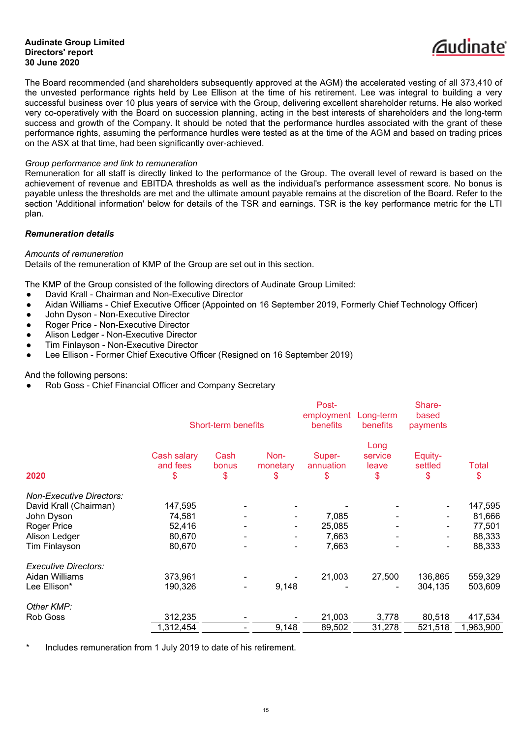

The Board recommended (and shareholders subsequently approved at the AGM) the accelerated vesting of all 373,410 of the unvested performance rights held by Lee Ellison at the time of his retirement. Lee was integral to building a very successful business over 10 plus years of service with the Group, delivering excellent shareholder returns. He also worked very co-operatively with the Board on succession planning, acting in the best interests of shareholders and the long-term success and growth of the Company. It should be noted that the performance hurdles associated with the grant of these performance rights, assuming the performance hurdles were tested as at the time of the AGM and based on trading prices on the ASX at that time, had been significantly over-achieved.

# *Group performance and link to remuneration*

Remuneration for all staff is directly linked to the performance of the Group. The overall level of reward is based on the achievement of revenue and EBITDA thresholds as well as the individual's performance assessment score. No bonus is payable unless the thresholds are met and the ultimate amount payable remains at the discretion of the Board. Refer to the section 'Additional information' below for details of the TSR and earnings. TSR is the key performance metric for the LTI plan.

### *Remuneration details*

### *Amounts of remuneration*

Details of the remuneration of KMP of the Group are set out in this section.

The KMP of the Group consisted of the following directors of Audinate Group Limited:

- David Krall Chairman and Non-Executive Director
- Aidan Williams Chief Executive Officer (Appointed on 16 September 2019, Formerly Chief Technology Officer)
- John Dyson Non-Executive Director
- Roger Price Non-Executive Director
- Alison Ledger Non-Executive Director
- **Tim Finlayson Non-Executive Director**
- Lee Ellison Former Chief Executive Officer (Resigned on 16 September 2019)

And the following persons:

Rob Goss - Chief Financial Officer and Company Secretary

|                                 |                               | Short-term benefits |                        | Post-<br>employment<br>benefits | Long-term<br>benefits          | Share-<br>based<br>payments |             |
|---------------------------------|-------------------------------|---------------------|------------------------|---------------------------------|--------------------------------|-----------------------------|-------------|
| 2020                            | Cash salary<br>and fees<br>\$ | Cash<br>bonus<br>\$ | Non-<br>monetary<br>\$ | Super-<br>annuation<br>\$       | Long<br>service<br>leave<br>\$ | Equity-<br>settled<br>\$    | Total<br>\$ |
| <b>Non-Executive Directors:</b> |                               |                     |                        |                                 |                                |                             |             |
| David Krall (Chairman)          | 147,595                       |                     |                        |                                 |                                |                             | 147,595     |
| John Dyson                      | 74,581                        |                     |                        | 7,085                           |                                |                             | 81,666      |
| Roger Price                     | 52,416                        |                     |                        | 25,085                          |                                | -                           | 77,501      |
| Alison Ledger                   | 80,670                        |                     |                        | 7,663                           |                                |                             | 88,333      |
| Tim Finlayson                   | 80,670                        |                     |                        | 7,663                           |                                |                             | 88,333      |
| <b>Executive Directors:</b>     |                               |                     |                        |                                 |                                |                             |             |
| Aidan Williams                  | 373,961                       |                     |                        | 21,003                          | 27,500                         | 136,865                     | 559,329     |
| Lee Ellison*                    | 190,326                       |                     | 9,148                  |                                 |                                | 304,135                     | 503,609     |
| Other KMP:                      |                               |                     |                        |                                 |                                |                             |             |
| Rob Goss                        | 312,235                       |                     |                        | 21,003                          | 3,778                          | 80,518                      | 417,534     |
|                                 | 1,312,454                     |                     | 9,148                  | 89,502                          | 31,278                         | 521,518                     | 1,963,900   |
|                                 |                               |                     |                        |                                 |                                |                             |             |

Includes remuneration from 1 July 2019 to date of his retirement.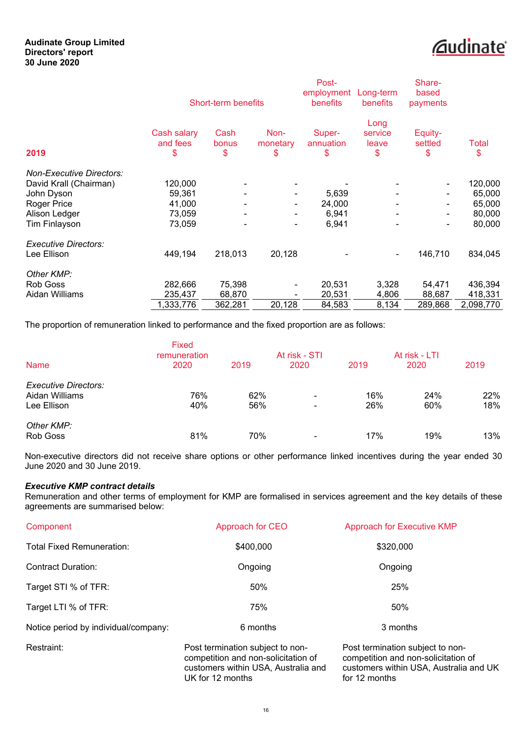

|                                 |                               | Short-term benefits |                          | Post-<br>employment<br>benefits | Long-term<br>benefits          | Share-<br>based<br>payments  |                    |
|---------------------------------|-------------------------------|---------------------|--------------------------|---------------------------------|--------------------------------|------------------------------|--------------------|
| 2019                            | Cash salary<br>and fees<br>\$ | Cash<br>bonus<br>\$ | Non-<br>monetary<br>\$   | Super-<br>annuation<br>\$       | Long<br>service<br>leave<br>\$ | Equity-<br>settled<br>\$     | <b>Total</b><br>\$ |
| <b>Non-Executive Directors:</b> |                               |                     |                          |                                 |                                |                              |                    |
| David Krall (Chairman)          | 120,000                       |                     |                          |                                 |                                |                              | 120,000            |
| John Dyson                      | 59,361                        |                     | $\overline{\phantom{a}}$ | 5,639                           |                                | ۰.                           | 65,000             |
| Roger Price                     | 41,000                        | $\blacksquare$      | $\blacksquare$           | 24,000                          |                                | ۰.                           | 65,000             |
| Alison Ledger                   | 73,059                        | $\blacksquare$      | $\blacksquare$           | 6,941                           |                                | $\qquad \qquad \blacksquare$ | 80,000             |
| <b>Tim Finlayson</b>            | 73,059                        |                     | ٠                        | 6,941                           |                                |                              | 80,000             |
| <b>Executive Directors:</b>     |                               |                     |                          |                                 |                                |                              |                    |
| Lee Ellison                     | 449,194                       | 218,013             | 20,128                   |                                 | ۰                              | 146,710                      | 834,045            |
| Other KMP:                      |                               |                     |                          |                                 |                                |                              |                    |
| Rob Goss                        | 282,666                       | 75,398              | $\blacksquare$           | 20,531                          | 3,328                          | 54,471                       | 436,394            |
| Aidan Williams                  | 235,437                       | 68,870              |                          | 20,531                          | 4,806                          | 88,687                       | 418,331            |
|                                 | 1,333,776                     | 362,281             | 20,128                   | 84,583                          | 8,134                          | 289,868                      | 2,098,770          |

The proportion of remuneration linked to performance and the fixed proportion are as follows:

| <b>Name</b>                                           | <b>Fixed</b><br>remuneration<br>2020 | 2019       | At risk - STI<br>2020                                | 2019       | At risk - LTI<br>2020 | 2019       |
|-------------------------------------------------------|--------------------------------------|------------|------------------------------------------------------|------------|-----------------------|------------|
| Executive Directors:<br>Aidan Williams<br>Lee Ellison | 76%<br>40%                           | 62%<br>56% | $\overline{\phantom{0}}$<br>$\overline{\phantom{a}}$ | 16%<br>26% | 24%<br>60%            | 22%<br>18% |
| Other KMP:<br>Rob Goss                                | 81%                                  | 70%        | $\overline{\phantom{0}}$                             | 17%        | 19%                   | 13%        |

Non-executive directors did not receive share options or other performance linked incentives during the year ended 30 June 2020 and 30 June 2019.

# *Executive KMP contract details*

Remuneration and other terms of employment for KMP are formalised in services agreement and the key details of these agreements are summarised below:

| Component                            | Approach for CEO                 | <b>Approach for Executive KMP</b> |
|--------------------------------------|----------------------------------|-----------------------------------|
| <b>Total Fixed Remuneration:</b>     | \$400,000                        | \$320,000                         |
| <b>Contract Duration:</b>            | Ongoing                          | Ongoing                           |
| Target STI % of TFR:                 | 50%                              | 25%                               |
| Target LTI % of TFR:                 | 75%                              | 50%                               |
| Notice period by individual/company: | 6 months                         | 3 months                          |
| Restraint:                           | Post termination subject to non- | Post termination subject to non-  |

competition and non-solicitation of customers within USA, Australia and UK for 12 months

competition and non-solicitation of customers within USA, Australia and UK for 12 months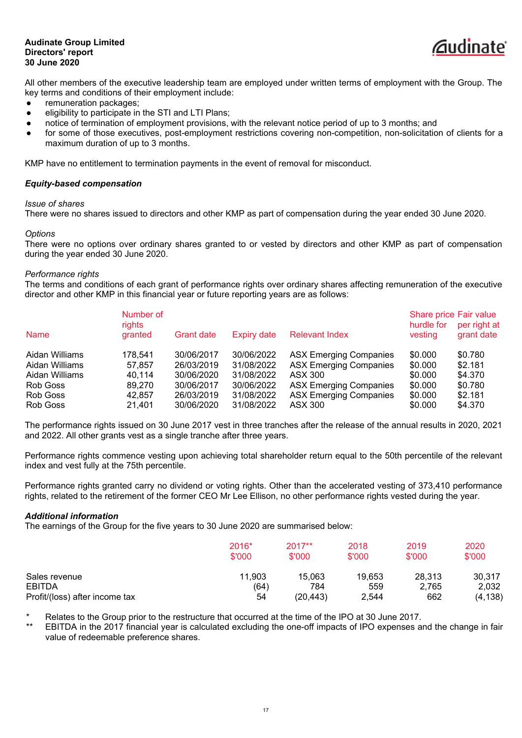

All other members of the executive leadership team are employed under written terms of employment with the Group. The key terms and conditions of their employment include:

- remuneration packages;
- eligibility to participate in the STI and LTI Plans:
- notice of termination of employment provisions, with the relevant notice period of up to 3 months; and
- for some of those executives, post-employment restrictions covering non-competition, non-solicitation of clients for a maximum duration of up to 3 months.

KMP have no entitlement to termination payments in the event of removal for misconduct.

# *Equity-based compensation*

### *Issue of shares*

There were no shares issued to directors and other KMP as part of compensation during the year ended 30 June 2020.

#### *Options*

There were no options over ordinary shares granted to or vested by directors and other KMP as part of compensation during the year ended 30 June 2020.

#### *Performance rights*

The terms and conditions of each grant of performance rights over ordinary shares affecting remuneration of the executive director and other KMP in this financial year or future reporting years are as follows:

| <b>Name</b>    | Number of<br>rights<br>granted | <b>Grant date</b> | Expiry date | <b>Relevant Index</b>         | Share price Fair value<br>hurdle for<br>vesting | per right at<br>grant date |
|----------------|--------------------------------|-------------------|-------------|-------------------------------|-------------------------------------------------|----------------------------|
| Aidan Williams | 178,541                        | 30/06/2017        | 30/06/2022  | <b>ASX Emerging Companies</b> | \$0.000                                         | \$0.780                    |
| Aidan Williams | 57.857                         | 26/03/2019        | 31/08/2022  | <b>ASX Emerging Companies</b> | \$0.000                                         | \$2.181                    |
| Aidan Williams | 40,114                         | 30/06/2020        | 31/08/2022  | ASX 300                       | \$0.000                                         | \$4.370                    |
| Rob Goss       | 89.270                         | 30/06/2017        | 30/06/2022  | <b>ASX Emerging Companies</b> | \$0.000                                         | \$0.780                    |
| Rob Goss       | 42,857                         | 26/03/2019        | 31/08/2022  | <b>ASX Emerging Companies</b> | \$0.000                                         | \$2.181                    |
| Rob Goss       | 21,401                         | 30/06/2020        | 31/08/2022  | ASX 300                       | \$0.000                                         | \$4.370                    |

The performance rights issued on 30 June 2017 vest in three tranches after the release of the annual results in 2020, 2021 and 2022. All other grants vest as a single tranche after three years.

Performance rights commence vesting upon achieving total shareholder return equal to the 50th percentile of the relevant index and vest fully at the 75th percentile.

Performance rights granted carry no dividend or voting rights. Other than the accelerated vesting of 373,410 performance rights, related to the retirement of the former CEO Mr Lee Ellison, no other performance rights vested during the year.

### *Additional information*

The earnings of the Group for the five years to 30 June 2020 are summarised below:

|                                | 2016*<br>\$'000 | $2017**$<br>\$'000 | 2018<br>\$'000 | 2019<br>\$'000 | 2020<br>\$'000 |
|--------------------------------|-----------------|--------------------|----------------|----------------|----------------|
| Sales revenue                  | 11,903          | 15.063             | 19,653         | 28,313         | 30.317         |
| EBITDA                         | (64)            | 784                | 559            | 2.765          | 2.032          |
| Profit/(loss) after income tax | 54              | (20,443)           | 2,544          | 662            | (4, 138)       |

Relates to the Group prior to the restructure that occurred at the time of the IPO at 30 June 2017.

EBITDA in the 2017 financial year is calculated excluding the one-off impacts of IPO expenses and the change in fair value of redeemable preference shares.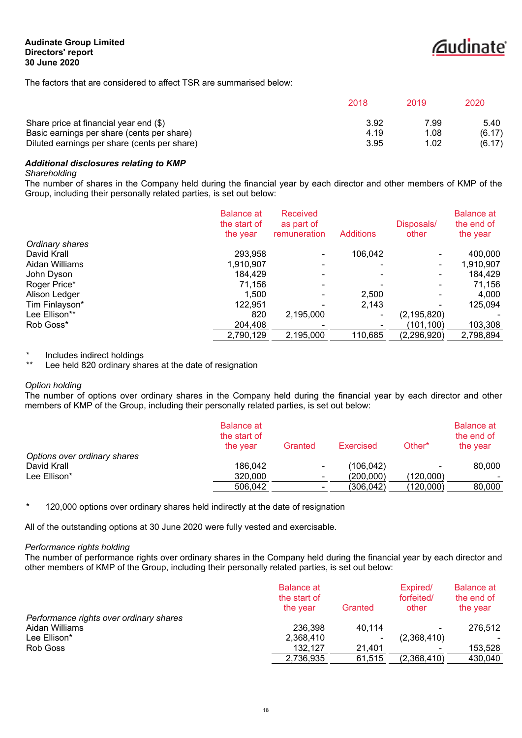

The factors that are considered to affect TSR are summarised below:

|                                              | 2018 | 2019 | 2020   |
|----------------------------------------------|------|------|--------|
| Share price at financial year end (\$)       | 3.92 | 7.99 | 5.40   |
| Basic earnings per share (cents per share)   | 4.19 | 1.08 | (6.17) |
| Diluted earnings per share (cents per share) | 3.95 | 1.02 | (6.17) |

# *Additional disclosures relating to KMP*

#### *Shareholding*

The number of shares in the Company held during the financial year by each director and other members of KMP of the Group, including their personally related parties, is set out below:

|                 | <b>Balance at</b><br>the start of<br>the year | <b>Received</b><br>as part of<br>remuneration | <b>Additions</b> | Disposals/<br>other | <b>Balance at</b><br>the end of<br>the year |
|-----------------|-----------------------------------------------|-----------------------------------------------|------------------|---------------------|---------------------------------------------|
| Ordinary shares |                                               |                                               |                  |                     |                                             |
| David Krall     | 293,958                                       |                                               | 106,042          |                     | 400,000                                     |
| Aidan Williams  | 1,910,907                                     |                                               |                  | ٠                   | 1,910,907                                   |
| John Dyson      | 184.429                                       |                                               |                  |                     | 184,429                                     |
| Roger Price*    | 71.156                                        |                                               |                  |                     | 71,156                                      |
| Alison Ledger   | 1,500                                         |                                               | 2,500            |                     | 4,000                                       |
| Tim Finlayson*  | 122,951                                       |                                               | 2,143            |                     | 125,094                                     |
| Lee Ellison**   | 820                                           | 2,195,000                                     |                  | (2, 195, 820)       |                                             |
| Rob Goss*       | 204,408                                       |                                               |                  | (101, 100)          | 103,308                                     |
|                 | 2,790,129                                     | 2,195,000                                     | 110,685          | (2, 296, 920)       | 2,798,894                                   |

\* Includes indirect holdings<br>\*\* Lee held 820 ordinary sha

Lee held 820 ordinary shares at the date of resignation

### *Option holding*

The number of options over ordinary shares in the Company held during the financial year by each director and other members of KMP of the Group, including their personally related parties, is set out below:

|                              | <b>Balance at</b><br>the start of<br>the vear | Granted                  | Exercised | Other*    | <b>Balance at</b><br>the end of<br>the year |
|------------------------------|-----------------------------------------------|--------------------------|-----------|-----------|---------------------------------------------|
| Options over ordinary shares |                                               |                          |           |           |                                             |
| David Krall                  | 186,042                                       | $\sim$                   | (106,042) |           | 80,000                                      |
| Lee Ellison*                 | 320,000                                       | $\blacksquare$           | (200,000) | (120.000) | $\overline{\phantom{a}}$                    |
|                              | 506.042                                       | $\overline{\phantom{0}}$ | (306,042) | (120.000) | 80.000                                      |

\* 120,000 options over ordinary shares held indirectly at the date of resignation

All of the outstanding options at 30 June 2020 were fully vested and exercisable.

### *Performance rights holding*

The number of performance rights over ordinary shares in the Company held during the financial year by each director and other members of KMP of the Group, including their personally related parties, is set out below:

|                                         | <b>Balance at</b><br>the start of<br>the year | Granted | Expired/<br>forfeited/<br>other | <b>Balance at</b><br>the end of<br>the year |
|-----------------------------------------|-----------------------------------------------|---------|---------------------------------|---------------------------------------------|
| Performance rights over ordinary shares |                                               |         |                                 |                                             |
| Aidan Williams                          | 236,398                                       | 40,114  |                                 | 276.512                                     |
| Lee Ellison*                            | 2,368,410                                     | $\sim$  | (2,368,410)                     |                                             |
| Rob Goss                                | 132.127                                       | 21.401  |                                 | 153.528                                     |
|                                         | 2,736,935                                     | 61,515  | (2,368,410)                     | 430,040                                     |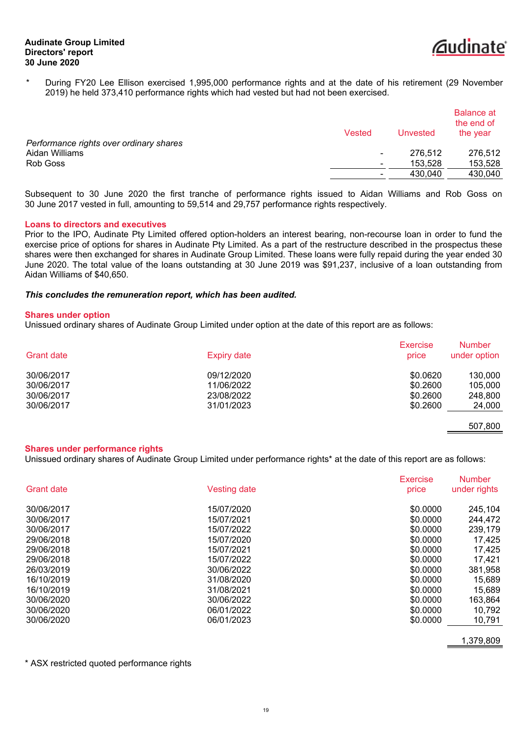

\* During FY20 Lee Ellison exercised 1,995,000 performance rights and at the date of his retirement (29 November 2019) he held 373,410 performance rights which had vested but had not been exercised.

|                                         | Vested | Unvested | <b>Balance at</b><br>the end of<br>the year |
|-----------------------------------------|--------|----------|---------------------------------------------|
| Performance rights over ordinary shares |        |          |                                             |
| Aidan Williams                          | ۰.     | 276,512  | 276,512                                     |
| Rob Goss                                | ۰.     | 153.528  | 153,528                                     |
|                                         |        | 430.040  | 430,040                                     |
|                                         |        |          |                                             |

Subsequent to 30 June 2020 the first tranche of performance rights issued to Aidan Williams and Rob Goss on 30 June 2017 vested in full, amounting to 59,514 and 29,757 performance rights respectively.

#### **Loans to directors and executives**

Prior to the IPO, Audinate Pty Limited offered option-holders an interest bearing, non-recourse loan in order to fund the exercise price of options for shares in Audinate Pty Limited. As a part of the restructure described in the prospectus these shares were then exchanged for shares in Audinate Group Limited. These loans were fully repaid during the year ended 30 June 2020. The total value of the loans outstanding at 30 June 2019 was \$91,237, inclusive of a loan outstanding from Aidan Williams of \$40,650.

### *This concludes the remuneration report, which has been audited.*

#### **Shares under option**

Unissued ordinary shares of Audinate Group Limited under option at the date of this report are as follows:

| <b>Grant date</b> | <b>Expiry date</b> | <b>Exercise</b><br>price | <b>Number</b><br>under option |
|-------------------|--------------------|--------------------------|-------------------------------|
| 30/06/2017        | 09/12/2020         | \$0.0620                 | 130,000                       |
| 30/06/2017        | 11/06/2022         | \$0.2600                 | 105.000                       |
| 30/06/2017        | 23/08/2022         | \$0.2600                 | 248,800                       |
| 30/06/2017        | 31/01/2023         | \$0.2600                 | 24,000                        |

507,800

#### **Shares under performance rights**

Unissued ordinary shares of Audinate Group Limited under performance rights\* at the date of this report are as follows:

|                   |                     | <b>Exercise</b> | <b>Number</b> |
|-------------------|---------------------|-----------------|---------------|
| <b>Grant date</b> | <b>Vesting date</b> | price           | under rights  |
| 30/06/2017        | 15/07/2020          | \$0.0000        | 245.104       |
| 30/06/2017        | 15/07/2021          | \$0,0000        | 244,472       |
| 30/06/2017        | 15/07/2022          | \$0.0000        | 239,179       |
| 29/06/2018        | 15/07/2020          | \$0.0000        | 17.425        |
| 29/06/2018        | 15/07/2021          | \$0,0000        | 17,425        |
| 29/06/2018        | 15/07/2022          | \$0,0000        | 17,421        |
| 26/03/2019        | 30/06/2022          | \$0,0000        | 381,958       |
| 16/10/2019        | 31/08/2020          | \$0.0000        | 15,689        |
| 16/10/2019        | 31/08/2021          | \$0,0000        | 15.689        |
| 30/06/2020        | 30/06/2022          | \$0,0000        | 163,864       |
| 30/06/2020        | 06/01/2022          | \$0,0000        | 10,792        |
| 30/06/2020        | 06/01/2023          | \$0,0000        | 10.791        |
|                   |                     |                 |               |

1,379,809

\* ASX restricted quoted performance rights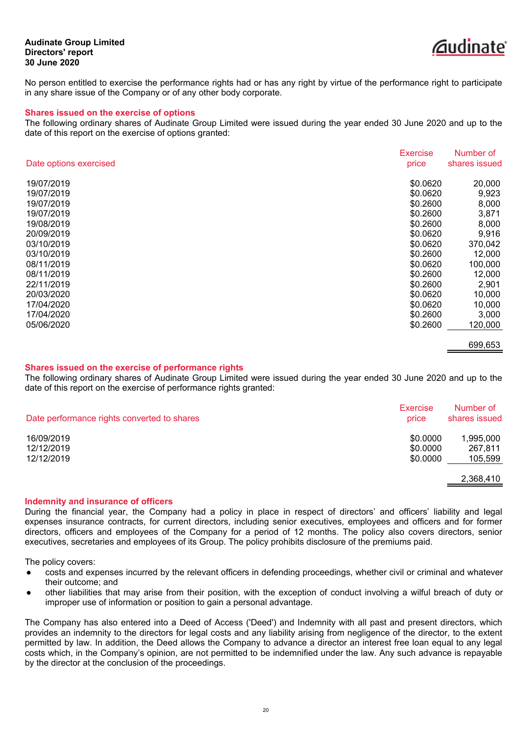

No person entitled to exercise the performance rights had or has any right by virtue of the performance right to participate in any share issue of the Company or of any other body corporate.

#### **Shares issued on the exercise of options**

The following ordinary shares of Audinate Group Limited were issued during the year ended 30 June 2020 and up to the date of this report on the exercise of options granted:

|                        | Exercise | Number of     |
|------------------------|----------|---------------|
| Date options exercised | price    | shares issued |
| 19/07/2019             | \$0.0620 | 20,000        |
| 19/07/2019             | \$0.0620 | 9,923         |
| 19/07/2019             | \$0.2600 | 8,000         |
| 19/07/2019             | \$0.2600 | 3,871         |
| 19/08/2019             | \$0.2600 | 8,000         |
| 20/09/2019             | \$0.0620 | 9,916         |
| 03/10/2019             | \$0.0620 | 370,042       |
| 03/10/2019             | \$0.2600 | 12,000        |
| 08/11/2019             | \$0.0620 | 100,000       |
| 08/11/2019             | \$0.2600 | 12,000        |
| 22/11/2019             | \$0.2600 | 2,901         |
| 20/03/2020             | \$0.0620 | 10,000        |
| 17/04/2020             | \$0.0620 | 10,000        |
| 17/04/2020             | \$0.2600 | 3,000         |
| 05/06/2020             | \$0.2600 | 120,000       |
|                        |          | 699,653       |

#### **Shares issued on the exercise of performance rights**

The following ordinary shares of Audinate Group Limited were issued during the year ended 30 June 2020 and up to the date of this report on the exercise of performance rights granted:

| Date performance rights converted to shares | Exercise<br>price | Number of<br>shares issued |
|---------------------------------------------|-------------------|----------------------------|
| 16/09/2019                                  | \$0.0000          | 1,995,000                  |
| 12/12/2019                                  | \$0,0000          | 267.811                    |
| 12/12/2019                                  | \$0.0000          | 105,599                    |
|                                             |                   | 2,368,410                  |

#### **Indemnity and insurance of officers**

During the financial year, the Company had a policy in place in respect of directors' and officers' liability and legal expenses insurance contracts, for current directors, including senior executives, employees and officers and for former directors, officers and employees of the Company for a period of 12 months. The policy also covers directors, senior executives, secretaries and employees of its Group. The policy prohibits disclosure of the premiums paid.

The policy covers:

- costs and expenses incurred by the relevant officers in defending proceedings, whether civil or criminal and whatever their outcome; and
- other liabilities that may arise from their position, with the exception of conduct involving a wilful breach of duty or improper use of information or position to gain a personal advantage.

The Company has also entered into a Deed of Access ('Deed') and Indemnity with all past and present directors, which provides an indemnity to the directors for legal costs and any liability arising from negligence of the director, to the extent permitted by law. In addition, the Deed allows the Company to advance a director an interest free loan equal to any legal costs which, in the Company's opinion, are not permitted to be indemnified under the law. Any such advance is repayable by the director at the conclusion of the proceedings.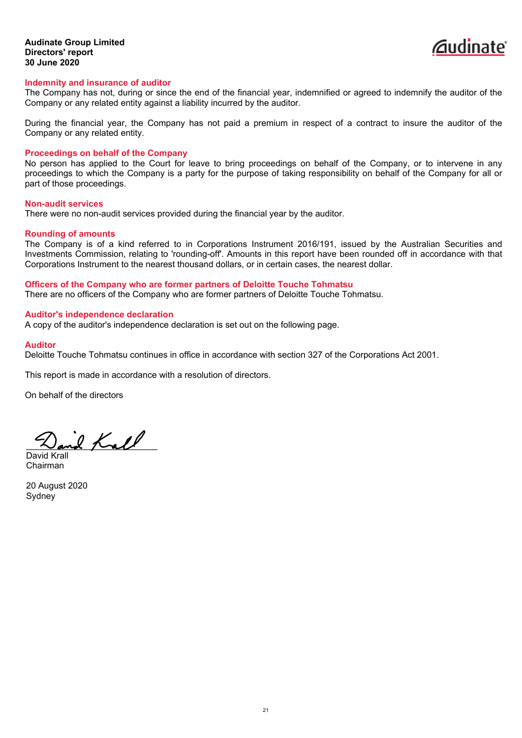

#### **Indemnity and insurance of auditor**

The Company has not, during or since the end of the financial year, indemnified or agreed to indemnify the auditor of the Company or any related entity against a liability incurred by the auditor.

During the financial year, the Company has not paid a premium in respect of a contract to insure the auditor of the Company or any related entity.

#### **Proceedings on behalf of the Company**

No person has applied to the Court for leave to bring proceedings on behalf of the Company, or to intervene in any proceedings to which the Company is a party for the purpose of taking responsibility on behalf of the Company for all or part of those proceedings.

#### **Non-audit services**

There were no non-audit services provided during the financial year by the auditor.

#### **Rounding of amounts**

The Company is of a kind referred to in Corporations Instrument 2016/191, issued by the Australian Securities and Investments Commission, relating to 'rounding-off'. Amounts in this report have been rounded off in accordance with that Corporations Instrument to the nearest thousand dollars, or in certain cases, the nearest dollar.

# **Officers of the Company who are former partners of Deloitte Touche Tohmatsu**

There are no officers of the Company who are former partners of Deloitte Touche Tohmatsu.

### **Auditor's independence declaration**

A copy of the auditor's independence declaration is set out on the following page.

#### **Auditor**

Deloitte Touche Tohmatsu continues in office in accordance with section 327 of the Corporations Act 2001.

This report is made in accordance with a resolution of directors.

On behalf of the directors

David Krall

David Krall Chairman

20 August 2020 **Sydney**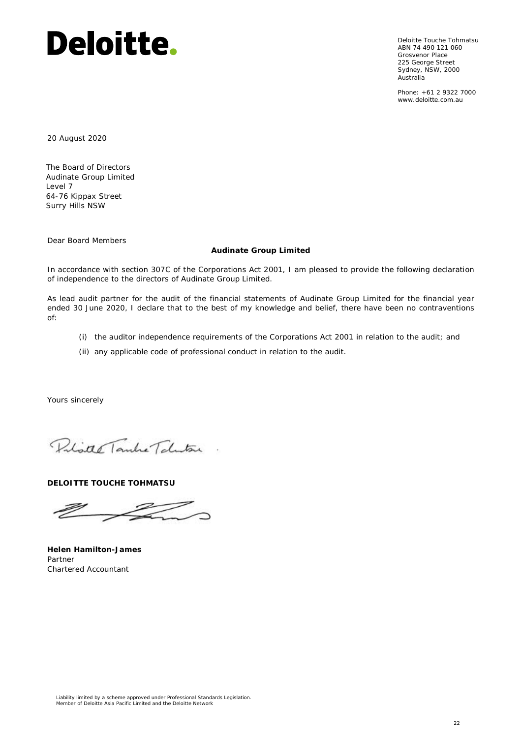Deloitte Touche Tohmatsu ABN 74 490 121 060 Grosvenor Place 225 George Street Sydney, NSW, 2000 Australia

Phone: +61 2 9322 7000 www.deloitte.com.au

20 August 2020

The Board of Directors Audinate Group Limited Level 7 64-76 Kippax Street Surry Hills NSW

Dear Board Members

#### **Audinate Group Limited**

In accordance with section 307C of the Corporations Act 2001, I am pleased to provide the following declaration of independence to the directors of Audinate Group Limited.

As lead audit partner for the audit of the financial statements of Audinate Group Limited for the financial year ended 30 June 2020, I declare that to the best of my knowledge and belief, there have been no contraventions of:

- (i) the auditor independence requirements of the Corporations Act 2001 in relation to the audit; and
- (ii) any applicable code of professional conduct in relation to the audit.

Yours sincerely

Polotte Tanke Telestone

**DELOITTE TOUCHE TOHMATSU**

Q Z -

**Helen Hamilton-James** Partner Chartered Accountant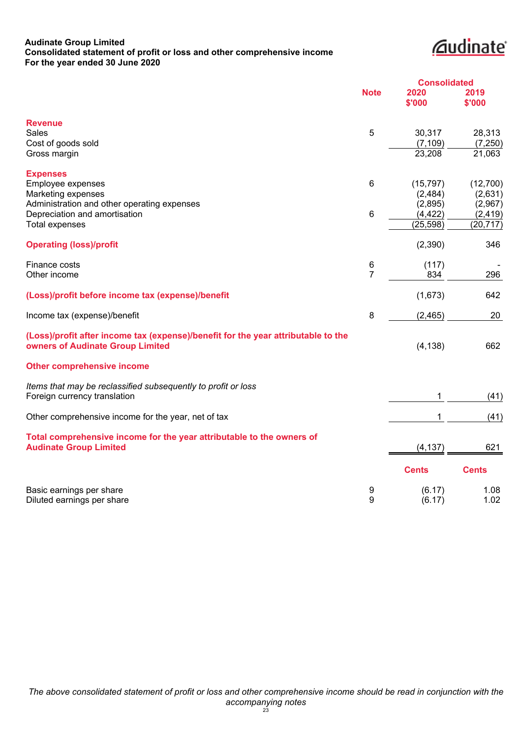# **Audinate Group Limited Consolidated statement of profit or loss and other comprehensive income For the year ended 30 June 2020**

# *<u>Caudinate</u>*

<span id="page-26-0"></span>

|                                                                                                                       |                |                | <b>Consolidated</b> |  |
|-----------------------------------------------------------------------------------------------------------------------|----------------|----------------|---------------------|--|
|                                                                                                                       | <b>Note</b>    | 2020<br>\$'000 | 2019<br>\$'000      |  |
| <b>Revenue</b>                                                                                                        |                |                |                     |  |
| <b>Sales</b>                                                                                                          | 5              | 30,317         | 28,313              |  |
| Cost of goods sold                                                                                                    |                | (7, 109)       | (7,250)             |  |
| Gross margin                                                                                                          |                | 23,208         | 21,063              |  |
| <b>Expenses</b>                                                                                                       |                |                |                     |  |
| Employee expenses                                                                                                     | 6              | (15, 797)      | (12,700)            |  |
| Marketing expenses                                                                                                    |                | (2, 484)       | (2,631)             |  |
| Administration and other operating expenses                                                                           |                | (2,895)        | (2,967)             |  |
| Depreciation and amortisation                                                                                         | 6              | (4, 422)       | (2, 419)            |  |
| <b>Total expenses</b>                                                                                                 |                | (25, 598)      | (20, 717)           |  |
| <b>Operating (loss)/profit</b>                                                                                        |                | (2,390)        | 346                 |  |
| Finance costs                                                                                                         | 6              | (117)          |                     |  |
| Other income                                                                                                          | $\overline{7}$ | 834            | 296                 |  |
| (Loss)/profit before income tax (expense)/benefit                                                                     |                | (1,673)        | 642                 |  |
| Income tax (expense)/benefit                                                                                          | 8              | (2, 465)       | 20                  |  |
| (Loss)/profit after income tax (expense)/benefit for the year attributable to the<br>owners of Audinate Group Limited |                | (4, 138)       | 662                 |  |
| <b>Other comprehensive income</b>                                                                                     |                |                |                     |  |
| Items that may be reclassified subsequently to profit or loss                                                         |                |                |                     |  |
| Foreign currency translation                                                                                          |                | 1              | (41)                |  |
| Other comprehensive income for the year, net of tax                                                                   |                | 1              | (41)                |  |
| Total comprehensive income for the year attributable to the owners of                                                 |                |                |                     |  |
| <b>Audinate Group Limited</b>                                                                                         |                | (4, 137)       | 621                 |  |
|                                                                                                                       |                | <b>Cents</b>   | <b>Cents</b>        |  |
| Basic earnings per share                                                                                              | 9              | (6.17)         | 1.08                |  |
| Diluted earnings per share                                                                                            | 9              | (6.17)         | 1.02                |  |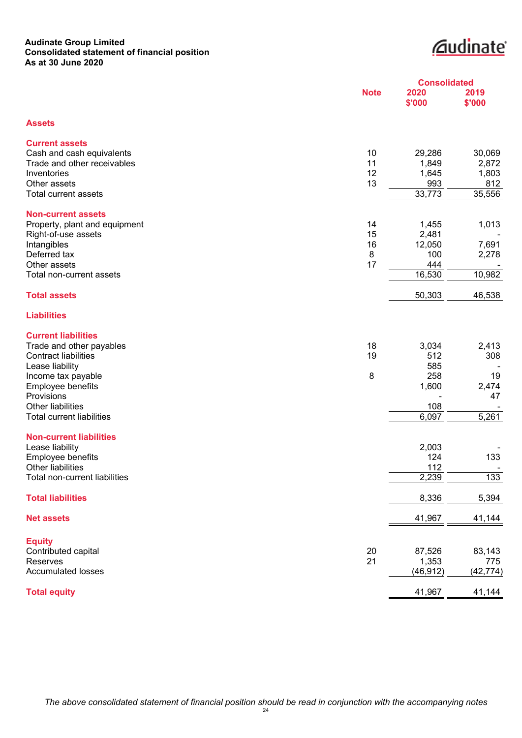### **Audinate Group Limited Consolidated statement of financial position As at 30 June 2020**

# *<u><u>Caudinate</u>*</u>

<span id="page-27-0"></span>

|                                               | <b>Consolidated</b> |                |                |
|-----------------------------------------------|---------------------|----------------|----------------|
|                                               | <b>Note</b>         | 2020<br>\$'000 | 2019<br>\$'000 |
| <b>Assets</b>                                 |                     |                |                |
| <b>Current assets</b>                         |                     |                |                |
| Cash and cash equivalents                     | 10                  | 29,286         | 30,069         |
| Trade and other receivables                   | 11                  | 1,849          | 2,872          |
| Inventories                                   | 12                  | 1,645          | 1,803          |
| Other assets                                  | 13                  | 993            | 812            |
| Total current assets                          |                     | 33,773         | 35,556         |
| <b>Non-current assets</b>                     |                     |                |                |
| Property, plant and equipment                 | 14                  | 1,455          | 1,013          |
| Right-of-use assets                           | 15                  | 2,481          |                |
| Intangibles                                   | 16                  | 12,050         | 7,691          |
| Deferred tax                                  | 8                   | 100            | 2,278          |
| Other assets                                  | 17                  | 444            |                |
| Total non-current assets                      |                     | 16,530         | 10,982         |
| <b>Total assets</b>                           |                     | 50,303         | 46,538         |
| <b>Liabilities</b>                            |                     |                |                |
| <b>Current liabilities</b>                    |                     |                |                |
| Trade and other payables                      | 18                  | 3,034          | 2,413          |
| <b>Contract liabilities</b>                   | 19                  | 512            | 308            |
| Lease liability                               |                     | 585            |                |
| Income tax payable                            | 8                   | 258            | 19             |
| Employee benefits                             |                     | 1,600          | 2,474          |
| Provisions                                    |                     |                | 47             |
| Other liabilities                             |                     | 108            |                |
| <b>Total current liabilities</b>              |                     | 6,097          | 5,261          |
| <b>Non-current liabilities</b>                |                     |                |                |
| Lease liability                               |                     | 2,003          |                |
| Employee benefits<br><b>Other liabilities</b> |                     | 124<br>112     | 133            |
| Total non-current liabilities                 |                     | 2,239          | 133            |
|                                               |                     |                |                |
| <b>Total liabilities</b>                      |                     | 8,336          | 5,394          |
| <b>Net assets</b>                             |                     | 41,967         | 41,144         |
| <b>Equity</b>                                 |                     |                |                |
| Contributed capital                           | 20                  | 87,526         | 83,143         |
| Reserves                                      | 21                  | 1,353          | 775            |
| <b>Accumulated losses</b>                     |                     | (46, 912)      | (42, 774)      |
| <b>Total equity</b>                           |                     | 41,967         | 41,144         |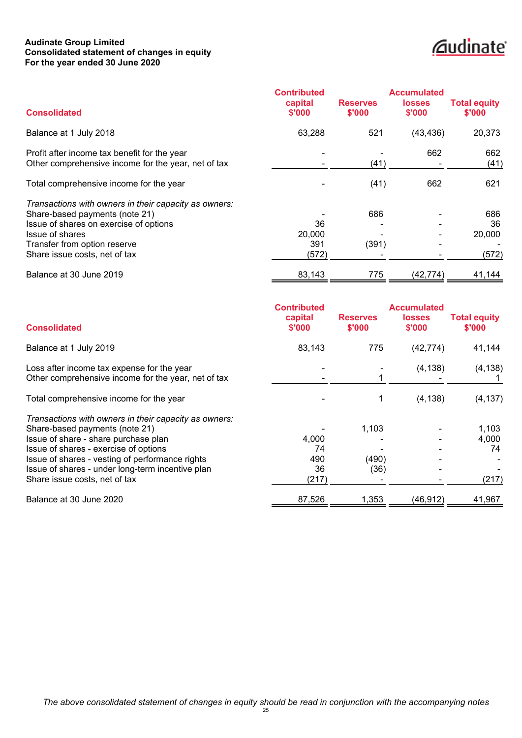# **Audinate Group Limited Consolidated statement of changes in equity For the year ended 30 June 2020**

# *<u>Caudinate</u>*

<span id="page-28-0"></span>

|                                                                                                                                                                                                                       | <b>Contributed</b>           |                           | <b>Accumulated</b>      |                               |
|-----------------------------------------------------------------------------------------------------------------------------------------------------------------------------------------------------------------------|------------------------------|---------------------------|-------------------------|-------------------------------|
| <b>Consolidated</b>                                                                                                                                                                                                   | capital<br>\$'000            | <b>Reserves</b><br>\$'000 | <b>losses</b><br>\$'000 | <b>Total equity</b><br>\$'000 |
| Balance at 1 July 2018                                                                                                                                                                                                | 63,288                       | 521                       | (43, 436)               | 20,373                        |
| Profit after income tax benefit for the year<br>Other comprehensive income for the year, net of tax                                                                                                                   |                              | (41)                      | 662                     | 662<br>(41)                   |
| Total comprehensive income for the year                                                                                                                                                                               |                              | (41)                      | 662                     | 621                           |
| Transactions with owners in their capacity as owners:<br>Share-based payments (note 21)<br>Issue of shares on exercise of options<br>Issue of shares<br>Transfer from option reserve<br>Share issue costs, net of tax | 36<br>20,000<br>391<br>(572) | 686<br>(391)              |                         | 686<br>36<br>20,000<br>(572)  |
| Balance at 30 June 2019                                                                                                                                                                                               | 83,143                       | 775                       | (42,774)                | 41,144                        |

|                                                       | <b>Contributed</b> |                           | <b>Accumulated</b>      |                               |
|-------------------------------------------------------|--------------------|---------------------------|-------------------------|-------------------------------|
| <b>Consolidated</b>                                   | capital<br>\$'000  | <b>Reserves</b><br>\$'000 | <b>losses</b><br>\$'000 | <b>Total equity</b><br>\$'000 |
| Balance at 1 July 2019                                | 83,143             | 775                       | (42, 774)               | 41,144                        |
| Loss after income tax expense for the year            |                    |                           | (4, 138)                | (4, 138)                      |
| Other comprehensive income for the year, net of tax   |                    |                           |                         |                               |
| Total comprehensive income for the year               |                    |                           | (4, 138)                | (4, 137)                      |
| Transactions with owners in their capacity as owners: |                    |                           |                         |                               |
| Share-based payments (note 21)                        |                    | 1,103                     |                         | 1,103                         |
| Issue of share - share purchase plan                  | 4,000              |                           |                         | 4,000                         |
| Issue of shares - exercise of options                 | 74                 |                           |                         | 74                            |
| Issue of shares - vesting of performance rights       | 490                | (490)                     |                         |                               |
| Issue of shares - under long-term incentive plan      | 36                 | (36)                      |                         |                               |
| Share issue costs, net of tax                         | (217)              |                           |                         | (217)                         |
| Balance at 30 June 2020                               | 87,526             | 1,353                     | (46, 912)               | 41,967                        |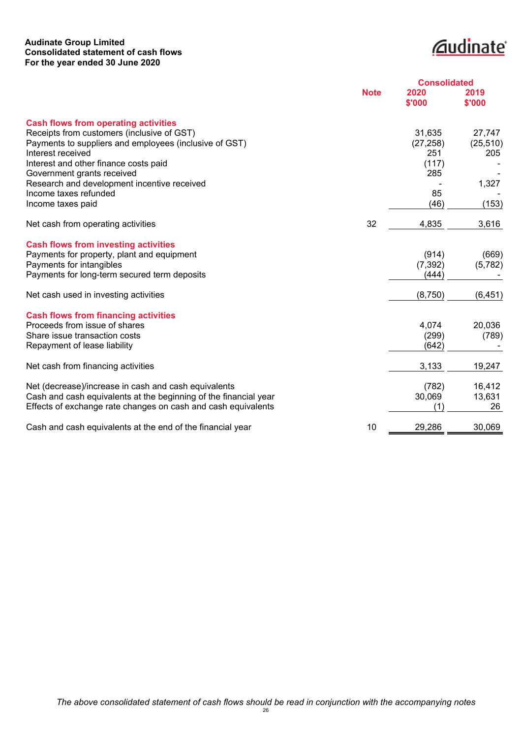# **Audinate Group Limited Consolidated statement of cash flows For the year ended 30 June 2020**

# *<u>Caudinate</u>*

<span id="page-29-0"></span>

|                                                                  | <b>Consolidated</b> |                |                |  |
|------------------------------------------------------------------|---------------------|----------------|----------------|--|
|                                                                  | <b>Note</b>         | 2020<br>\$'000 | 2019<br>\$'000 |  |
| <b>Cash flows from operating activities</b>                      |                     |                |                |  |
| Receipts from customers (inclusive of GST)                       |                     | 31,635         | 27,747         |  |
| Payments to suppliers and employees (inclusive of GST)           |                     | (27, 258)      | (25, 510)      |  |
| Interest received                                                |                     | 251            | 205            |  |
| Interest and other finance costs paid                            |                     | (117)          |                |  |
| Government grants received                                       |                     | 285            |                |  |
| Research and development incentive received                      |                     |                | 1,327          |  |
| Income taxes refunded                                            |                     | 85<br>(46)     |                |  |
| Income taxes paid                                                |                     |                | (153)          |  |
| Net cash from operating activities                               | 32                  | 4,835          | 3,616          |  |
| <b>Cash flows from investing activities</b>                      |                     |                |                |  |
| Payments for property, plant and equipment                       |                     | (914)          | (669)          |  |
| Payments for intangibles                                         |                     | (7, 392)       | (5,782)        |  |
| Payments for long-term secured term deposits                     |                     | (444)          |                |  |
| Net cash used in investing activities                            |                     | (8,750)        | (6, 451)       |  |
| <b>Cash flows from financing activities</b>                      |                     |                |                |  |
| Proceeds from issue of shares                                    |                     | 4,074          | 20,036         |  |
| Share issue transaction costs                                    |                     | (299)          | (789)          |  |
| Repayment of lease liability                                     |                     | (642)          |                |  |
|                                                                  |                     |                |                |  |
| Net cash from financing activities                               |                     | 3,133          | 19,247         |  |
| Net (decrease)/increase in cash and cash equivalents             |                     | (782)          | 16,412         |  |
| Cash and cash equivalents at the beginning of the financial year |                     | 30,069         | 13,631         |  |
| Effects of exchange rate changes on cash and cash equivalents    |                     | (1)            | 26             |  |
| Cash and cash equivalents at the end of the financial year       | 10                  | 29,286         | 30,069         |  |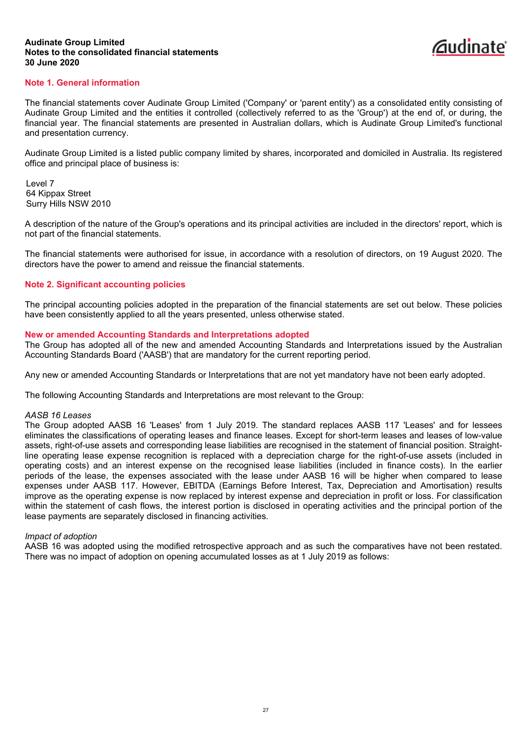

# <span id="page-30-0"></span>**Note 1. General information**

The financial statements cover Audinate Group Limited ('Company' or 'parent entity') as a consolidated entity consisting of Audinate Group Limited and the entities it controlled (collectively referred to as the 'Group') at the end of, or during, the financial year. The financial statements are presented in Australian dollars, which is Audinate Group Limited's functional and presentation currency.

Audinate Group Limited is a listed public company limited by shares, incorporated and domiciled in Australia. Its registered office and principal place of business is:

Level 7 64 Kippax Street Surry Hills NSW 2010

A description of the nature of the Group's operations and its principal activities are included in the directors' report, which is not part of the financial statements.

The financial statements were authorised for issue, in accordance with a resolution of directors, on 19 August 2020. The directors have the power to amend and reissue the financial statements.

### **Note 2. Significant accounting policies**

The principal accounting policies adopted in the preparation of the financial statements are set out below. These policies have been consistently applied to all the years presented, unless otherwise stated.

### **New or amended Accounting Standards and Interpretations adopted**

The Group has adopted all of the new and amended Accounting Standards and Interpretations issued by the Australian Accounting Standards Board ('AASB') that are mandatory for the current reporting period.

Any new or amended Accounting Standards or Interpretations that are not yet mandatory have not been early adopted.

The following Accounting Standards and Interpretations are most relevant to the Group:

#### *AASB 16 Leases*

The Group adopted AASB 16 'Leases' from 1 July 2019. The standard replaces AASB 117 'Leases' and for lessees eliminates the classifications of operating leases and finance leases. Except for short-term leases and leases of low-value assets, right-of-use assets and corresponding lease liabilities are recognised in the statement of financial position. Straightline operating lease expense recognition is replaced with a depreciation charge for the right-of-use assets (included in operating costs) and an interest expense on the recognised lease liabilities (included in finance costs). In the earlier periods of the lease, the expenses associated with the lease under AASB 16 will be higher when compared to lease expenses under AASB 117. However, EBITDA (Earnings Before Interest, Tax, Depreciation and Amortisation) results improve as the operating expense is now replaced by interest expense and depreciation in profit or loss. For classification within the statement of cash flows, the interest portion is disclosed in operating activities and the principal portion of the lease payments are separately disclosed in financing activities.

### *Impact of adoption*

AASB 16 was adopted using the modified retrospective approach and as such the comparatives have not been restated. There was no impact of adoption on opening accumulated losses as at 1 July 2019 as follows: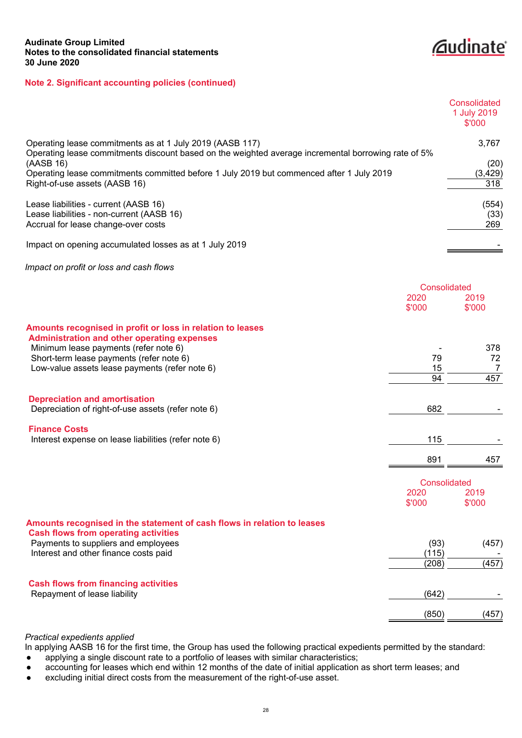*<u>Caudinate</u>* 

|                                                                                                                                                                 |                                | Consolidated<br>1 July 2019<br>\$'000 |
|-----------------------------------------------------------------------------------------------------------------------------------------------------------------|--------------------------------|---------------------------------------|
| Operating lease commitments as at 1 July 2019 (AASB 117)<br>Operating lease commitments discount based on the weighted average incremental borrowing rate of 5% |                                | 3,767                                 |
| (AASB 16)<br>Operating lease commitments committed before 1 July 2019 but commenced after 1 July 2019<br>Right-of-use assets (AASB 16)                          |                                | (20)<br>(3, 429)<br>318               |
| Lease liabilities - current (AASB 16)<br>Lease liabilities - non-current (AASB 16)<br>Accrual for lease change-over costs                                       |                                | (554)<br>(33)<br>269                  |
| Impact on opening accumulated losses as at 1 July 2019                                                                                                          |                                |                                       |
| Impact on profit or loss and cash flows                                                                                                                         |                                |                                       |
|                                                                                                                                                                 | Consolidated<br>2020<br>\$'000 | 2019<br>\$'000                        |
| Amounts recognised in profit or loss in relation to leases<br><b>Administration and other operating expenses</b>                                                |                                |                                       |
| Minimum lease payments (refer note 6)<br>Short-term lease payments (refer note 6)<br>Low-value assets lease payments (refer note 6)                             | 79<br>15                       | 378<br>72<br>7                        |
|                                                                                                                                                                 | 94                             | 457                                   |
| <b>Depreciation and amortisation</b><br>Depreciation of right-of-use assets (refer note 6)                                                                      | 682                            |                                       |
| <b>Finance Costs</b><br>Interest expense on lease liabilities (refer note 6)                                                                                    | 115                            |                                       |
|                                                                                                                                                                 | 891                            | 457                                   |
|                                                                                                                                                                 | Consolidated<br>2020<br>\$'000 | 2019<br>\$'000                        |
| Amounts recognised in the statement of cash flows in relation to leases                                                                                         |                                |                                       |
| <b>Cash flows from operating activities</b><br>Payments to suppliers and employees<br>Interest and other finance costs paid                                     | (93)<br>(115)                  | (457)                                 |
|                                                                                                                                                                 | (208)                          | (457)                                 |
| <b>Cash flows from financing activities</b><br>Repayment of lease liability                                                                                     | (642)                          |                                       |
|                                                                                                                                                                 | (850)                          | (457)                                 |

# *Practical expedients applied*

In applying AASB 16 for the first time, the Group has used the following practical expedients permitted by the standard:

- applying a single discount rate to a portfolio of leases with similar characteristics;
- accounting for leases which end within 12 months of the date of initial application as short term leases; and
- excluding initial direct costs from the measurement of the right-of-use asset.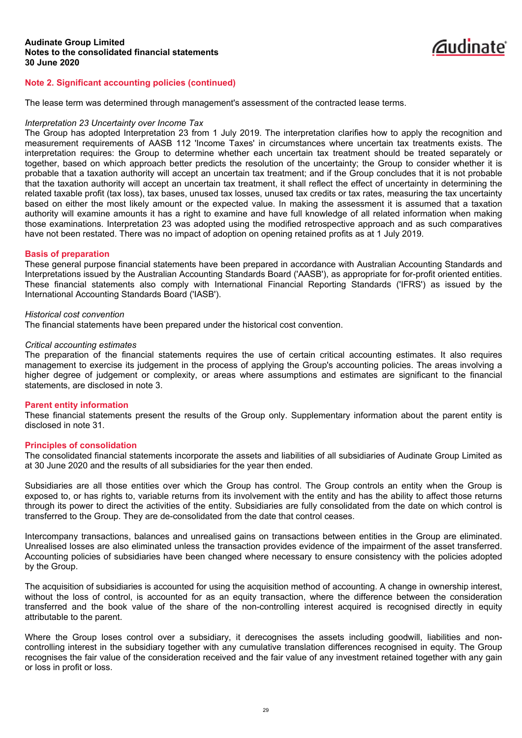

The lease term was determined through management's assessment of the contracted lease terms.

#### *Interpretation 23 Uncertainty over Income Tax*

The Group has adopted Interpretation 23 from 1 July 2019. The interpretation clarifies how to apply the recognition and measurement requirements of AASB 112 'Income Taxes' in circumstances where uncertain tax treatments exists. The interpretation requires: the Group to determine whether each uncertain tax treatment should be treated separately or together, based on which approach better predicts the resolution of the uncertainty; the Group to consider whether it is probable that a taxation authority will accept an uncertain tax treatment; and if the Group concludes that it is not probable that the taxation authority will accept an uncertain tax treatment, it shall reflect the effect of uncertainty in determining the related taxable profit (tax loss), tax bases, unused tax losses, unused tax credits or tax rates, measuring the tax uncertainty based on either the most likely amount or the expected value. In making the assessment it is assumed that a taxation authority will examine amounts it has a right to examine and have full knowledge of all related information when making those examinations. Interpretation 23 was adopted using the modified retrospective approach and as such comparatives have not been restated. There was no impact of adoption on opening retained profits as at 1 July 2019.

### **Basis of preparation**

These general purpose financial statements have been prepared in accordance with Australian Accounting Standards and Interpretations issued by the Australian Accounting Standards Board ('AASB'), as appropriate for for-profit oriented entities. These financial statements also comply with International Financial Reporting Standards ('IFRS') as issued by the International Accounting Standards Board ('IASB').

#### *Historical cost convention*

The financial statements have been prepared under the historical cost convention.

# *Critical accounting estimates*

The preparation of the financial statements requires the use of certain critical accounting estimates. It also requires management to exercise its judgement in the process of applying the Group's accounting policies. The areas involving a higher degree of judgement or complexity, or areas where assumptions and estimates are significant to the financial statements, are disclosed in note 3.

### **Parent entity information**

These financial statements present the results of the Group only. Supplementary information about the parent entity is disclosed in note 31.

#### **Principles of consolidation**

The consolidated financial statements incorporate the assets and liabilities of all subsidiaries of Audinate Group Limited as at 30 June 2020 and the results of all subsidiaries for the year then ended.

Subsidiaries are all those entities over which the Group has control. The Group controls an entity when the Group is exposed to, or has rights to, variable returns from its involvement with the entity and has the ability to affect those returns through its power to direct the activities of the entity. Subsidiaries are fully consolidated from the date on which control is transferred to the Group. They are de-consolidated from the date that control ceases.

Intercompany transactions, balances and unrealised gains on transactions between entities in the Group are eliminated. Unrealised losses are also eliminated unless the transaction provides evidence of the impairment of the asset transferred. Accounting policies of subsidiaries have been changed where necessary to ensure consistency with the policies adopted by the Group.

The acquisition of subsidiaries is accounted for using the acquisition method of accounting. A change in ownership interest, without the loss of control, is accounted for as an equity transaction, where the difference between the consideration transferred and the book value of the share of the non-controlling interest acquired is recognised directly in equity attributable to the parent.

Where the Group loses control over a subsidiary, it derecognises the assets including goodwill, liabilities and noncontrolling interest in the subsidiary together with any cumulative translation differences recognised in equity. The Group recognises the fair value of the consideration received and the fair value of any investment retained together with any gain or loss in profit or loss.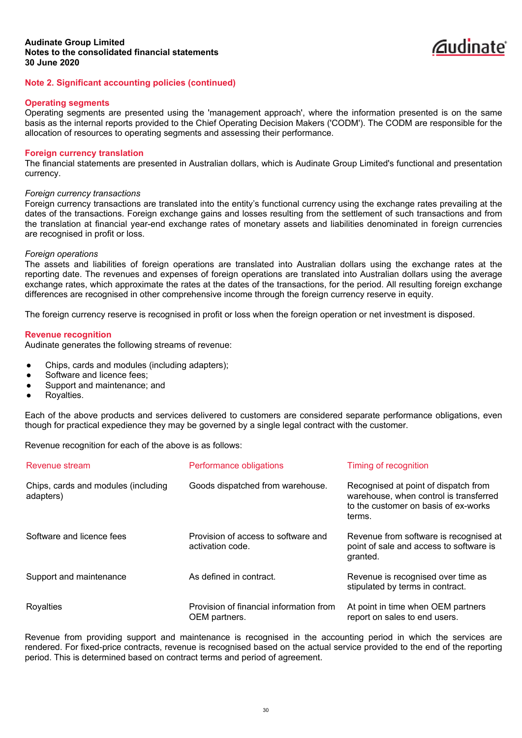

### **Operating segments**

Operating segments are presented using the 'management approach', where the information presented is on the same basis as the internal reports provided to the Chief Operating Decision Makers ('CODM'). The CODM are responsible for the allocation of resources to operating segments and assessing their performance.

#### **Foreign currency translation**

The financial statements are presented in Australian dollars, which is Audinate Group Limited's functional and presentation currency.

#### *Foreign currency transactions*

Foreign currency transactions are translated into the entity's functional currency using the exchange rates prevailing at the dates of the transactions. Foreign exchange gains and losses resulting from the settlement of such transactions and from the translation at financial year-end exchange rates of monetary assets and liabilities denominated in foreign currencies are recognised in profit or loss.

#### *Foreign operations*

The assets and liabilities of foreign operations are translated into Australian dollars using the exchange rates at the reporting date. The revenues and expenses of foreign operations are translated into Australian dollars using the average exchange rates, which approximate the rates at the dates of the transactions, for the period. All resulting foreign exchange differences are recognised in other comprehensive income through the foreign currency reserve in equity.

The foreign currency reserve is recognised in profit or loss when the foreign operation or net investment is disposed.

#### **Revenue recognition**

Audinate generates the following streams of revenue:

- Chips, cards and modules (including adapters);
- Software and licence fees;
- Support and maintenance; and
- Royalties.

Each of the above products and services delivered to customers are considered separate performance obligations, even though for practical expedience they may be governed by a single legal contract with the customer.

Revenue recognition for each of the above is as follows:

| Revenue stream                                   | Performance obligations                                  | Timing of recognition                                                                                                            |
|--------------------------------------------------|----------------------------------------------------------|----------------------------------------------------------------------------------------------------------------------------------|
| Chips, cards and modules (including<br>adapters) | Goods dispatched from warehouse.                         | Recognised at point of dispatch from<br>warehouse, when control is transferred<br>to the customer on basis of ex-works<br>terms. |
| Software and licence fees                        | Provision of access to software and<br>activation code.  | Revenue from software is recognised at<br>point of sale and access to software is<br>granted.                                    |
| Support and maintenance                          | As defined in contract.                                  | Revenue is recognised over time as<br>stipulated by terms in contract.                                                           |
| Royalties                                        | Provision of financial information from<br>OEM partners. | At point in time when OEM partners<br>report on sales to end users.                                                              |

Revenue from providing support and maintenance is recognised in the accounting period in which the services are rendered. For fixed-price contracts, revenue is recognised based on the actual service provided to the end of the reporting period. This is determined based on contract terms and period of agreement.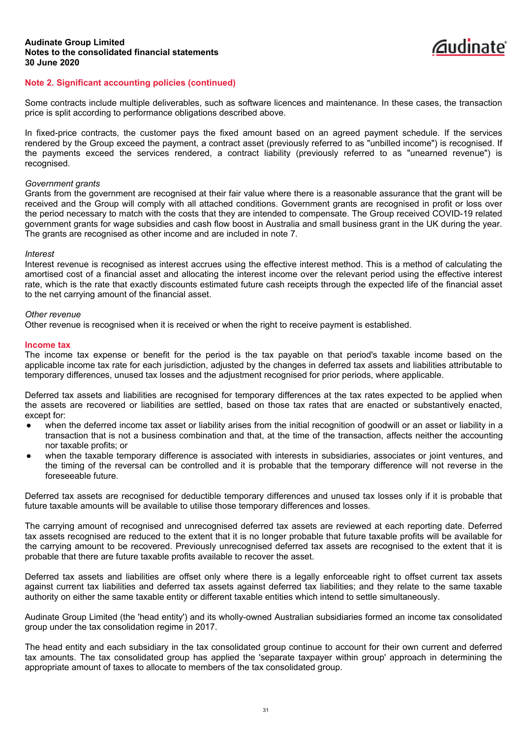# *C*udinate

# **Note 2. Significant accounting policies (continued)**

Some contracts include multiple deliverables, such as software licences and maintenance. In these cases, the transaction price is split according to performance obligations described above.

In fixed-price contracts, the customer pays the fixed amount based on an agreed payment schedule. If the services rendered by the Group exceed the payment, a contract asset (previously referred to as "unbilled income") is recognised. If the payments exceed the services rendered, a contract liability (previously referred to as "unearned revenue") is recognised.

### *Government grants*

Grants from the government are recognised at their fair value where there is a reasonable assurance that the grant will be received and the Group will comply with all attached conditions. Government grants are recognised in profit or loss over the period necessary to match with the costs that they are intended to compensate. The Group received COVID-19 related government grants for wage subsidies and cash flow boost in Australia and small business grant in the UK during the year. The grants are recognised as other income and are included in note 7.

### *Interest*

Interest revenue is recognised as interest accrues using the effective interest method. This is a method of calculating the amortised cost of a financial asset and allocating the interest income over the relevant period using the effective interest rate, which is the rate that exactly discounts estimated future cash receipts through the expected life of the financial asset to the net carrying amount of the financial asset.

# *Other revenue*

Other revenue is recognised when it is received or when the right to receive payment is established.

### **Income tax**

The income tax expense or benefit for the period is the tax payable on that period's taxable income based on the applicable income tax rate for each jurisdiction, adjusted by the changes in deferred tax assets and liabilities attributable to temporary differences, unused tax losses and the adjustment recognised for prior periods, where applicable.

Deferred tax assets and liabilities are recognised for temporary differences at the tax rates expected to be applied when the assets are recovered or liabilities are settled, based on those tax rates that are enacted or substantively enacted, except for:

- when the deferred income tax asset or liability arises from the initial recognition of goodwill or an asset or liability in a transaction that is not a business combination and that, at the time of the transaction, affects neither the accounting nor taxable profits; or
- when the taxable temporary difference is associated with interests in subsidiaries, associates or joint ventures, and the timing of the reversal can be controlled and it is probable that the temporary difference will not reverse in the foreseeable future.

Deferred tax assets are recognised for deductible temporary differences and unused tax losses only if it is probable that future taxable amounts will be available to utilise those temporary differences and losses.

The carrying amount of recognised and unrecognised deferred tax assets are reviewed at each reporting date. Deferred tax assets recognised are reduced to the extent that it is no longer probable that future taxable profits will be available for the carrying amount to be recovered. Previously unrecognised deferred tax assets are recognised to the extent that it is probable that there are future taxable profits available to recover the asset.

Deferred tax assets and liabilities are offset only where there is a legally enforceable right to offset current tax assets against current tax liabilities and deferred tax assets against deferred tax liabilities; and they relate to the same taxable authority on either the same taxable entity or different taxable entities which intend to settle simultaneously.

Audinate Group Limited (the 'head entity') and its wholly-owned Australian subsidiaries formed an income tax consolidated group under the tax consolidation regime in 2017.

The head entity and each subsidiary in the tax consolidated group continue to account for their own current and deferred tax amounts. The tax consolidated group has applied the 'separate taxpayer within group' approach in determining the appropriate amount of taxes to allocate to members of the tax consolidated group.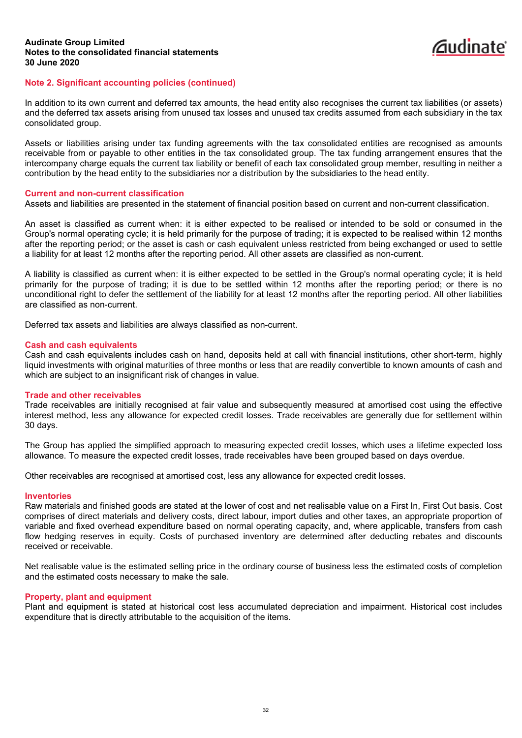

# **Note 2. Significant accounting policies (continued)**

In addition to its own current and deferred tax amounts, the head entity also recognises the current tax liabilities (or assets) and the deferred tax assets arising from unused tax losses and unused tax credits assumed from each subsidiary in the tax consolidated group.

Assets or liabilities arising under tax funding agreements with the tax consolidated entities are recognised as amounts receivable from or payable to other entities in the tax consolidated group. The tax funding arrangement ensures that the intercompany charge equals the current tax liability or benefit of each tax consolidated group member, resulting in neither a contribution by the head entity to the subsidiaries nor a distribution by the subsidiaries to the head entity.

### **Current and non-current classification**

Assets and liabilities are presented in the statement of financial position based on current and non-current classification.

An asset is classified as current when: it is either expected to be realised or intended to be sold or consumed in the Group's normal operating cycle; it is held primarily for the purpose of trading; it is expected to be realised within 12 months after the reporting period; or the asset is cash or cash equivalent unless restricted from being exchanged or used to settle a liability for at least 12 months after the reporting period. All other assets are classified as non-current.

A liability is classified as current when: it is either expected to be settled in the Group's normal operating cycle; it is held primarily for the purpose of trading; it is due to be settled within 12 months after the reporting period; or there is no unconditional right to defer the settlement of the liability for at least 12 months after the reporting period. All other liabilities are classified as non-current.

Deferred tax assets and liabilities are always classified as non-current.

#### **Cash and cash equivalents**

Cash and cash equivalents includes cash on hand, deposits held at call with financial institutions, other short-term, highly liquid investments with original maturities of three months or less that are readily convertible to known amounts of cash and which are subject to an insignificant risk of changes in value.

### **Trade and other receivables**

Trade receivables are initially recognised at fair value and subsequently measured at amortised cost using the effective interest method, less any allowance for expected credit losses. Trade receivables are generally due for settlement within 30 days.

The Group has applied the simplified approach to measuring expected credit losses, which uses a lifetime expected loss allowance. To measure the expected credit losses, trade receivables have been grouped based on days overdue.

Other receivables are recognised at amortised cost, less any allowance for expected credit losses.

#### **Inventories**

Raw materials and finished goods are stated at the lower of cost and net realisable value on a First In, First Out basis. Cost comprises of direct materials and delivery costs, direct labour, import duties and other taxes, an appropriate proportion of variable and fixed overhead expenditure based on normal operating capacity, and, where applicable, transfers from cash flow hedging reserves in equity. Costs of purchased inventory are determined after deducting rebates and discounts received or receivable.

Net realisable value is the estimated selling price in the ordinary course of business less the estimated costs of completion and the estimated costs necessary to make the sale.

### **Property, plant and equipment**

Plant and equipment is stated at historical cost less accumulated depreciation and impairment. Historical cost includes expenditure that is directly attributable to the acquisition of the items.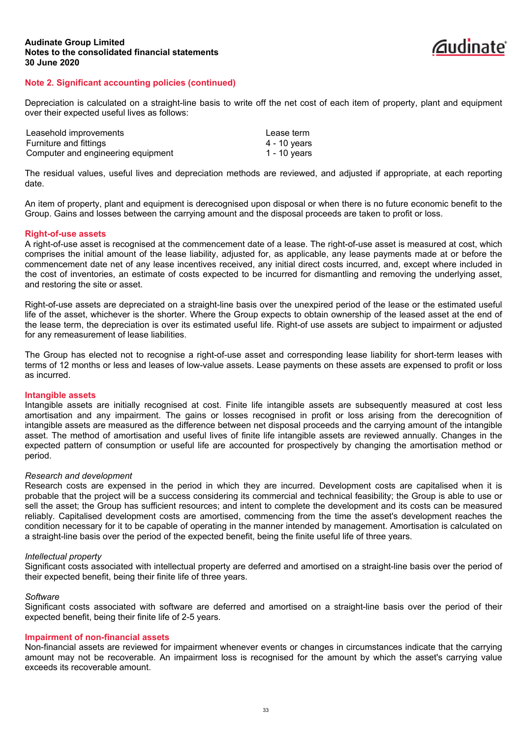

Depreciation is calculated on a straight-line basis to write off the net cost of each item of property, plant and equipment over their expected useful lives as follows:

| Leasehold improvements             | Lease term   |
|------------------------------------|--------------|
| Furniture and fittings             | 4 - 10 years |
| Computer and engineering equipment | 1 - 10 years |

The residual values, useful lives and depreciation methods are reviewed, and adjusted if appropriate, at each reporting date.

An item of property, plant and equipment is derecognised upon disposal or when there is no future economic benefit to the Group. Gains and losses between the carrying amount and the disposal proceeds are taken to profit or loss.

#### **Right-of-use assets**

A right-of-use asset is recognised at the commencement date of a lease. The right-of-use asset is measured at cost, which comprises the initial amount of the lease liability, adjusted for, as applicable, any lease payments made at or before the commencement date net of any lease incentives received, any initial direct costs incurred, and, except where included in the cost of inventories, an estimate of costs expected to be incurred for dismantling and removing the underlying asset, and restoring the site or asset.

Right-of-use assets are depreciated on a straight-line basis over the unexpired period of the lease or the estimated useful life of the asset, whichever is the shorter. Where the Group expects to obtain ownership of the leased asset at the end of the lease term, the depreciation is over its estimated useful life. Right-of use assets are subject to impairment or adjusted for any remeasurement of lease liabilities.

The Group has elected not to recognise a right-of-use asset and corresponding lease liability for short-term leases with terms of 12 months or less and leases of low-value assets. Lease payments on these assets are expensed to profit or loss as incurred.

#### **Intangible assets**

Intangible assets are initially recognised at cost. Finite life intangible assets are subsequently measured at cost less amortisation and any impairment. The gains or losses recognised in profit or loss arising from the derecognition of intangible assets are measured as the difference between net disposal proceeds and the carrying amount of the intangible asset. The method of amortisation and useful lives of finite life intangible assets are reviewed annually. Changes in the expected pattern of consumption or useful life are accounted for prospectively by changing the amortisation method or period.

#### *Research and development*

Research costs are expensed in the period in which they are incurred. Development costs are capitalised when it is probable that the project will be a success considering its commercial and technical feasibility; the Group is able to use or sell the asset; the Group has sufficient resources; and intent to complete the development and its costs can be measured reliably. Capitalised development costs are amortised, commencing from the time the asset's development reaches the condition necessary for it to be capable of operating in the manner intended by management. Amortisation is calculated on a straight-line basis over the period of the expected benefit, being the finite useful life of three years.

#### *Intellectual property*

Significant costs associated with intellectual property are deferred and amortised on a straight-line basis over the period of their expected benefit, being their finite life of three years.

#### *Software*

Significant costs associated with software are deferred and amortised on a straight-line basis over the period of their expected benefit, being their finite life of 2-5 years.

#### **Impairment of non-financial assets**

Non-financial assets are reviewed for impairment whenever events or changes in circumstances indicate that the carrying amount may not be recoverable. An impairment loss is recognised for the amount by which the asset's carrying value exceeds its recoverable amount.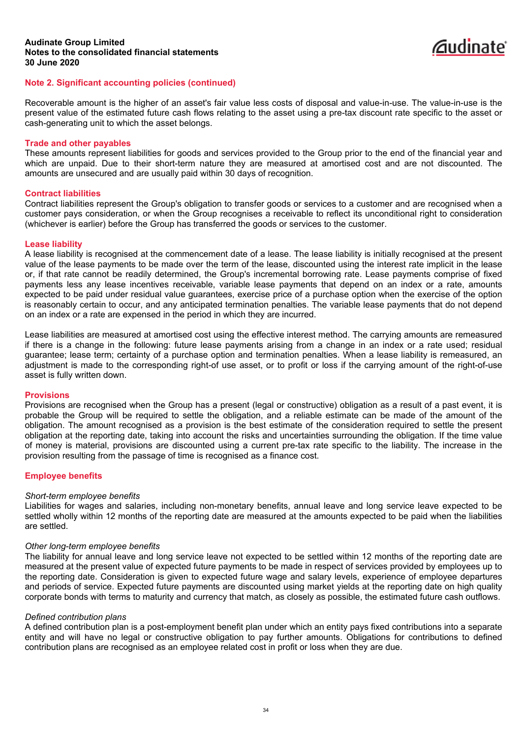# **Note 2. Significant accounting policies (continued)**

Recoverable amount is the higher of an asset's fair value less costs of disposal and value-in-use. The value-in-use is the present value of the estimated future cash flows relating to the asset using a pre-tax discount rate specific to the asset or cash-generating unit to which the asset belongs.

*C*udinate

#### **Trade and other payables**

These amounts represent liabilities for goods and services provided to the Group prior to the end of the financial year and which are unpaid. Due to their short-term nature they are measured at amortised cost and are not discounted. The amounts are unsecured and are usually paid within 30 days of recognition.

#### **Contract liabilities**

Contract liabilities represent the Group's obligation to transfer goods or services to a customer and are recognised when a customer pays consideration, or when the Group recognises a receivable to reflect its unconditional right to consideration (whichever is earlier) before the Group has transferred the goods or services to the customer.

### **Lease liability**

A lease liability is recognised at the commencement date of a lease. The lease liability is initially recognised at the present value of the lease payments to be made over the term of the lease, discounted using the interest rate implicit in the lease or, if that rate cannot be readily determined, the Group's incremental borrowing rate. Lease payments comprise of fixed payments less any lease incentives receivable, variable lease payments that depend on an index or a rate, amounts expected to be paid under residual value guarantees, exercise price of a purchase option when the exercise of the option is reasonably certain to occur, and any anticipated termination penalties. The variable lease payments that do not depend on an index or a rate are expensed in the period in which they are incurred.

Lease liabilities are measured at amortised cost using the effective interest method. The carrying amounts are remeasured if there is a change in the following: future lease payments arising from a change in an index or a rate used; residual guarantee; lease term; certainty of a purchase option and termination penalties. When a lease liability is remeasured, an adjustment is made to the corresponding right-of use asset, or to profit or loss if the carrying amount of the right-of-use asset is fully written down.

#### **Provisions**

Provisions are recognised when the Group has a present (legal or constructive) obligation as a result of a past event, it is probable the Group will be required to settle the obligation, and a reliable estimate can be made of the amount of the obligation. The amount recognised as a provision is the best estimate of the consideration required to settle the present obligation at the reporting date, taking into account the risks and uncertainties surrounding the obligation. If the time value of money is material, provisions are discounted using a current pre-tax rate specific to the liability. The increase in the provision resulting from the passage of time is recognised as a finance cost.

### **Employee benefits**

#### *Short-term employee benefits*

Liabilities for wages and salaries, including non-monetary benefits, annual leave and long service leave expected to be settled wholly within 12 months of the reporting date are measured at the amounts expected to be paid when the liabilities are settled.

#### *Other long-term employee benefits*

The liability for annual leave and long service leave not expected to be settled within 12 months of the reporting date are measured at the present value of expected future payments to be made in respect of services provided by employees up to the reporting date. Consideration is given to expected future wage and salary levels, experience of employee departures and periods of service. Expected future payments are discounted using market yields at the reporting date on high quality corporate bonds with terms to maturity and currency that match, as closely as possible, the estimated future cash outflows.

#### *Defined contribution plans*

A defined contribution plan is a post-employment benefit plan under which an entity pays fixed contributions into a separate entity and will have no legal or constructive obligation to pay further amounts. Obligations for contributions to defined contribution plans are recognised as an employee related cost in profit or loss when they are due.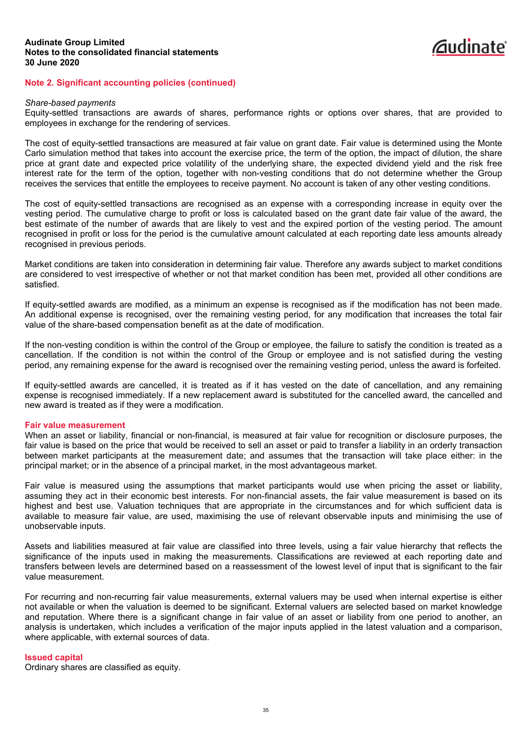

#### *Share-based payments*

Equity-settled transactions are awards of shares, performance rights or options over shares, that are provided to employees in exchange for the rendering of services.

The cost of equity-settled transactions are measured at fair value on grant date. Fair value is determined using the Monte Carlo simulation method that takes into account the exercise price, the term of the option, the impact of dilution, the share price at grant date and expected price volatility of the underlying share, the expected dividend yield and the risk free interest rate for the term of the option, together with non-vesting conditions that do not determine whether the Group receives the services that entitle the employees to receive payment. No account is taken of any other vesting conditions.

The cost of equity-settled transactions are recognised as an expense with a corresponding increase in equity over the vesting period. The cumulative charge to profit or loss is calculated based on the grant date fair value of the award, the best estimate of the number of awards that are likely to vest and the expired portion of the vesting period. The amount recognised in profit or loss for the period is the cumulative amount calculated at each reporting date less amounts already recognised in previous periods.

Market conditions are taken into consideration in determining fair value. Therefore any awards subject to market conditions are considered to vest irrespective of whether or not that market condition has been met, provided all other conditions are satisfied.

If equity-settled awards are modified, as a minimum an expense is recognised as if the modification has not been made. An additional expense is recognised, over the remaining vesting period, for any modification that increases the total fair value of the share-based compensation benefit as at the date of modification.

If the non-vesting condition is within the control of the Group or employee, the failure to satisfy the condition is treated as a cancellation. If the condition is not within the control of the Group or employee and is not satisfied during the vesting period, any remaining expense for the award is recognised over the remaining vesting period, unless the award is forfeited.

If equity-settled awards are cancelled, it is treated as if it has vested on the date of cancellation, and any remaining expense is recognised immediately. If a new replacement award is substituted for the cancelled award, the cancelled and new award is treated as if they were a modification.

#### **Fair value measurement**

When an asset or liability, financial or non-financial, is measured at fair value for recognition or disclosure purposes, the fair value is based on the price that would be received to sell an asset or paid to transfer a liability in an orderly transaction between market participants at the measurement date; and assumes that the transaction will take place either: in the principal market; or in the absence of a principal market, in the most advantageous market.

Fair value is measured using the assumptions that market participants would use when pricing the asset or liability, assuming they act in their economic best interests. For non-financial assets, the fair value measurement is based on its highest and best use. Valuation techniques that are appropriate in the circumstances and for which sufficient data is available to measure fair value, are used, maximising the use of relevant observable inputs and minimising the use of unobservable inputs.

Assets and liabilities measured at fair value are classified into three levels, using a fair value hierarchy that reflects the significance of the inputs used in making the measurements. Classifications are reviewed at each reporting date and transfers between levels are determined based on a reassessment of the lowest level of input that is significant to the fair value measurement.

For recurring and non-recurring fair value measurements, external valuers may be used when internal expertise is either not available or when the valuation is deemed to be significant. External valuers are selected based on market knowledge and reputation. Where there is a significant change in fair value of an asset or liability from one period to another, an analysis is undertaken, which includes a verification of the major inputs applied in the latest valuation and a comparison, where applicable, with external sources of data.

#### **Issued capital**

Ordinary shares are classified as equity.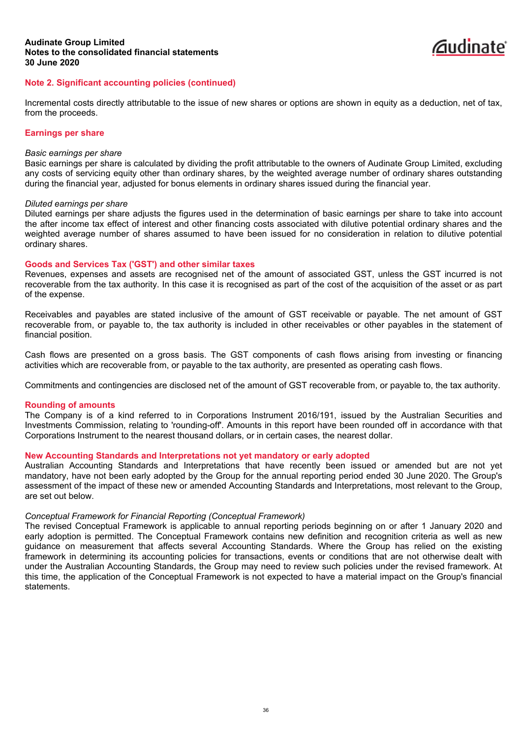

Incremental costs directly attributable to the issue of new shares or options are shown in equity as a deduction, net of tax, from the proceeds.

#### **Earnings per share**

#### *Basic earnings per share*

Basic earnings per share is calculated by dividing the profit attributable to the owners of Audinate Group Limited, excluding any costs of servicing equity other than ordinary shares, by the weighted average number of ordinary shares outstanding during the financial year, adjusted for bonus elements in ordinary shares issued during the financial year.

#### *Diluted earnings per share*

Diluted earnings per share adjusts the figures used in the determination of basic earnings per share to take into account the after income tax effect of interest and other financing costs associated with dilutive potential ordinary shares and the weighted average number of shares assumed to have been issued for no consideration in relation to dilutive potential ordinary shares.

# **Goods and Services Tax ('GST') and other similar taxes**

Revenues, expenses and assets are recognised net of the amount of associated GST, unless the GST incurred is not recoverable from the tax authority. In this case it is recognised as part of the cost of the acquisition of the asset or as part of the expense.

Receivables and payables are stated inclusive of the amount of GST receivable or payable. The net amount of GST recoverable from, or payable to, the tax authority is included in other receivables or other payables in the statement of financial position.

Cash flows are presented on a gross basis. The GST components of cash flows arising from investing or financing activities which are recoverable from, or payable to the tax authority, are presented as operating cash flows.

Commitments and contingencies are disclosed net of the amount of GST recoverable from, or payable to, the tax authority.

### **Rounding of amounts**

The Company is of a kind referred to in Corporations Instrument 2016/191, issued by the Australian Securities and Investments Commission, relating to 'rounding-off'. Amounts in this report have been rounded off in accordance with that Corporations Instrument to the nearest thousand dollars, or in certain cases, the nearest dollar.

# **New Accounting Standards and Interpretations not yet mandatory or early adopted**

Australian Accounting Standards and Interpretations that have recently been issued or amended but are not yet mandatory, have not been early adopted by the Group for the annual reporting period ended 30 June 2020. The Group's assessment of the impact of these new or amended Accounting Standards and Interpretations, most relevant to the Group, are set out below.

### *Conceptual Framework for Financial Reporting (Conceptual Framework)*

The revised Conceptual Framework is applicable to annual reporting periods beginning on or after 1 January 2020 and early adoption is permitted. The Conceptual Framework contains new definition and recognition criteria as well as new guidance on measurement that affects several Accounting Standards. Where the Group has relied on the existing framework in determining its accounting policies for transactions, events or conditions that are not otherwise dealt with under the Australian Accounting Standards, the Group may need to review such policies under the revised framework. At this time, the application of the Conceptual Framework is not expected to have a material impact on the Group's financial statements.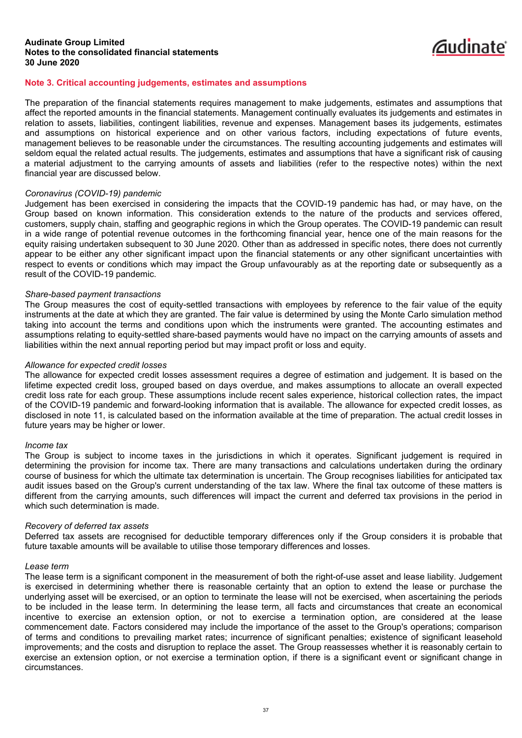

# **Note 3. Critical accounting judgements, estimates and assumptions**

The preparation of the financial statements requires management to make judgements, estimates and assumptions that affect the reported amounts in the financial statements. Management continually evaluates its judgements and estimates in relation to assets, liabilities, contingent liabilities, revenue and expenses. Management bases its judgements, estimates and assumptions on historical experience and on other various factors, including expectations of future events, management believes to be reasonable under the circumstances. The resulting accounting judgements and estimates will seldom equal the related actual results. The judgements, estimates and assumptions that have a significant risk of causing a material adjustment to the carrying amounts of assets and liabilities (refer to the respective notes) within the next financial year are discussed below.

### *Coronavirus (COVID-19) pandemic*

Judgement has been exercised in considering the impacts that the COVID-19 pandemic has had, or may have, on the Group based on known information. This consideration extends to the nature of the products and services offered, customers, supply chain, staffing and geographic regions in which the Group operates. The COVID-19 pandemic can result in a wide range of potential revenue outcomes in the forthcoming financial year, hence one of the main reasons for the equity raising undertaken subsequent to 30 June 2020. Other than as addressed in specific notes, there does not currently appear to be either any other significant impact upon the financial statements or any other significant uncertainties with respect to events or conditions which may impact the Group unfavourably as at the reporting date or subsequently as a result of the COVID-19 pandemic.

# *Share-based payment transactions*

The Group measures the cost of equity-settled transactions with employees by reference to the fair value of the equity instruments at the date at which they are granted. The fair value is determined by using the Monte Carlo simulation method taking into account the terms and conditions upon which the instruments were granted. The accounting estimates and assumptions relating to equity-settled share-based payments would have no impact on the carrying amounts of assets and liabilities within the next annual reporting period but may impact profit or loss and equity.

### *Allowance for expected credit losses*

The allowance for expected credit losses assessment requires a degree of estimation and judgement. It is based on the lifetime expected credit loss, grouped based on days overdue, and makes assumptions to allocate an overall expected credit loss rate for each group. These assumptions include recent sales experience, historical collection rates, the impact of the COVID-19 pandemic and forward-looking information that is available. The allowance for expected credit losses, as disclosed in note 11, is calculated based on the information available at the time of preparation. The actual credit losses in future years may be higher or lower.

### *Income tax*

The Group is subject to income taxes in the jurisdictions in which it operates. Significant judgement is required in determining the provision for income tax. There are many transactions and calculations undertaken during the ordinary course of business for which the ultimate tax determination is uncertain. The Group recognises liabilities for anticipated tax audit issues based on the Group's current understanding of the tax law. Where the final tax outcome of these matters is different from the carrying amounts, such differences will impact the current and deferred tax provisions in the period in which such determination is made.

### *Recovery of deferred tax assets*

Deferred tax assets are recognised for deductible temporary differences only if the Group considers it is probable that future taxable amounts will be available to utilise those temporary differences and losses.

### *Lease term*

The lease term is a significant component in the measurement of both the right-of-use asset and lease liability. Judgement is exercised in determining whether there is reasonable certainty that an option to extend the lease or purchase the underlying asset will be exercised, or an option to terminate the lease will not be exercised, when ascertaining the periods to be included in the lease term. In determining the lease term, all facts and circumstances that create an economical incentive to exercise an extension option, or not to exercise a termination option, are considered at the lease commencement date. Factors considered may include the importance of the asset to the Group's operations; comparison of terms and conditions to prevailing market rates; incurrence of significant penalties; existence of significant leasehold improvements; and the costs and disruption to replace the asset. The Group reassesses whether it is reasonably certain to exercise an extension option, or not exercise a termination option, if there is a significant event or significant change in circumstances.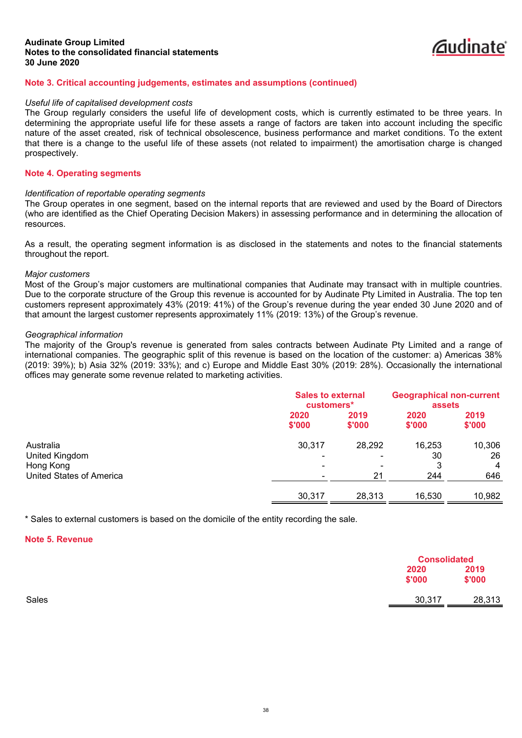

# **Note 3. Critical accounting judgements, estimates and assumptions (continued)**

#### *Useful life of capitalised development costs*

The Group regularly considers the useful life of development costs, which is currently estimated to be three years. In determining the appropriate useful life for these assets a range of factors are taken into account including the specific nature of the asset created, risk of technical obsolescence, business performance and market conditions. To the extent that there is a change to the useful life of these assets (not related to impairment) the amortisation charge is changed prospectively.

#### **Note 4. Operating segments**

#### *Identification of reportable operating segments*

The Group operates in one segment, based on the internal reports that are reviewed and used by the Board of Directors (who are identified as the Chief Operating Decision Makers) in assessing performance and in determining the allocation of resources.

As a result, the operating segment information is as disclosed in the statements and notes to the financial statements throughout the report.

#### *Major customers*

Most of the Group's major customers are multinational companies that Audinate may transact with in multiple countries. Due to the corporate structure of the Group this revenue is accounted for by Audinate Pty Limited in Australia. The top ten customers represent approximately 43% (2019: 41%) of the Group's revenue during the year ended 30 June 2020 and of that amount the largest customer represents approximately 11% (2019: 13%) of the Group's revenue.

#### *Geographical information*

The majority of the Group's revenue is generated from sales contracts between Audinate Pty Limited and a range of international companies. The geographic split of this revenue is based on the location of the customer: a) Americas 38% (2019: 39%); b) Asia 32% (2019: 33%); and c) Europe and Middle East 30% (2019: 28%). Occasionally the international offices may generate some revenue related to marketing activities.

| <b>Sales to external</b><br>customers* |                   | <b>Geographical non-current</b><br>assets |  |
|----------------------------------------|-------------------|-------------------------------------------|--|
| 2019<br>\$'000                         | 2020<br>\$'000    | 2019<br>\$'000                            |  |
| 28,292                                 | 16,253<br>30<br>3 | 10,306<br>26<br>4                         |  |
| 28,313                                 | 16,530            | 646<br>10,982                             |  |
|                                        | 21                | 244                                       |  |

\* Sales to external customers is based on the domicile of the entity recording the sale.

#### **Note 5. Revenue**

|       |                | <b>Consolidated</b> |  |
|-------|----------------|---------------------|--|
|       | 2020<br>\$'000 | 2019<br>\$'000      |  |
| Sales | 30,317         | 28,313              |  |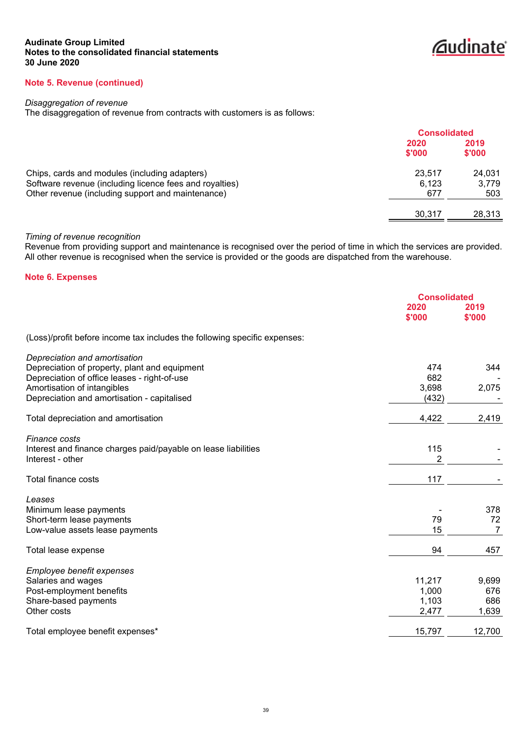*<u><u>Caudinate</u>*</u>

# **Note 5. Revenue (continued)**

# *Disaggregation of revenue*

The disaggregation of revenue from contracts with customers is as follows:

|                                                                                                                                                               | <b>Consolidated</b>    |                        |
|---------------------------------------------------------------------------------------------------------------------------------------------------------------|------------------------|------------------------|
|                                                                                                                                                               | 2020<br>\$'000         | 2019<br>\$'000         |
| Chips, cards and modules (including adapters)<br>Software revenue (including licence fees and royalties)<br>Other revenue (including support and maintenance) | 23,517<br>6.123<br>677 | 24,031<br>3,779<br>503 |
|                                                                                                                                                               | 30.317                 | 28,313                 |

# *Timing of revenue recognition*

Revenue from providing support and maintenance is recognised over the period of time in which the services are provided. All other revenue is recognised when the service is provided or the goods are dispatched from the warehouse.

# **Note 6. Expenses**

|                                                                           | <b>Consolidated</b> |                |
|---------------------------------------------------------------------------|---------------------|----------------|
|                                                                           | 2020<br>\$'000      | 2019<br>\$'000 |
| (Loss)/profit before income tax includes the following specific expenses: |                     |                |
| Depreciation and amortisation                                             |                     |                |
| Depreciation of property, plant and equipment                             | 474                 | 344            |
| Depreciation of office leases - right-of-use                              | 682                 |                |
| Amortisation of intangibles                                               | 3,698               | 2,075          |
| Depreciation and amortisation - capitalised                               | (432)               |                |
| Total depreciation and amortisation                                       | 4,422               | 2,419          |
| <b>Finance costs</b>                                                      |                     |                |
| Interest and finance charges paid/payable on lease liabilities            | 115                 |                |
| Interest - other                                                          | 2                   |                |
| Total finance costs                                                       | 117                 |                |
| Leases                                                                    |                     |                |
| Minimum lease payments                                                    |                     | 378            |
| Short-term lease payments                                                 | 79                  | 72             |
| Low-value assets lease payments                                           | 15                  | 7              |
| Total lease expense                                                       | 94                  | 457            |
| Employee benefit expenses                                                 |                     |                |
| Salaries and wages                                                        | 11,217              | 9,699          |
| Post-employment benefits                                                  | 1,000               | 676            |
| Share-based payments                                                      | 1,103               | 686            |
| Other costs                                                               | 2,477               | 1,639          |
| Total employee benefit expenses*                                          | 15,797              | 12,700         |
|                                                                           |                     |                |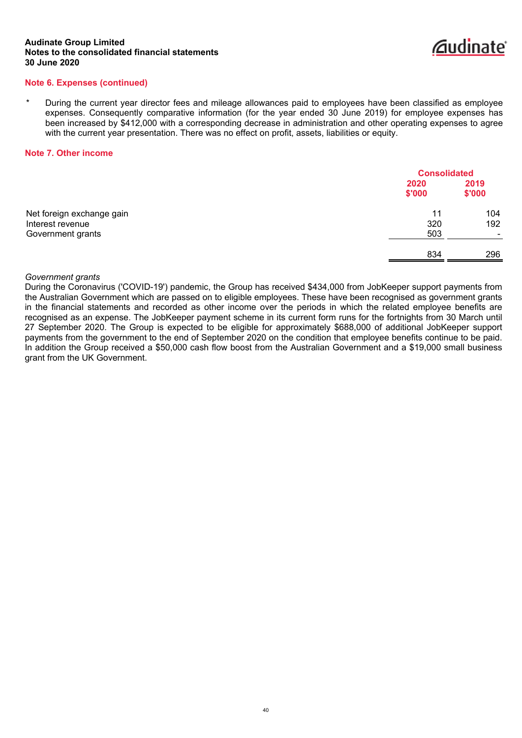

### **Note 6. Expenses (continued)**

During the current year director fees and mileage allowances paid to employees have been classified as employee expenses. Consequently comparative information (for the year ended 30 June 2019) for employee expenses has been increased by \$412,000 with a corresponding decrease in administration and other operating expenses to agree with the current year presentation. There was no effect on profit, assets, liabilities or equity.

#### **Note 7. Other income**

|                                               |                | <b>Consolidated</b>      |  |
|-----------------------------------------------|----------------|--------------------------|--|
|                                               | 2020<br>\$'000 | 2019<br>\$'000           |  |
| Net foreign exchange gain<br>Interest revenue | 11<br>320      | 104<br>192               |  |
| Government grants                             | 503            | $\overline{\phantom{0}}$ |  |
|                                               | 834            | 296                      |  |

#### *Government grants*

During the Coronavirus ('COVID-19') pandemic, the Group has received \$434,000 from JobKeeper support payments from the Australian Government which are passed on to eligible employees. These have been recognised as government grants in the financial statements and recorded as other income over the periods in which the related employee benefits are recognised as an expense. The JobKeeper payment scheme in its current form runs for the fortnights from 30 March until 27 September 2020. The Group is expected to be eligible for approximately \$688,000 of additional JobKeeper support payments from the government to the end of September 2020 on the condition that employee benefits continue to be paid. In addition the Group received a \$50,000 cash flow boost from the Australian Government and a \$19,000 small business grant from the UK Government.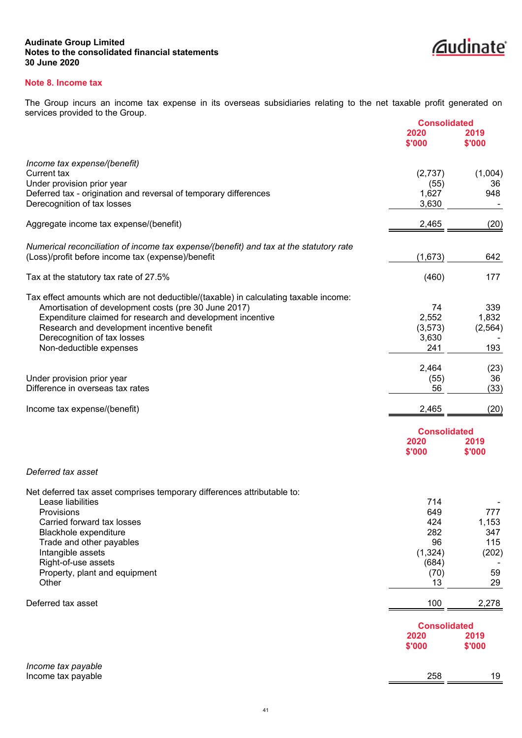

# **Note 8. Income tax**

The Group incurs an income tax expense in its overseas subsidiaries relating to the net taxable profit generated on services provided to the Group.

|                                                                                                                                              | <b>Consolidated</b>         |                |
|----------------------------------------------------------------------------------------------------------------------------------------------|-----------------------------|----------------|
|                                                                                                                                              | 2020<br>\$'000              | 2019<br>\$'000 |
| Income tax expense/(benefit)                                                                                                                 |                             |                |
| Current tax                                                                                                                                  | (2,737)                     | (1,004)        |
| Under provision prior year                                                                                                                   | (55)                        | 36             |
| Deferred tax - origination and reversal of temporary differences                                                                             | 1,627                       | 948            |
| Derecognition of tax losses                                                                                                                  | 3,630                       |                |
| Aggregate income tax expense/(benefit)                                                                                                       | 2,465                       | (20)           |
| Numerical reconciliation of income tax expense/(benefit) and tax at the statutory rate                                                       |                             |                |
| (Loss)/profit before income tax (expense)/benefit                                                                                            | (1,673)                     | 642            |
| Tax at the statutory tax rate of 27.5%                                                                                                       | (460)                       | 177            |
|                                                                                                                                              |                             |                |
| Tax effect amounts which are not deductible/(taxable) in calculating taxable income:<br>Amortisation of development costs (pre 30 June 2017) | 74                          | 339            |
| Expenditure claimed for research and development incentive                                                                                   | 2,552                       | 1,832          |
| Research and development incentive benefit                                                                                                   | (3, 573)                    | (2, 564)       |
| Derecognition of tax losses                                                                                                                  | 3,630                       |                |
| Non-deductible expenses                                                                                                                      | 241                         | 193            |
|                                                                                                                                              | 2,464                       | (23)           |
| Under provision prior year                                                                                                                   | (55)                        | 36             |
| Difference in overseas tax rates                                                                                                             | 56                          | (33)           |
| Income tax expense/(benefit)                                                                                                                 | 2,465                       | (20)           |
|                                                                                                                                              | <b>Consolidated</b>         |                |
|                                                                                                                                              | 2020                        | 2019           |
|                                                                                                                                              | \$'000                      | \$'000         |
| Deferred tax asset                                                                                                                           |                             |                |
| Net deferred tax asset comprises temporary differences attributable to:                                                                      |                             |                |
| Lease liabilities                                                                                                                            | 714                         |                |
| Provisions                                                                                                                                   | 649                         | 777            |
| Carried forward tax losses                                                                                                                   | 424                         | 1,153          |
| Blackhole expenditure                                                                                                                        | 282                         | 347            |
| Trade and other payables                                                                                                                     | 96                          | 115            |
| Intangible assets                                                                                                                            | (1, 324)                    | (202)          |
| Right-of-use assets<br>Property, plant and equipment                                                                                         | (684)<br>(70)               | 59             |
| Other                                                                                                                                        | 13                          | 29             |
| Deferred tax asset                                                                                                                           | 100                         | 2,278          |
|                                                                                                                                              |                             |                |
|                                                                                                                                              | <b>Consolidated</b><br>2020 | 2019           |
|                                                                                                                                              | \$'000                      | \$'000         |
| Income tax payable                                                                                                                           |                             |                |
| Income tax payable                                                                                                                           | 258                         | 19             |
|                                                                                                                                              |                             |                |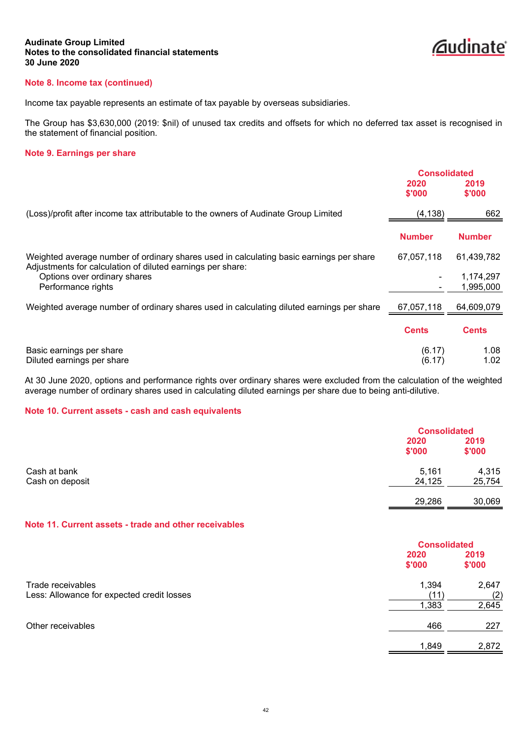

# **Note 8. Income tax (continued)**

Income tax payable represents an estimate of tax payable by overseas subsidiaries.

The Group has \$3,630,000 (2019: \$nil) of unused tax credits and offsets for which no deferred tax asset is recognised in the statement of financial position.

# **Note 9. Earnings per share**

|                                                                                                                                                       | <b>Consolidated</b> |                        |
|-------------------------------------------------------------------------------------------------------------------------------------------------------|---------------------|------------------------|
|                                                                                                                                                       | 2020<br>\$'000      | 2019<br>\$'000         |
| (Loss)/profit after income tax attributable to the owners of Audinate Group Limited                                                                   | (4, 138)            | 662                    |
|                                                                                                                                                       | <b>Number</b>       | <b>Number</b>          |
| Weighted average number of ordinary shares used in calculating basic earnings per share<br>Adjustments for calculation of diluted earnings per share: | 67,057,118          | 61,439,782             |
| Options over ordinary shares<br>Performance rights                                                                                                    |                     | 1,174,297<br>1,995,000 |
| Weighted average number of ordinary shares used in calculating diluted earnings per share                                                             | 67,057,118          | 64,609,079             |
|                                                                                                                                                       | <b>Cents</b>        | <b>Cents</b>           |
| Basic earnings per share<br>Diluted earnings per share                                                                                                | (6.17)<br>(6.17)    | 1.08<br>1.02           |

At 30 June 2020, options and performance rights over ordinary shares were excluded from the calculation of the weighted average number of ordinary shares used in calculating diluted earnings per share due to being anti-dilutive.

### **Note 10. Current assets - cash and cash equivalents**

|                 |                | <b>Consolidated</b> |  |
|-----------------|----------------|---------------------|--|
|                 | 2020<br>\$'000 | 2019<br>\$'000      |  |
| Cash at bank    | 5,161          | 4,315               |  |
| Cash on deposit | 24,125         | 25,754              |  |
|                 | 29,286         | 30,069              |  |

#### **Note 11. Current assets - trade and other receivables**

|                                                                 | <b>Consolidated</b>    |                       |
|-----------------------------------------------------------------|------------------------|-----------------------|
|                                                                 | 2020<br>\$'000         | 2019<br>\$'000        |
| Trade receivables<br>Less: Allowance for expected credit losses | 1,394<br>(11`<br>1,383 | 2,647<br>(2)<br>2,645 |
| Other receivables                                               | 466                    | 227                   |
|                                                                 | 1,849                  | 2,872                 |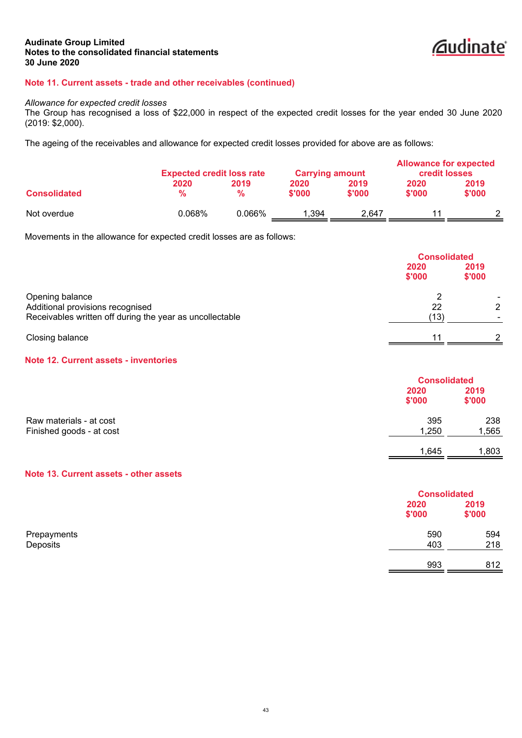

# **Note 11. Current assets - trade and other receivables (continued)**

#### *Allowance for expected credit losses*

The Group has recognised a loss of \$22,000 in respect of the expected credit losses for the year ended 30 June 2020 (2019: \$2,000).

The ageing of the receivables and allowance for expected credit losses provided for above are as follows:

|                     | <b>Expected credit loss rate</b> |              | <b>Carrying amount</b> |                | <b>Allowance for expected</b><br><b>credit losses</b> |                |
|---------------------|----------------------------------|--------------|------------------------|----------------|-------------------------------------------------------|----------------|
| <b>Consolidated</b> | 2020<br>$\frac{9}{6}$            | 2019<br>$\%$ | 2020<br>\$'000         | 2019<br>\$'000 | 2020<br>\$'000                                        | 2019<br>\$'000 |
| Not overdue         | 0.068%                           | 0.066%       | .394                   | 2.647          |                                                       |                |

Movements in the allowance for expected credit losses are as follows:

|                                                                                                                 |                | <b>Consolidated</b> |  |
|-----------------------------------------------------------------------------------------------------------------|----------------|---------------------|--|
|                                                                                                                 | 2020<br>\$'000 | 2019<br>\$'000      |  |
| Opening balance<br>Additional provisions recognised<br>Receivables written off during the year as uncollectable | 22<br>(13)     | 2                   |  |
| Closing balance                                                                                                 | 11             |                     |  |

# **Note 12. Current assets - inventories**

|                          |        | <b>Consolidated</b> |  |
|--------------------------|--------|---------------------|--|
|                          | 2020   | 2019                |  |
|                          | \$'000 | \$'000              |  |
| Raw materials - at cost  | 395    | 238                 |  |
| Finished goods - at cost | 1,250  | 1,565               |  |
|                          | 1,645  | 1,803               |  |

# **Note 13. Current assets - other assets**

|             |        | <b>Consolidated</b> |
|-------------|--------|---------------------|
|             | 2020   | 2019                |
|             | \$'000 | \$'000              |
| Prepayments | 590    | 594                 |
| Deposits    | 403    | 218                 |
|             | 993    | 812                 |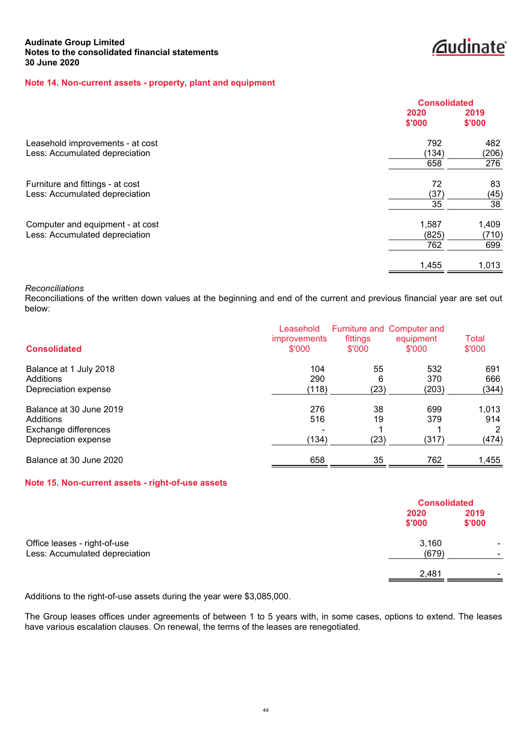*<u>Caudinate</u>* 

# **Note 14. Non-current assets - property, plant and equipment**

|                                  | <b>Consolidated</b> |        |
|----------------------------------|---------------------|--------|
|                                  | 2020                | 2019   |
|                                  | \$'000              | \$'000 |
| Leasehold improvements - at cost | 792                 | 482    |
| Less: Accumulated depreciation   | (134)               | (206)  |
|                                  | 658                 | 276    |
| Furniture and fittings - at cost | 72                  | 83     |
| Less: Accumulated depreciation   | (37)                | (45)   |
|                                  | 35                  | 38     |
| Computer and equipment - at cost | 1,587               | 1,409  |
| Less: Accumulated depreciation   | (825)               | (710)  |
|                                  | 762                 | 699    |
|                                  | 1,455               | 1,013  |

#### *Reconciliations*

Reconciliations of the written down values at the beginning and end of the current and previous financial year are set out below:

| <b>Consolidated</b>                                                                  | Leasehold<br><i>improvements</i><br>\$'000 | fittings<br>\$'000    | Furniture and Computer and<br>equipment<br>\$'000 | Total<br>\$'000            |
|--------------------------------------------------------------------------------------|--------------------------------------------|-----------------------|---------------------------------------------------|----------------------------|
| Balance at 1 July 2018<br>Additions<br>Depreciation expense                          | 104<br>290<br>(118)                        | 55<br>6<br>(23)       | 532<br>370<br>(203)                               | 691<br>666<br>(344)        |
| Balance at 30 June 2019<br>Additions<br>Exchange differences<br>Depreciation expense | 276<br>516<br>(134)                        | 38<br>19<br>◢<br>(23) | 699<br>379<br>(317)                               | 1,013<br>914<br>2<br>(474) |
| Balance at 30 June 2020                                                              | 658                                        | 35                    | 762                                               | 1,455                      |

### **Note 15. Non-current assets - right-of-use assets**

|                                | <b>Consolidated</b> |        |
|--------------------------------|---------------------|--------|
|                                | 2020                | 2019   |
|                                | \$'000              | \$'000 |
| Office leases - right-of-use   | 3,160               |        |
| Less: Accumulated depreciation | (679)               |        |
|                                | 2,481               |        |

Additions to the right-of-use assets during the year were \$3,085,000.

The Group leases offices under agreements of between 1 to 5 years with, in some cases, options to extend. The leases have various escalation clauses. On renewal, the terms of the leases are renegotiated.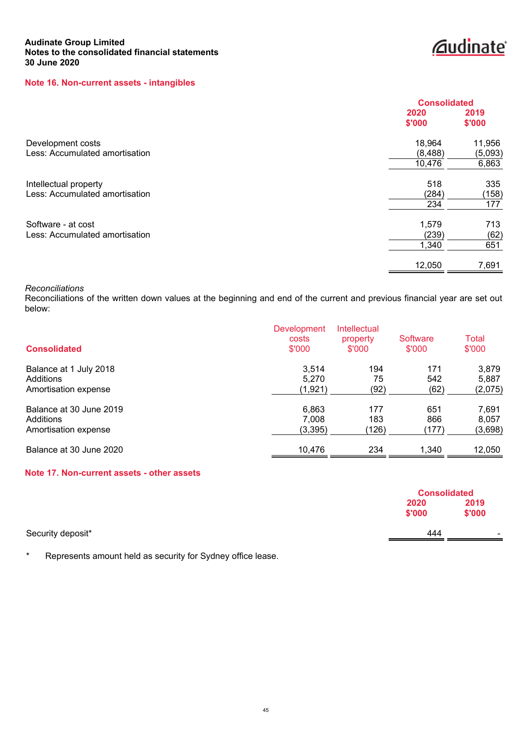# **Note 16. Non-current assets - intangibles**

|                                | <b>Consolidated</b> |         |
|--------------------------------|---------------------|---------|
|                                | 2020                | 2019    |
|                                | \$'000              | \$'000  |
| Development costs              | 18,964              | 11,956  |
| Less: Accumulated amortisation | (8, 488)            | (5,093) |
|                                | 10,476              | 6,863   |
| Intellectual property          | 518                 | 335     |
| Less: Accumulated amortisation | (284)               | (158)   |
|                                | 234                 | 177     |
| Software - at cost             | 1,579               | 713     |
| Less: Accumulated amortisation | (239)               | (62)    |
|                                | 1,340               | 651     |
|                                | 12,050              | 7,691   |

*<u>Caudinate</u>* 

# *Reconciliations*

Reconciliations of the written down values at the beginning and end of the current and previous financial year are set out below:

| <b>Consolidated</b>     | <b>Development</b><br>costs<br>\$'000 | <b>Intellectual</b><br>property<br>\$'000 | Software<br>\$'000 | Total<br>\$'000 |
|-------------------------|---------------------------------------|-------------------------------------------|--------------------|-----------------|
| Balance at 1 July 2018  | 3,514                                 | 194                                       | 171                | 3,879           |
| Additions               | 5.270                                 | 75                                        | 542                | 5,887           |
| Amortisation expense    | (1,921)                               | (92)                                      | (62)               | (2,075)         |
| Balance at 30 June 2019 | 6,863                                 | 177                                       | 651                | 7,691           |
| Additions               | 7,008                                 | 183                                       | 866                | 8.057           |
| Amortisation expense    | (3, 395)                              | (126)                                     | (177)              | (3,698)         |
| Balance at 30 June 2020 | 10,476                                | 234                                       | 1,340              | 12,050          |

# **Note 17. Non-current assets - other assets**

|                   | <b>Consolidated</b> |        |
|-------------------|---------------------|--------|
|                   | 2020                | 2019   |
|                   | \$'000              | \$'000 |
| Security deposit* | 444                 | $\sim$ |
|                   |                     |        |

\* Represents amount held as security for Sydney office lease.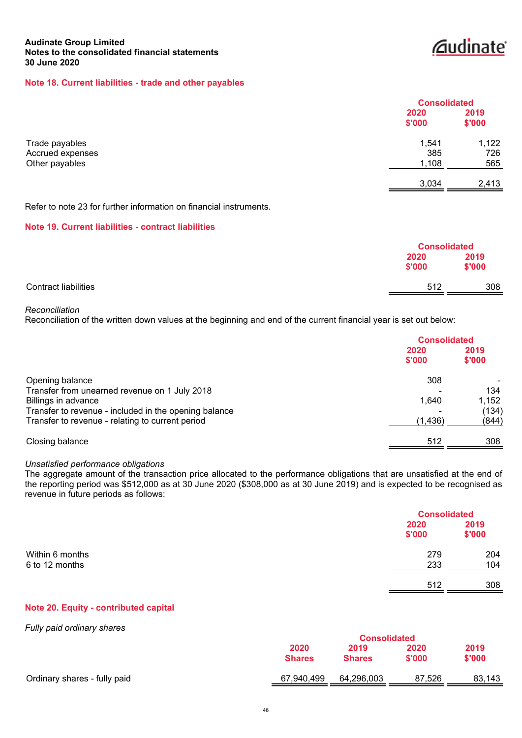# **Caudinate**

# **Note 18. Current liabilities - trade and other payables**

|                                    |                | <b>Consolidated</b> |  |
|------------------------------------|----------------|---------------------|--|
|                                    | 2020<br>\$'000 | 2019<br>\$'000      |  |
| Trade payables<br>Accrued expenses | 1,541<br>385   | 1,122<br>726        |  |
| Other payables                     | 1,108          | 565                 |  |
|                                    | 3,034          | 2,413               |  |

Refer to note 23 for further information on financial instruments.

# **Note 19. Current liabilities - contract liabilities**

|                             |                | <b>Consolidated</b> |
|-----------------------------|----------------|---------------------|
|                             | 2020<br>\$'000 | 2019<br>\$'000      |
| <b>Contract liabilities</b> | 512            | 308                 |

#### *Reconciliation*

Reconciliation of the written down values at the beginning and end of the current financial year is set out below:

|                                                       | <b>Consolidated</b> |                |
|-------------------------------------------------------|---------------------|----------------|
|                                                       | 2020<br>\$'000      | 2019<br>\$'000 |
| Opening balance                                       | 308                 |                |
| Transfer from unearned revenue on 1 July 2018         |                     | 134            |
| Billings in advance                                   | 1,640               | 1,152          |
| Transfer to revenue - included in the opening balance |                     | (134)          |
| Transfer to revenue - relating to current period      | (1,436)             | (844)          |
| Closing balance                                       | 512                 | 308            |

#### *Unsatisfied performance obligations*

The aggregate amount of the transaction price allocated to the performance obligations that are unsatisfied at the end of the reporting period was \$512,000 as at 30 June 2020 (\$308,000 as at 30 June 2019) and is expected to be recognised as revenue in future periods as follows:

|                 |                | <b>Consolidated</b> |
|-----------------|----------------|---------------------|
|                 | 2020<br>\$'000 | 2019<br>\$'000      |
| Within 6 months | 279            | 204                 |
| 6 to 12 months  | 233            | 104                 |
|                 | 512            | 308                 |

# **Note 20. Equity - contributed capital**

# *Fully paid ordinary shares*

|                              | <b>Consolidated</b> |               |        |        |
|------------------------------|---------------------|---------------|--------|--------|
|                              | 2020                | 2019          | 2020   | 2019   |
|                              | <b>Shares</b>       | <b>Shares</b> | \$'000 | \$'000 |
| Ordinary shares - fully paid | 67,940,499          | 64,296,003    | 87.526 | 83,143 |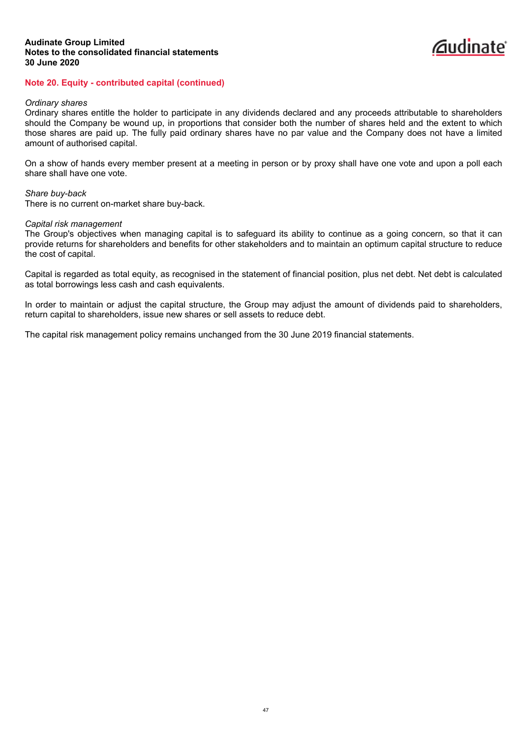# **Note 20. Equity - contributed capital (continued)**

#### *Ordinary shares*

Ordinary shares entitle the holder to participate in any dividends declared and any proceeds attributable to shareholders should the Company be wound up, in proportions that consider both the number of shares held and the extent to which those shares are paid up. The fully paid ordinary shares have no par value and the Company does not have a limited amount of authorised capital.

On a show of hands every member present at a meeting in person or by proxy shall have one vote and upon a poll each share shall have one vote.

#### *Share buy-back*

There is no current on-market share buy-back.

#### *Capital risk management*

The Group's objectives when managing capital is to safeguard its ability to continue as a going concern, so that it can provide returns for shareholders and benefits for other stakeholders and to maintain an optimum capital structure to reduce the cost of capital.

Capital is regarded as total equity, as recognised in the statement of financial position, plus net debt. Net debt is calculated as total borrowings less cash and cash equivalents.

In order to maintain or adjust the capital structure, the Group may adjust the amount of dividends paid to shareholders, return capital to shareholders, issue new shares or sell assets to reduce debt.

The capital risk management policy remains unchanged from the 30 June 2019 financial statements.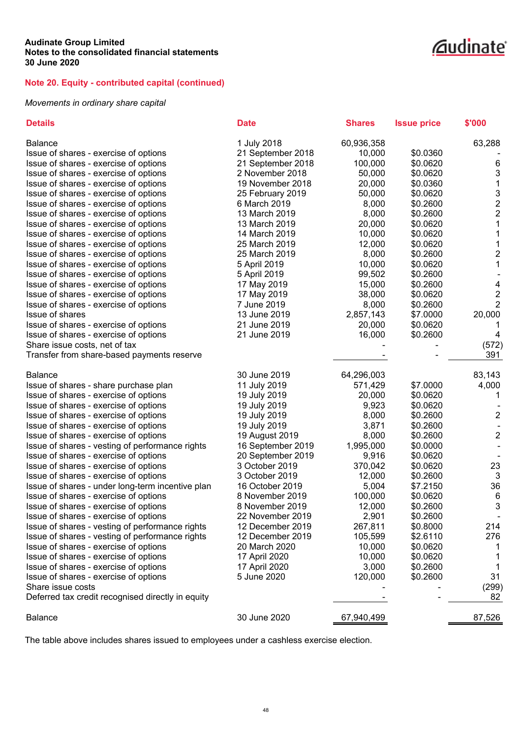# **Note 20. Equity - contributed capital (continued)**

# *Movements in ordinary share capital*

| <b>Details</b>                                    | <b>Date</b>       | <b>Shares</b> | <b>Issue price</b> | \$'000                  |
|---------------------------------------------------|-------------------|---------------|--------------------|-------------------------|
| <b>Balance</b>                                    | 1 July 2018       | 60,936,358    |                    | 63,288                  |
| Issue of shares - exercise of options             | 21 September 2018 | 10,000        | \$0.0360           |                         |
| Issue of shares - exercise of options             | 21 September 2018 | 100,000       | \$0.0620           | 6                       |
| Issue of shares - exercise of options             | 2 November 2018   | 50,000        | \$0.0620           | 3                       |
| Issue of shares - exercise of options             | 19 November 2018  | 20,000        | \$0.0360           | 1                       |
| Issue of shares - exercise of options             | 25 February 2019  | 50,000        | \$0.0620           | 3                       |
| Issue of shares - exercise of options             | 6 March 2019      | 8,000         | \$0.2600           | $\overline{\mathbf{c}}$ |
| Issue of shares - exercise of options             | 13 March 2019     | 8,000         | \$0.2600           | $\overline{\mathbf{c}}$ |
| Issue of shares - exercise of options             | 13 March 2019     | 20,000        | \$0.0620           | $\mathbf 1$             |
| Issue of shares - exercise of options             | 14 March 2019     | 10,000        | \$0.0620           | $\mathbf 1$             |
| Issue of shares - exercise of options             | 25 March 2019     | 12,000        | \$0.0620           | 1                       |
| Issue of shares - exercise of options             | 25 March 2019     | 8,000         | \$0.2600           | $\overline{c}$          |
| Issue of shares - exercise of options             | 5 April 2019      | 10,000        | \$0.0620           | $\mathbf 1$             |
| Issue of shares - exercise of options             | 5 April 2019      | 99,502        | \$0.2600           |                         |
| Issue of shares - exercise of options             | 17 May 2019       | 15,000        | \$0.2600           | 4                       |
| Issue of shares - exercise of options             | 17 May 2019       | 38,000        | \$0.0620           | $\overline{\mathbf{c}}$ |
| Issue of shares - exercise of options             | 7 June 2019       | 8,000         | \$0.2600           | $\overline{c}$          |
| Issue of shares                                   | 13 June 2019      | 2,857,143     | \$7.0000           | 20,000                  |
| Issue of shares - exercise of options             | 21 June 2019      | 20,000        | \$0.0620           | 1                       |
| Issue of shares - exercise of options             | 21 June 2019      | 16,000        | \$0.2600           | 4                       |
| Share issue costs, net of tax                     |                   |               |                    | (572)                   |
|                                                   |                   |               |                    | 391                     |
| Transfer from share-based payments reserve        |                   |               |                    |                         |
| <b>Balance</b>                                    | 30 June 2019      | 64,296,003    |                    | 83,143                  |
| Issue of shares - share purchase plan             | 11 July 2019      | 571,429       | \$7.0000           | 4,000                   |
| Issue of shares - exercise of options             | 19 July 2019      | 20,000        | \$0.0620           | 1                       |
| Issue of shares - exercise of options             | 19 July 2019      | 9,923         | \$0.0620           |                         |
| Issue of shares - exercise of options             | 19 July 2019      | 8,000         | \$0.2600           | 2                       |
| Issue of shares - exercise of options             | 19 July 2019      | 3,871         | \$0.2600           |                         |
| Issue of shares - exercise of options             | 19 August 2019    | 8,000         | \$0.2600           | $\overline{2}$          |
| Issue of shares - vesting of performance rights   | 16 September 2019 | 1,995,000     | \$0.0000           |                         |
| Issue of shares - exercise of options             | 20 September 2019 | 9,916         | \$0.0620           |                         |
| Issue of shares - exercise of options             | 3 October 2019    | 370,042       | \$0.0620           | 23                      |
| Issue of shares - exercise of options             | 3 October 2019    | 12,000        | \$0.2600           | 3                       |
| Issue of shares - under long-term incentive plan  | 16 October 2019   | 5,004         | \$7.2150           | 36                      |
| Issue of shares - exercise of options             | 8 November 2019   | 100,000       | \$0.0620           | $6\phantom{1}6$         |
| Issue of shares - exercise of options             | 8 November 2019   | 12,000        | \$0.2600           | 3                       |
| Issue of shares - exercise of options             | 22 November 2019  | 2,901         | \$0.2600           |                         |
| Issue of shares - vesting of performance rights   | 12 December 2019  | 267,811       | \$0.8000           | 214                     |
| Issue of shares - vesting of performance rights   | 12 December 2019  | 105,599       | \$2.6110           | 276                     |
| Issue of shares - exercise of options             | 20 March 2020     | 10,000        | \$0.0620           | 1                       |
| Issue of shares - exercise of options             | 17 April 2020     | 10,000        | \$0.0620           | 1                       |
| Issue of shares - exercise of options             | 17 April 2020     | 3,000         | \$0.2600           | 1                       |
| Issue of shares - exercise of options             | 5 June 2020       | 120,000       | \$0.2600           | 31                      |
| Share issue costs                                 |                   |               |                    | (299)                   |
| Deferred tax credit recognised directly in equity |                   |               |                    | 82                      |
| <b>Balance</b>                                    | 30 June 2020      | 67,940,499    |                    | 87,526                  |
|                                                   |                   |               |                    |                         |

The table above includes shares issued to employees under a cashless exercise election.

# *<u>Caudinate</u>*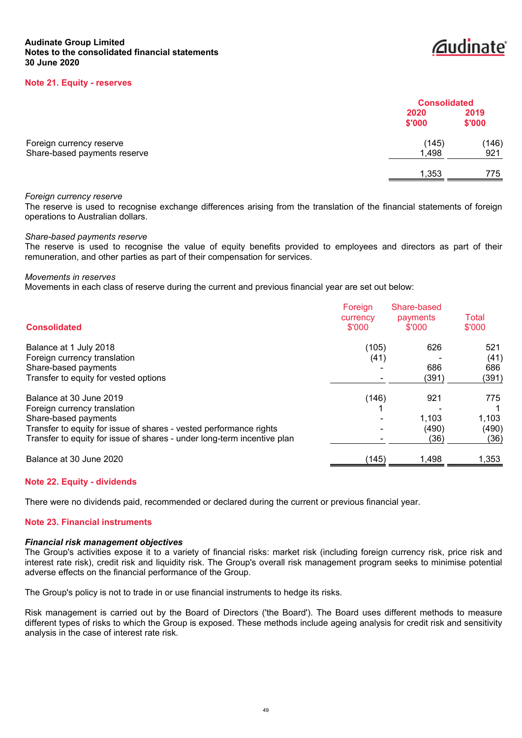# *<u></u>*audinate®

#### **Note 21. Equity - reserves**

|                                                          |                | <b>Consolidated</b> |  |
|----------------------------------------------------------|----------------|---------------------|--|
|                                                          | 2020<br>\$'000 | 2019<br>\$'000      |  |
| Foreign currency reserve<br>Share-based payments reserve | (145)<br>1,498 | (146)<br>921        |  |
|                                                          | 1,353          | 775                 |  |

#### *Foreign currency reserve*

The reserve is used to recognise exchange differences arising from the translation of the financial statements of foreign operations to Australian dollars.

### *Share-based payments reserve*

The reserve is used to recognise the value of equity benefits provided to employees and directors as part of their remuneration, and other parties as part of their compensation for services.

#### *Movements in reserves*

Movements in each class of reserve during the current and previous financial year are set out below:

| <b>Consolidated</b>                                                     | Foreign<br>currency<br>\$'000 | Share-based<br>payments<br>\$'000 | Total<br>\$'000 |
|-------------------------------------------------------------------------|-------------------------------|-----------------------------------|-----------------|
| Balance at 1 July 2018                                                  | (105)                         | 626                               | 521             |
| Foreign currency translation                                            | (41)                          |                                   | (41)            |
| Share-based payments                                                    |                               | 686                               | 686             |
| Transfer to equity for vested options                                   |                               | (391)                             | (391)           |
| Balance at 30 June 2019                                                 | (146)                         | 921                               | 775             |
| Foreign currency translation                                            |                               |                                   |                 |
| Share-based payments                                                    |                               | 1.103                             | 1,103           |
| Transfer to equity for issue of shares - vested performance rights      |                               | (490)                             | (490)           |
| Transfer to equity for issue of shares - under long-term incentive plan |                               | (36)                              | (36)            |
| Balance at 30 June 2020                                                 | (145)                         | 1.498                             | 1,353           |

### **Note 22. Equity - dividends**

There were no dividends paid, recommended or declared during the current or previous financial year.

# **Note 23. Financial instruments**

#### *Financial risk management objectives*

The Group's activities expose it to a variety of financial risks: market risk (including foreign currency risk, price risk and interest rate risk), credit risk and liquidity risk. The Group's overall risk management program seeks to minimise potential adverse effects on the financial performance of the Group.

The Group's policy is not to trade in or use financial instruments to hedge its risks.

Risk management is carried out by the Board of Directors ('the Board'). The Board uses different methods to measure different types of risks to which the Group is exposed. These methods include ageing analysis for credit risk and sensitivity analysis in the case of interest rate risk.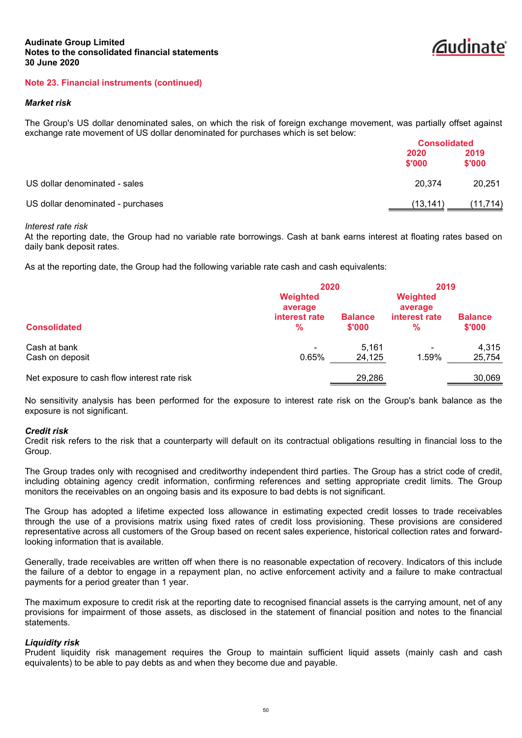

# **Note 23. Financial instruments (continued)**

#### *Market risk*

The Group's US dollar denominated sales, on which the risk of foreign exchange movement, was partially offset against exchange rate movement of US dollar denominated for purchases which is set below:

|                                   |                | <b>Consolidated</b> |  |
|-----------------------------------|----------------|---------------------|--|
|                                   | 2020<br>\$'000 | 2019<br>\$'000      |  |
| US dollar denominated - sales     | 20.374         | 20,251              |  |
| US dollar denominated - purchases | (13,141)       | (11,714)            |  |

#### *Interest rate risk*

At the reporting date, the Group had no variable rate borrowings. Cash at bank earns interest at floating rates based on daily bank deposit rates.

As at the reporting date, the Group had the following variable rate cash and cash equivalents:

|                                              | Weighted                         | 2020                     |                               | 2019                     |
|----------------------------------------------|----------------------------------|--------------------------|-------------------------------|--------------------------|
| <b>Consolidated</b>                          | average<br>interest rate<br>$\%$ | <b>Balance</b><br>\$'000 | average<br>interest rate<br>% | <b>Balance</b><br>\$'000 |
| Cash at bank<br>Cash on deposit              | -<br>0.65%                       | 5.161<br>24,125          | 1.59%                         | 4,315<br>25,754          |
| Net exposure to cash flow interest rate risk |                                  | 29,286                   |                               | 30,069                   |

No sensitivity analysis has been performed for the exposure to interest rate risk on the Group's bank balance as the exposure is not significant.

#### *Credit risk*

Credit risk refers to the risk that a counterparty will default on its contractual obligations resulting in financial loss to the Group.

The Group trades only with recognised and creditworthy independent third parties. The Group has a strict code of credit, including obtaining agency credit information, confirming references and setting appropriate credit limits. The Group monitors the receivables on an ongoing basis and its exposure to bad debts is not significant.

The Group has adopted a lifetime expected loss allowance in estimating expected credit losses to trade receivables through the use of a provisions matrix using fixed rates of credit loss provisioning. These provisions are considered representative across all customers of the Group based on recent sales experience, historical collection rates and forwardlooking information that is available.

Generally, trade receivables are written off when there is no reasonable expectation of recovery. Indicators of this include the failure of a debtor to engage in a repayment plan, no active enforcement activity and a failure to make contractual payments for a period greater than 1 year.

The maximum exposure to credit risk at the reporting date to recognised financial assets is the carrying amount, net of any provisions for impairment of those assets, as disclosed in the statement of financial position and notes to the financial statements.

### *Liquidity risk*

Prudent liquidity risk management requires the Group to maintain sufficient liquid assets (mainly cash and cash equivalents) to be able to pay debts as and when they become due and payable.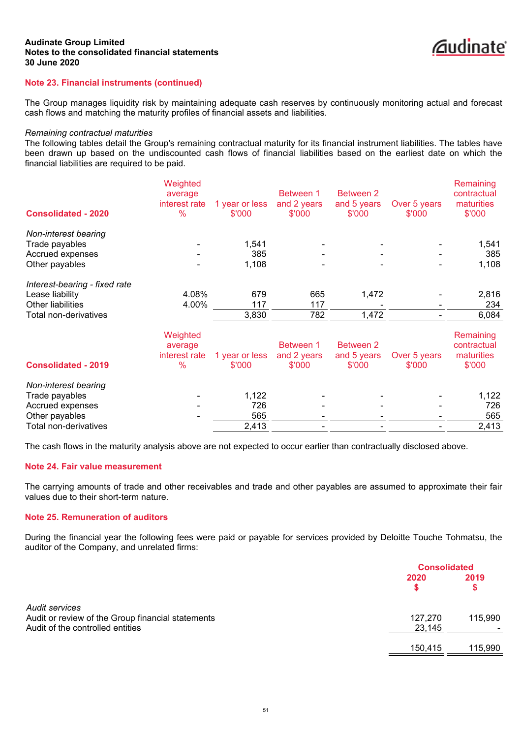

# **Note 23. Financial instruments (continued)**

The Group manages liquidity risk by maintaining adequate cash reserves by continuously monitoring actual and forecast cash flows and matching the maturity profiles of financial assets and liabilities.

#### *Remaining contractual maturities*

The following tables detail the Group's remaining contractual maturity for its financial instrument liabilities. The tables have been drawn up based on the undiscounted cash flows of financial liabilities based on the earliest date on which the financial liabilities are required to be paid.

|                                                                                                       | Weighted<br>average<br>interest rate         | 1 year or less               | Between 1<br>and 2 years           | <b>Between 2</b><br>and 5 years           | Over 5 years           | Remaining<br>contractual<br>maturities           |
|-------------------------------------------------------------------------------------------------------|----------------------------------------------|------------------------------|------------------------------------|-------------------------------------------|------------------------|--------------------------------------------------|
| <b>Consolidated - 2020</b>                                                                            | $\%$                                         | \$'000                       | \$'000                             | \$'000                                    | \$'000                 | \$'000                                           |
| Non-interest bearing<br>Trade payables<br>Accrued expenses<br>Other payables                          |                                              | 1,541<br>385<br>1,108        |                                    |                                           |                        | 1,541<br>385<br>1,108                            |
| Interest-bearing - fixed rate<br>Lease liability                                                      | 4.08%                                        | 679                          | 665                                | 1,472                                     |                        | 2,816                                            |
| Other liabilities<br>Total non-derivatives                                                            | 4.00%                                        | 117<br>3,830                 | 117<br>782                         | 1,472                                     |                        | 234<br>6,084                                     |
| <b>Consolidated - 2019</b>                                                                            | Weighted<br>average<br>interest rate<br>$\%$ | 1 year or less<br>\$'000     | Between 1<br>and 2 years<br>\$'000 | <b>Between 2</b><br>and 5 years<br>\$'000 | Over 5 years<br>\$'000 | Remaining<br>contractual<br>maturities<br>\$'000 |
| Non-interest bearing<br>Trade payables<br>Accrued expenses<br>Other payables<br>Total non-derivatives |                                              | 1,122<br>726<br>565<br>2,413 |                                    |                                           |                        | 1,122<br>726<br>565<br>2,413                     |

The cash flows in the maturity analysis above are not expected to occur earlier than contractually disclosed above.

# **Note 24. Fair value measurement**

The carrying amounts of trade and other receivables and trade and other payables are assumed to approximate their fair values due to their short-term nature.

# **Note 25. Remuneration of auditors**

During the financial year the following fees were paid or payable for services provided by Deloitte Touche Tohmatsu, the auditor of the Company, and unrelated firms:

|                                                                                                         |                   | <b>Consolidated</b> |  |
|---------------------------------------------------------------------------------------------------------|-------------------|---------------------|--|
|                                                                                                         | 2020              | 2019                |  |
| Audit services<br>Audit or review of the Group financial statements<br>Audit of the controlled entities | 127,270<br>23,145 | 115,990             |  |
|                                                                                                         | 150,415           | 115,990             |  |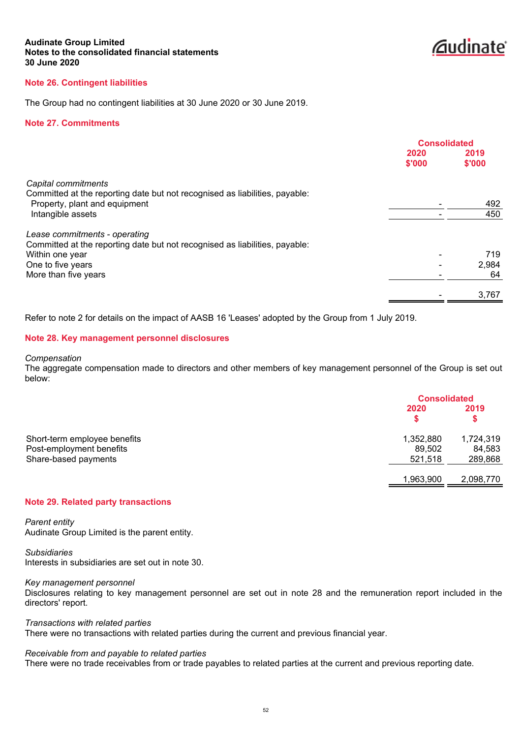*<u>Coudinate</u>* 

# **Note 26. Contingent liabilities**

The Group had no contingent liabilities at 30 June 2020 or 30 June 2019.

#### **Note 27. Commitments**

|                                                                                                                                     | <b>Consolidated</b> |                |
|-------------------------------------------------------------------------------------------------------------------------------------|---------------------|----------------|
|                                                                                                                                     | 2020<br>\$'000      | 2019<br>\$'000 |
| Capital commitments<br>Committed at the reporting date but not recognised as liabilities, payable:<br>Property, plant and equipment |                     | 492            |
| Intangible assets                                                                                                                   |                     | 450            |
| Lease commitments - operating<br>Committed at the reporting date but not recognised as liabilities, payable:                        |                     |                |
| Within one year                                                                                                                     |                     | 719            |
| One to five years                                                                                                                   |                     | 2,984          |
| More than five years                                                                                                                |                     | 64             |
|                                                                                                                                     |                     | 3,767          |
|                                                                                                                                     |                     |                |

Refer to note 2 for details on the impact of AASB 16 'Leases' adopted by the Group from 1 July 2019.

#### **Note 28. Key management personnel disclosures**

*Compensation*

The aggregate compensation made to directors and other members of key management personnel of the Group is set out below:

|                                                                                  |                                | <b>Consolidated</b>            |  |
|----------------------------------------------------------------------------------|--------------------------------|--------------------------------|--|
|                                                                                  | 2020                           | 2019<br>\$                     |  |
| Short-term employee benefits<br>Post-employment benefits<br>Share-based payments | 1,352,880<br>89,502<br>521,518 | 1,724,319<br>84,583<br>289,868 |  |
|                                                                                  | 1,963,900                      | 2,098,770                      |  |

# **Note 29. Related party transactions**

*Parent entity* Audinate Group Limited is the parent entity.

*Subsidiaries* Interests in subsidiaries are set out in note 30.

*Key management personnel*

Disclosures relating to key management personnel are set out in note 28 and the remuneration report included in the directors' report.

*Transactions with related parties*

There were no transactions with related parties during the current and previous financial year.

#### *Receivable from and payable to related parties*

There were no trade receivables from or trade payables to related parties at the current and previous reporting date.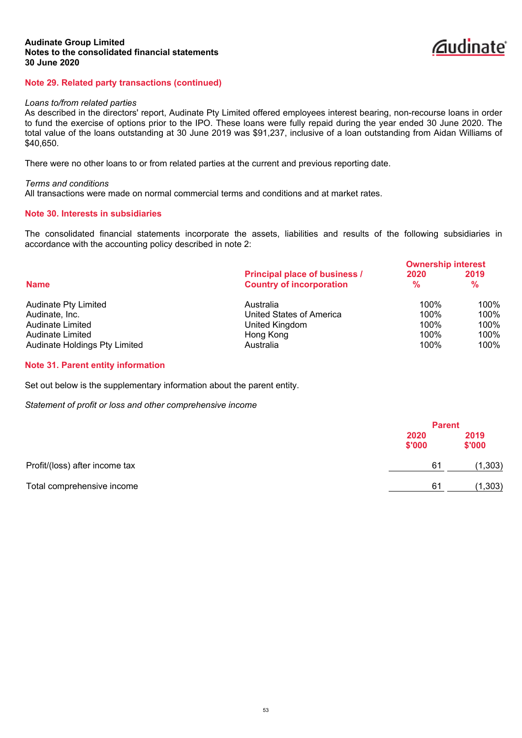

# **Note 29. Related party transactions (continued)**

#### *Loans to/from related parties*

As described in the directors' report, Audinate Pty Limited offered employees interest bearing, non-recourse loans in order to fund the exercise of options prior to the IPO. These loans were fully repaid during the year ended 30 June 2020. The total value of the loans outstanding at 30 June 2019 was \$91,237, inclusive of a loan outstanding from Aidan Williams of \$40,650.

There were no other loans to or from related parties at the current and previous reporting date.

*Terms and conditions* All transactions were made on normal commercial terms and conditions and at market rates.

# **Note 30. Interests in subsidiaries**

The consolidated financial statements incorporate the assets, liabilities and results of the following subsidiaries in accordance with the accounting policy described in note 2:

|                               |                                                                  | <b>Ownership interest</b> |                       |
|-------------------------------|------------------------------------------------------------------|---------------------------|-----------------------|
| <b>Name</b>                   | Principal place of business /<br><b>Country of incorporation</b> | 2020<br>$\frac{9}{6}$     | 2019<br>$\frac{9}{6}$ |
|                               |                                                                  |                           |                       |
| <b>Audinate Pty Limited</b>   | Australia                                                        | $100\%$                   | 100%                  |
| Audinate, Inc.                | United States of America                                         | 100%                      | 100%                  |
| Audinate Limited              | United Kingdom                                                   | 100%                      | 100%                  |
| Audinate Limited              | Hong Kong                                                        | 100%                      | 100%                  |
| Audinate Holdings Pty Limited | Australia                                                        | 100%                      | 100%                  |

#### **Note 31. Parent entity information**

Set out below is the supplementary information about the parent entity.

*Statement of profit or loss and other comprehensive income*

|                                |                | <b>Parent</b> |                |
|--------------------------------|----------------|---------------|----------------|
|                                | 2020<br>\$'000 |               | 2019<br>\$'000 |
| Profit/(loss) after income tax |                | 61            | (1, 303)       |
| Total comprehensive income     |                | 61            | (1,303)        |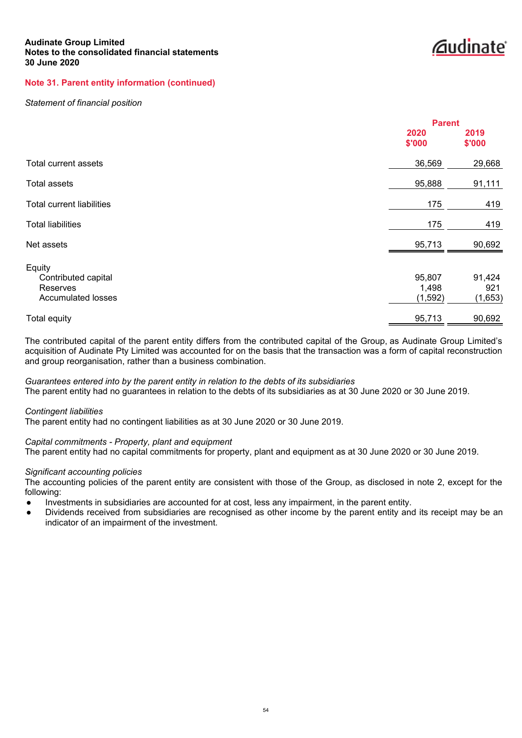**Zaudinate** 

# **Note 31. Parent entity information (continued)**

#### *Statement of financial position*

|                                                                               | <b>Parent</b>              |                          |
|-------------------------------------------------------------------------------|----------------------------|--------------------------|
|                                                                               | 2020<br>\$'000             | 2019<br>\$'000           |
| Total current assets                                                          | 36,569                     | 29,668                   |
| <b>Total assets</b>                                                           | 95,888                     | 91,111                   |
| <b>Total current liabilities</b>                                              | 175                        | 419                      |
| <b>Total liabilities</b>                                                      | 175                        | 419                      |
| Net assets                                                                    | 95,713                     | 90,692                   |
| Equity<br>Contributed capital<br><b>Reserves</b><br><b>Accumulated losses</b> | 95,807<br>1,498<br>(1,592) | 91,424<br>921<br>(1,653) |
| Total equity                                                                  | 95,713                     | 90,692                   |

The contributed capital of the parent entity differs from the contributed capital of the Group, as Audinate Group Limited's acquisition of Audinate Pty Limited was accounted for on the basis that the transaction was a form of capital reconstruction and group reorganisation, rather than a business combination.

#### *Guarantees entered into by the parent entity in relation to the debts of its subsidiaries*

The parent entity had no guarantees in relation to the debts of its subsidiaries as at 30 June 2020 or 30 June 2019.

#### *Contingent liabilities*

The parent entity had no contingent liabilities as at 30 June 2020 or 30 June 2019.

### *Capital commitments - Property, plant and equipment*

The parent entity had no capital commitments for property, plant and equipment as at 30 June 2020 or 30 June 2019.

#### *Significant accounting policies*

The accounting policies of the parent entity are consistent with those of the Group, as disclosed in note 2, except for the following:

- Investments in subsidiaries are accounted for at cost, less any impairment, in the parent entity.
- Dividends received from subsidiaries are recognised as other income by the parent entity and its receipt may be an indicator of an impairment of the investment.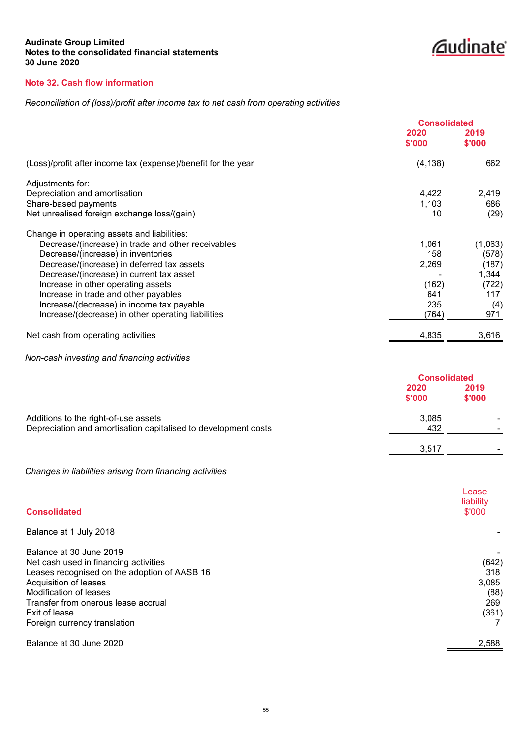*<u>Caudinate</u>* 

# **Note 32. Cash flow information**

# *Reconciliation of (loss)/profit after income tax to net cash from operating activities*

| <b>Consolidated</b> |                |
|---------------------|----------------|
| 2020<br>\$'000      | 2019<br>\$'000 |
| (4, 138)            | 662            |
|                     |                |
| 4,422               | 2,419          |
| 1,103               | 686            |
| 10                  | (29)           |
|                     |                |
| 1,061               | (1,063)        |
| 158                 | (578)          |
| 2,269               | (187)          |
|                     | 1,344          |
| (162)               | (722)          |
| 641                 | 117            |
| 235                 | (4)            |
| (764)               | 971            |
| 4,835               | 3,616          |
|                     |                |

*Non-cash investing and financing activities*

|                                                                | <b>Consolidated</b> |                |
|----------------------------------------------------------------|---------------------|----------------|
|                                                                | 2020<br>\$'000      | 2019<br>\$'000 |
| Additions to the right-of-use assets                           | 3,085               |                |
| Depreciation and amortisation capitalised to development costs | 432                 | -              |
|                                                                | 3,517               | -              |

*Changes in liabilities arising from financing activities*

| <b>Consolidated</b>                          | Lease<br>liability<br>\$'000 |
|----------------------------------------------|------------------------------|
| Balance at 1 July 2018                       |                              |
| Balance at 30 June 2019                      |                              |
| Net cash used in financing activities        | (642)                        |
| Leases recognised on the adoption of AASB 16 | 318                          |
| Acquisition of leases                        | 3,085                        |
| Modification of leases                       | (88)                         |
| Transfer from onerous lease accrual          | 269                          |
| Exit of lease                                | (361)                        |
| Foreign currency translation                 |                              |
| Balance at 30 June 2020                      | 2,588                        |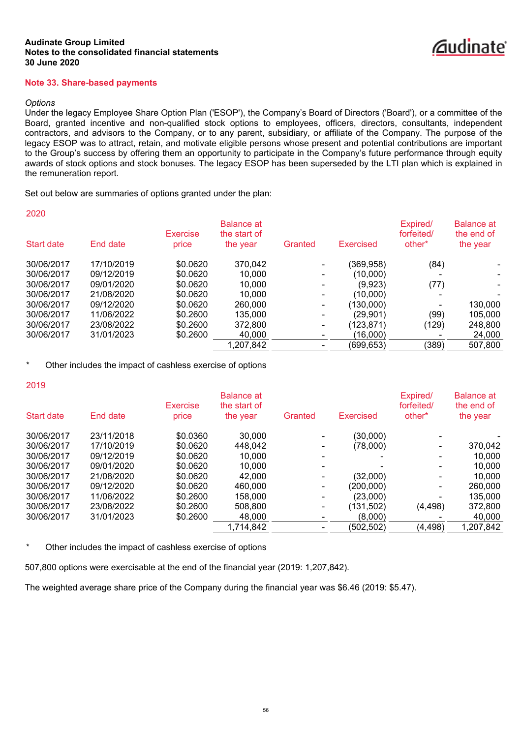# **Note 33. Share-based payments**

#### *Options*

2020

Under the legacy Employee Share Option Plan ('ESOP'), the Company's Board of Directors ('Board'), or a committee of the Board, granted incentive and non-qualified stock options to employees, officers, directors, consultants, independent contractors, and advisors to the Company, or to any parent, subsidiary, or affiliate of the Company. The purpose of the legacy ESOP was to attract, retain, and motivate eligible persons whose present and potential contributions are important to the Group's success by offering them an opportunity to participate in the Company's future performance through equity awards of stock options and stock bonuses. The legacy ESOP has been superseded by the LTI plan which is explained in the remuneration report.

Set out below are summaries of options granted under the plan:

| ZUZU       |            | <b>Exercise</b> | <b>Balance at</b><br>the start of |         |                  | Expired/<br>forfeited/ | <b>Balance at</b><br>the end of |
|------------|------------|-----------------|-----------------------------------|---------|------------------|------------------------|---------------------------------|
| Start date | End date   | price           | the year                          | Granted | <b>Exercised</b> | other*                 | the year                        |
| 30/06/2017 | 17/10/2019 | \$0.0620        | 370,042                           |         | (369, 958)       | (84)                   |                                 |
| 30/06/2017 | 09/12/2019 | \$0.0620        | 10.000                            |         | (10,000)         |                        |                                 |
| 30/06/2017 | 09/01/2020 | \$0.0620        | 10.000                            |         | (9,923)          | (77)                   |                                 |
| 30/06/2017 | 21/08/2020 | \$0.0620        | 10.000                            |         | (10,000)         |                        |                                 |
| 30/06/2017 | 09/12/2020 | \$0.0620        | 260,000                           |         | (130,000)        |                        | 130,000                         |
| 30/06/2017 | 11/06/2022 | \$0.2600        | 135,000                           | ٠       | (29,901)         | (99)                   | 105,000                         |
| 30/06/2017 | 23/08/2022 | \$0.2600        | 372,800                           |         | (123, 871)       | (129)                  | 248,800                         |
| 30/06/2017 | 31/01/2023 | \$0.2600        | 40.000                            |         | (16,000)         |                        | 24,000                          |
|            |            |                 | 1,207,842                         |         | (699,653)        | (389)                  | 507,800                         |

Other includes the impact of cashless exercise of options

| ٧ | ٩      | ×      |  |
|---|--------|--------|--|
|   | $\sim$ | $\sim$ |  |

| Start date | End date   | <b>Exercise</b><br>price | <b>Balance at</b><br>the start of<br>the year | Granted                  | Exercised  | Expired/<br>forfeited/<br>other <sup>*</sup> | <b>Balance</b> at<br>the end of<br>the year |
|------------|------------|--------------------------|-----------------------------------------------|--------------------------|------------|----------------------------------------------|---------------------------------------------|
| 30/06/2017 | 23/11/2018 | \$0.0360                 | 30,000                                        |                          | (30,000)   |                                              |                                             |
| 30/06/2017 | 17/10/2019 | \$0.0620                 | 448.042                                       | $\overline{\phantom{0}}$ | (78,000)   |                                              | 370,042                                     |
| 30/06/2017 | 09/12/2019 | \$0.0620                 | 10.000                                        |                          |            |                                              | 10.000                                      |
| 30/06/2017 | 09/01/2020 | \$0.0620                 | 10,000                                        |                          |            |                                              | 10,000                                      |
| 30/06/2017 | 21/08/2020 | \$0.0620                 | 42,000                                        |                          | (32,000)   |                                              | 10.000                                      |
| 30/06/2017 | 09/12/2020 | \$0.0620                 | 460,000                                       | $\overline{\phantom{0}}$ | (200,000)  |                                              | 260,000                                     |
| 30/06/2017 | 11/06/2022 | \$0.2600                 | 158,000                                       | $\overline{\phantom{a}}$ | (23,000)   |                                              | 135,000                                     |
| 30/06/2017 | 23/08/2022 | \$0.2600                 | 508,800                                       | $\blacksquare$           | (131,502)  | (4, 498)                                     | 372,800                                     |
| 30/06/2017 | 31/01/2023 | \$0.2600                 | 48.000                                        |                          | (8,000)    |                                              | 40,000                                      |
|            |            |                          | 1,714,842                                     |                          | (502, 502) | (4, 498)                                     | 1,207,842                                   |
|            |            |                          |                                               |                          |            |                                              |                                             |

\* Other includes the impact of cashless exercise of options

507,800 options were exercisable at the end of the financial year (2019: 1,207,842).

The weighted average share price of the Company during the financial year was \$6.46 (2019: \$5.47).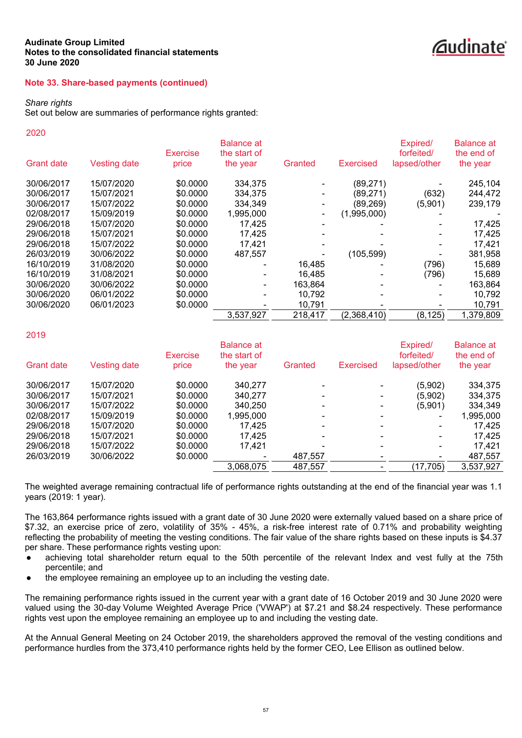# *<u></u><u></u>*dudinate®

# **Note 33. Share-based payments (continued)**

#### *Share rights*

Set out below are summaries of performance rights granted:

#### 2020

|                   |                     | <b>Exercise</b> | <b>Balance at</b><br>the start of |         |                  | Expired/<br>forfeited/ | <b>Balance at</b><br>the end of |
|-------------------|---------------------|-----------------|-----------------------------------|---------|------------------|------------------------|---------------------------------|
| <b>Grant date</b> | <b>Vesting date</b> | price           | the year                          | Granted | <b>Exercised</b> | lapsed/other           | the year                        |
| 30/06/2017        | 15/07/2020          | \$0.0000        | 334,375                           |         | (89, 271)        |                        | 245,104                         |
| 30/06/2017        | 15/07/2021          | \$0.0000        | 334,375                           |         | (89,271)         | (632)                  | 244,472                         |
| 30/06/2017        | 15/07/2022          | \$0.0000        | 334,349                           |         | (89, 269)        | (5,901)                | 239,179                         |
| 02/08/2017        | 15/09/2019          | \$0.0000        | 1,995,000                         |         | (1,995,000)      |                        |                                 |
| 29/06/2018        | 15/07/2020          | \$0.0000        | 17,425                            |         |                  |                        | 17,425                          |
| 29/06/2018        | 15/07/2021          | \$0.0000        | 17.425                            |         |                  |                        | 17,425                          |
| 29/06/2018        | 15/07/2022          | \$0.0000        | 17.421                            |         |                  |                        | 17,421                          |
| 26/03/2019        | 30/06/2022          | \$0.0000        | 487.557                           |         | (105, 599)       |                        | 381,958                         |
| 16/10/2019        | 31/08/2020          | \$0,0000        |                                   | 16,485  |                  | (796)                  | 15,689                          |
| 16/10/2019        | 31/08/2021          | \$0.0000        |                                   | 16.485  |                  | (796)                  | 15,689                          |
| 30/06/2020        | 30/06/2022          | \$0.0000        |                                   | 163,864 |                  |                        | 163,864                         |
| 30/06/2020        | 06/01/2022          | \$0.0000        |                                   | 10,792  |                  |                        | 10,792                          |
| 30/06/2020        | 06/01/2023          | \$0.0000        |                                   | 10,791  |                  |                        | 10,791                          |
|                   |                     |                 | 3,537,927                         | 218,417 | (2,368,410)      | (8, 125)               | 1,379,809                       |
|                   |                     |                 |                                   |         |                  |                        |                                 |

### 2019

| <b>Grant date</b> | Vesting date | <b>Exercise</b><br>price | <b>Balance at</b><br>the start of<br>the year | Granted | <b>Exercised</b> | Expired/<br>forfeited/<br>lapsed/other | <b>Balance at</b><br>the end of<br>the year |
|-------------------|--------------|--------------------------|-----------------------------------------------|---------|------------------|----------------------------------------|---------------------------------------------|
| 30/06/2017        | 15/07/2020   | \$0.0000                 | 340,277                                       |         |                  | (5,902)                                | 334,375                                     |
| 30/06/2017        | 15/07/2021   | \$0,0000                 | 340.277                                       |         |                  | (5,902)                                | 334,375                                     |
| 30/06/2017        | 15/07/2022   | \$0,0000                 | 340.250                                       |         |                  | (5,901)                                | 334.349                                     |
| 02/08/2017        | 15/09/2019   | \$0.0000                 | 1.995.000                                     |         |                  |                                        | 1,995,000                                   |
| 29/06/2018        | 15/07/2020   | \$0.0000                 | 17.425                                        |         |                  |                                        | 17.425                                      |
| 29/06/2018        | 15/07/2021   | \$0.0000                 | 17.425                                        |         |                  | ۰                                      | 17.425                                      |
| 29/06/2018        | 15/07/2022   | \$0.0000                 | 17.421                                        |         |                  |                                        | 17.421                                      |
| 26/03/2019        | 30/06/2022   | \$0.0000                 |                                               | 487,557 |                  |                                        | 487,557                                     |
|                   |              |                          | 3,068,075                                     | 487,557 |                  | (17, 705)                              | 3,537,927                                   |
|                   |              |                          |                                               |         |                  |                                        |                                             |

The weighted average remaining contractual life of performance rights outstanding at the end of the financial year was 1.1 years (2019: 1 year).

The 163,864 performance rights issued with a grant date of 30 June 2020 were externally valued based on a share price of \$7.32, an exercise price of zero, volatility of 35% - 45%, a risk-free interest rate of 0.71% and probability weighting reflecting the probability of meeting the vesting conditions. The fair value of the share rights based on these inputs is \$4.37 per share. These performance rights vesting upon:

- achieving total shareholder return equal to the 50th percentile of the relevant Index and vest fully at the 75th percentile; and
- the employee remaining an employee up to an including the vesting date.

The remaining performance rights issued in the current year with a grant date of 16 October 2019 and 30 June 2020 were valued using the 30-day Volume Weighted Average Price ('VWAP') at \$7.21 and \$8.24 respectively. These performance rights vest upon the employee remaining an employee up to and including the vesting date.

At the Annual General Meeting on 24 October 2019, the shareholders approved the removal of the vesting conditions and performance hurdles from the 373,410 performance rights held by the former CEO, Lee Ellison as outlined below.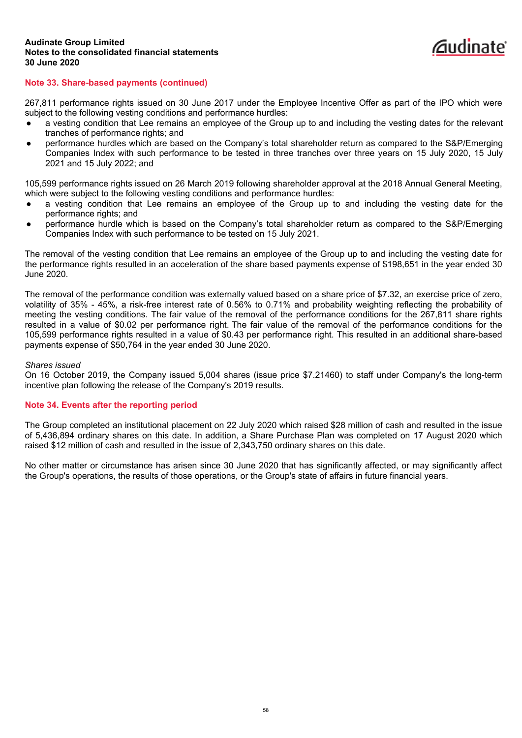

# **Note 33. Share-based payments (continued)**

267,811 performance rights issued on 30 June 2017 under the Employee Incentive Offer as part of the IPO which were subject to the following vesting conditions and performance hurdles:

- a vesting condition that Lee remains an employee of the Group up to and including the vesting dates for the relevant tranches of performance rights; and
- performance hurdles which are based on the Company's total shareholder return as compared to the S&P/Emerging Companies Index with such performance to be tested in three tranches over three years on 15 July 2020, 15 July 2021 and 15 July 2022; and

105,599 performance rights issued on 26 March 2019 following shareholder approval at the 2018 Annual General Meeting, which were subject to the following vesting conditions and performance hurdles:

- a vesting condition that Lee remains an employee of the Group up to and including the vesting date for the performance rights; and
- performance hurdle which is based on the Company's total shareholder return as compared to the S&P/Emerging Companies Index with such performance to be tested on 15 July 2021.

The removal of the vesting condition that Lee remains an employee of the Group up to and including the vesting date for the performance rights resulted in an acceleration of the share based payments expense of \$198,651 in the year ended 30 June 2020.

The removal of the performance condition was externally valued based on a share price of \$7.32, an exercise price of zero, volatility of 35% - 45%, a risk-free interest rate of 0.56% to 0.71% and probability weighting reflecting the probability of meeting the vesting conditions. The fair value of the removal of the performance conditions for the 267,811 share rights resulted in a value of \$0.02 per performance right. The fair value of the removal of the performance conditions for the 105,599 performance rights resulted in a value of \$0.43 per performance right. This resulted in an additional share-based payments expense of \$50,764 in the year ended 30 June 2020.

### *Shares issued*

On 16 October 2019, the Company issued 5,004 shares (issue price \$7.21460) to staff under Company's the long-term incentive plan following the release of the Company's 2019 results.

### **Note 34. Events after the reporting period**

The Group completed an institutional placement on 22 July 2020 which raised \$28 million of cash and resulted in the issue of 5,436,894 ordinary shares on this date. In addition, a Share Purchase Plan was completed on 17 August 2020 which raised \$12 million of cash and resulted in the issue of 2,343,750 ordinary shares on this date.

No other matter or circumstance has arisen since 30 June 2020 that has significantly affected, or may significantly affect the Group's operations, the results of those operations, or the Group's state of affairs in future financial years.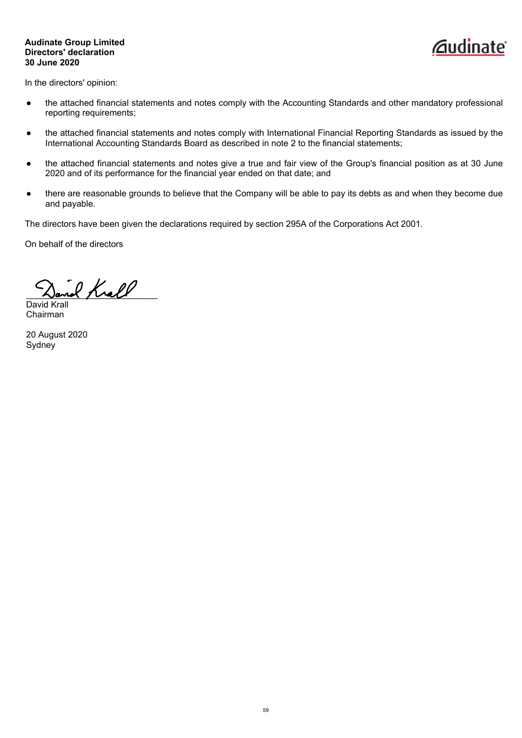# **Audinate Group Limited Directors' declaration 30 June 2020**



<span id="page-62-0"></span>In the directors' opinion:

- the attached financial statements and notes comply with the Accounting Standards and other mandatory professional reporting requirements;
- the attached financial statements and notes comply with International Financial Reporting Standards as issued by the International Accounting Standards Board as described in note 2 to the financial statements;
- the attached financial statements and notes give a true and fair view of the Group's financial position as at 30 June 2020 and of its performance for the financial year ended on that date; and
- there are reasonable grounds to believe that the Company will be able to pay its debts as and when they become due and payable.

The directors have been given the declarations required by section 295A of the Corporations Act 2001.

On behalf of the directors

\_\_\_\_\_\_\_\_\_\_\_\_\_\_\_\_\_\_\_\_\_\_\_\_\_\_\_ David Kra

Chairman

20 August 2020 **Sydney**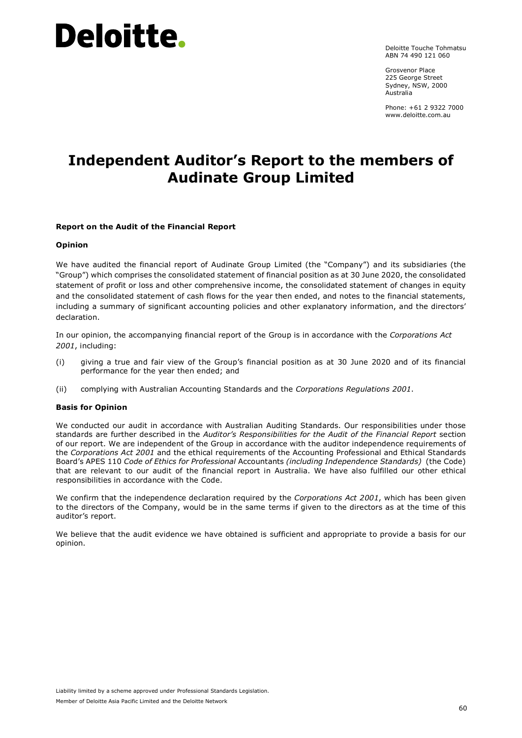Deloitte Touche Tohmatsu ABN 74 490 121 060

Grosvenor Place 225 George Street Sydney, NSW, 2000 Australia

<span id="page-63-0"></span>Phone: +61 2 9322 7000 www.deloitte.com.au

# **Independent Auditor's Report to the members of Audinate Group Limited**

# **Report on the Audit of the Financial Report**

### **Opinion**

We have audited the financial report of Audinate Group Limited (the "Company") and its subsidiaries (the "Group") which comprises the consolidated statement of financial position as at 30 June 2020, the consolidated statement of profit or loss and other comprehensive income, the consolidated statement of changes in equity and the consolidated statement of cash flows for the year then ended, and notes to the financial statements, including a summary of significant accounting policies and other explanatory information, and the directors' declaration.

In our opinion, the accompanying financial report of the Group is in accordance with the *Corporations Act 2001*, including:

- (i) giving a true and fair view of the Group's financial position as at 30 June 2020 and of its financial performance for the year then ended; and
- (ii) complying with Australian Accounting Standards and the *Corporations Regulations 2001*.

### **Basis for Opinion**

We conducted our audit in accordance with Australian Auditing Standards. Our responsibilities under those standards are further described in the *Auditor's Responsibilities for the Audit of the Financial Report* section of our report. We are independent of the Group in accordance with the auditor independence requirements of the *Corporations Act 2001* and the ethical requirements of the Accounting Professional and Ethical Standards Board's APES 110 *Code of Ethics for Professional* Accountants *(including Independence Standards)* (the Code) that are relevant to our audit of the financial report in Australia. We have also fulfilled our other ethical responsibilities in accordance with the Code.

We confirm that the independence declaration required by the *Corporations Act 2001*, which has been given to the directors of the Company, would be in the same terms if given to the directors as at the time of this auditor's report.

We believe that the audit evidence we have obtained is sufficient and appropriate to provide a basis for our opinion.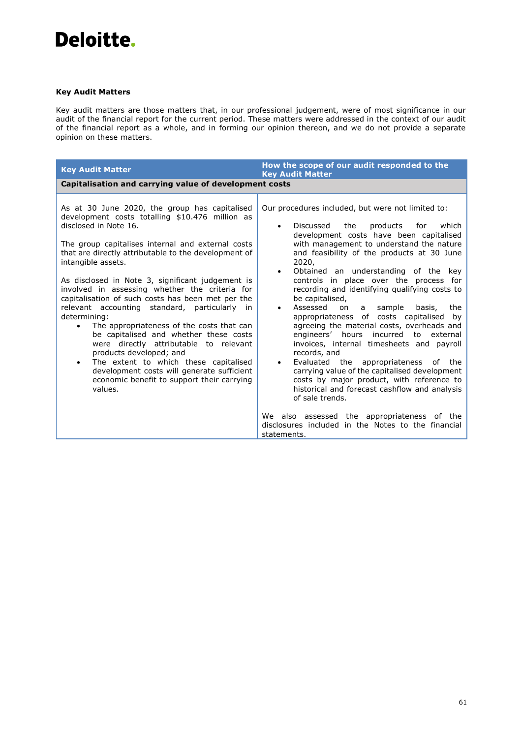# **Key Audit Matters**

Key audit matters are those matters that, in our professional judgement, were of most significance in our audit of the financial report for the current period. These matters were addressed in the context of our audit of the financial report as a whole, and in forming our opinion thereon, and we do not provide a separate opinion on these matters.

| <b>Key Audit Matter</b>                                                                                                                                                                                                                                                                                                                                                                                                                                                                                                                                                                                                                                                                                                                                                                                                           | How the scope of our audit responded to the<br><b>Key Audit Matter</b>                                                                                                                                                                                                                                                                                                                                                                                                                                                                                                                                                                                                                                                                                                                                                                                                                                                                                                                                                                               |
|-----------------------------------------------------------------------------------------------------------------------------------------------------------------------------------------------------------------------------------------------------------------------------------------------------------------------------------------------------------------------------------------------------------------------------------------------------------------------------------------------------------------------------------------------------------------------------------------------------------------------------------------------------------------------------------------------------------------------------------------------------------------------------------------------------------------------------------|------------------------------------------------------------------------------------------------------------------------------------------------------------------------------------------------------------------------------------------------------------------------------------------------------------------------------------------------------------------------------------------------------------------------------------------------------------------------------------------------------------------------------------------------------------------------------------------------------------------------------------------------------------------------------------------------------------------------------------------------------------------------------------------------------------------------------------------------------------------------------------------------------------------------------------------------------------------------------------------------------------------------------------------------------|
| Capitalisation and carrying value of development costs                                                                                                                                                                                                                                                                                                                                                                                                                                                                                                                                                                                                                                                                                                                                                                            |                                                                                                                                                                                                                                                                                                                                                                                                                                                                                                                                                                                                                                                                                                                                                                                                                                                                                                                                                                                                                                                      |
| As at 30 June 2020, the group has capitalised<br>development costs totalling \$10.476 million as<br>disclosed in Note 16.<br>The group capitalises internal and external costs<br>that are directly attributable to the development of<br>intangible assets.<br>As disclosed in Note 3, significant judgement is<br>involved in assessing whether the criteria for<br>capitalisation of such costs has been met per the<br>relevant accounting standard, particularly<br>in<br>determining:<br>The appropriateness of the costs that can<br>$\bullet$<br>be capitalised and whether these costs<br>were directly attributable to relevant<br>products developed; and<br>The extent to which these capitalised<br>$\bullet$<br>development costs will generate sufficient<br>economic benefit to support their carrying<br>values. | Our procedures included, but were not limited to:<br>Discussed<br>the<br>products<br>for<br>which<br>$\bullet$<br>development costs have been capitalised<br>with management to understand the nature<br>and feasibility of the products at 30 June<br>2020,<br>Obtained an understanding of the key<br>$\bullet$<br>controls in place over the process for<br>recording and identifying qualifying costs to<br>be capitalised,<br>Assessed<br>basis,<br>sample<br>the<br>on<br>a<br>$\bullet$<br>appropriateness of costs capitalised<br>by<br>agreeing the material costs, overheads and<br>incurred<br>engineers' hours<br>to<br>external<br>invoices, internal timesheets and payroll<br>records, and<br>Evaluated the appropriateness of the<br>$\bullet$<br>carrying value of the capitalised development<br>costs by major product, with reference to<br>historical and forecast cashflow and analysis<br>of sale trends.<br>We also assessed the appropriateness of the<br>disclosures included in the Notes to the financial<br>statements. |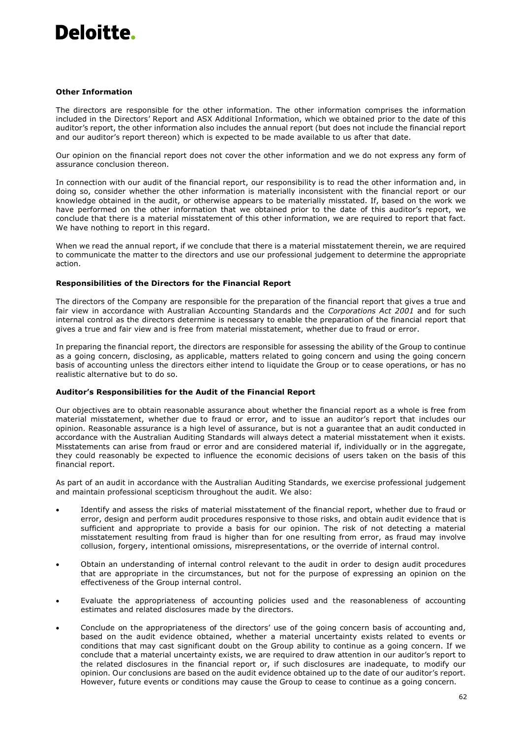#### **Other Information**

The directors are responsible for the other information. The other information comprises the information included in the Directors' Report and ASX Additional Information, which we obtained prior to the date of this auditor's report, the other information also includes the annual report (but does not include the financial report and our auditor's report thereon) which is expected to be made available to us after that date.

Our opinion on the financial report does not cover the other information and we do not express any form of assurance conclusion thereon.

In connection with our audit of the financial report, our responsibility is to read the other information and, in doing so, consider whether the other information is materially inconsistent with the financial report or our knowledge obtained in the audit, or otherwise appears to be materially misstated. If, based on the work we have performed on the other information that we obtained prior to the date of this auditor's report, we conclude that there is a material misstatement of this other information, we are required to report that fact. We have nothing to report in this regard.

When we read the annual report, if we conclude that there is a material misstatement therein, we are required to communicate the matter to the directors and use our professional judgement to determine the appropriate action.

#### **Responsibilities of the Directors for the Financial Report**

The directors of the Company are responsible for the preparation of the financial report that gives a true and fair view in accordance with Australian Accounting Standards and the *Corporations Act 2001* and for such internal control as the directors determine is necessary to enable the preparation of the financial report that gives a true and fair view and is free from material misstatement, whether due to fraud or error.

In preparing the financial report, the directors are responsible for assessing the ability of the Group to continue as a going concern, disclosing, as applicable, matters related to going concern and using the going concern basis of accounting unless the directors either intend to liquidate the Group or to cease operations, or has no realistic alternative but to do so.

#### **Auditor's Responsibilities for the Audit of the Financial Report**

Our objectives are to obtain reasonable assurance about whether the financial report as a whole is free from material misstatement, whether due to fraud or error, and to issue an auditor's report that includes our opinion. Reasonable assurance is a high level of assurance, but is not a guarantee that an audit conducted in accordance with the Australian Auditing Standards will always detect a material misstatement when it exists. Misstatements can arise from fraud or error and are considered material if, individually or in the aggregate, they could reasonably be expected to influence the economic decisions of users taken on the basis of this financial report.

As part of an audit in accordance with the Australian Auditing Standards, we exercise professional judgement and maintain professional scepticism throughout the audit. We also:

- Identify and assess the risks of material misstatement of the financial report, whether due to fraud or error, design and perform audit procedures responsive to those risks, and obtain audit evidence that is sufficient and appropriate to provide a basis for our opinion. The risk of not detecting a material misstatement resulting from fraud is higher than for one resulting from error, as fraud may involve collusion, forgery, intentional omissions, misrepresentations, or the override of internal control.
- Obtain an understanding of internal control relevant to the audit in order to design audit procedures that are appropriate in the circumstances, but not for the purpose of expressing an opinion on the effectiveness of the Group internal control.
- Evaluate the appropriateness of accounting policies used and the reasonableness of accounting estimates and related disclosures made by the directors.
- Conclude on the appropriateness of the directors' use of the going concern basis of accounting and, based on the audit evidence obtained, whether a material uncertainty exists related to events or conditions that may cast significant doubt on the Group ability to continue as a going concern. If we conclude that a material uncertainty exists, we are required to draw attention in our auditor's report to the related disclosures in the financial report or, if such disclosures are inadequate, to modify our opinion. Our conclusions are based on the audit evidence obtained up to the date of our auditor's report. However, future events or conditions may cause the Group to cease to continue as a going concern.